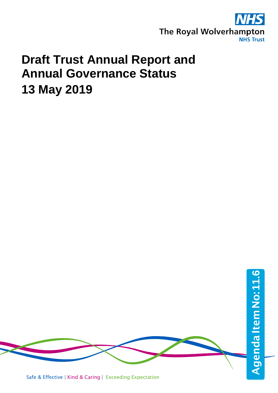

# **Draft Trust Annual Report and Annual Governance Status 13 May 2019**



Safe & Effective | Kind & Caring | Exceeding Expectation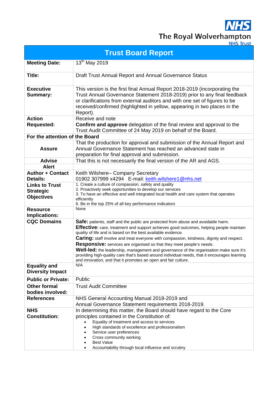**NHS** The Royal Wolverhampton

| <b>Trust Board Report</b>                                      |                                                                                                                                                                                                                                                                                                                                                                                                                                                                                                                                                                                                                                                                                                   |  |  |  |  |  |  |  |  |  |
|----------------------------------------------------------------|---------------------------------------------------------------------------------------------------------------------------------------------------------------------------------------------------------------------------------------------------------------------------------------------------------------------------------------------------------------------------------------------------------------------------------------------------------------------------------------------------------------------------------------------------------------------------------------------------------------------------------------------------------------------------------------------------|--|--|--|--|--|--|--|--|--|
| <b>Meeting Date:</b>                                           | 13 <sup>th</sup> May 2019                                                                                                                                                                                                                                                                                                                                                                                                                                                                                                                                                                                                                                                                         |  |  |  |  |  |  |  |  |  |
| Title:                                                         | Draft Trust Annual Report and Annual Governance Status                                                                                                                                                                                                                                                                                                                                                                                                                                                                                                                                                                                                                                            |  |  |  |  |  |  |  |  |  |
| <b>Executive</b><br>Summary:                                   | This version is the first final Annual Report 2018-2019 (incorporating the<br>Trust Annual Governance Statement 2018-2019) prior to any final feedback<br>or clarifications from external auditors and with one set of figures to be<br>received/confirmed (highlighted in yellow, appearing in two places in the<br>Report).                                                                                                                                                                                                                                                                                                                                                                     |  |  |  |  |  |  |  |  |  |
| <b>Action</b><br><b>Requested:</b>                             | Receive and note<br><b>Confirm and approve</b> delegation of the final review and approval to the<br>Trust Audit Committee of 24 May 2019 on behalf of the Board.                                                                                                                                                                                                                                                                                                                                                                                                                                                                                                                                 |  |  |  |  |  |  |  |  |  |
| For the attention of the Board                                 |                                                                                                                                                                                                                                                                                                                                                                                                                                                                                                                                                                                                                                                                                                   |  |  |  |  |  |  |  |  |  |
| <b>Assure</b>                                                  | That the production for approval and submission of the Annual Report and<br>Annual Governance Statement has reached an advanced state in<br>preparation for final approval and submission.                                                                                                                                                                                                                                                                                                                                                                                                                                                                                                        |  |  |  |  |  |  |  |  |  |
| <b>Advise</b>                                                  | That this is not necessarily the final version of the AR and AGS.                                                                                                                                                                                                                                                                                                                                                                                                                                                                                                                                                                                                                                 |  |  |  |  |  |  |  |  |  |
| <b>Alert</b>                                                   |                                                                                                                                                                                                                                                                                                                                                                                                                                                                                                                                                                                                                                                                                                   |  |  |  |  |  |  |  |  |  |
| <b>Author + Contact</b><br><b>Details:</b>                     | Keith Wilshere- Company Secretary<br>01902 307999 x4294 E-mail: keith.wilshere1@nhs.net                                                                                                                                                                                                                                                                                                                                                                                                                                                                                                                                                                                                           |  |  |  |  |  |  |  |  |  |
| <b>Links to Trust</b><br><b>Strategic</b><br><b>Objectives</b> | 1. Create a culture of compassion, safety and quality<br>2. Proactively seek opportunities to develop our services<br>3. To have an effective and well integrated local health and care system that operates<br>efficiently<br>6. Be in the top 25% of all key performance indicators                                                                                                                                                                                                                                                                                                                                                                                                             |  |  |  |  |  |  |  |  |  |
| <b>Resource</b><br><b>Implications:</b>                        | None                                                                                                                                                                                                                                                                                                                                                                                                                                                                                                                                                                                                                                                                                              |  |  |  |  |  |  |  |  |  |
| <b>CQC Domains</b>                                             | Safe: patients, staff and the public are protected from abuse and avoidable harm.<br><b>Effective:</b> care, treatment and support achieves good outcomes, helping people maintain<br>quality of life and is based on the best available evidence.<br><b>Caring:</b> staff involve and treat everyone with compassion, kindness, dignity and respect.<br><b>Responsive:</b> services are organised so that they meet people's needs.<br>Well-led: the leadership, management and governance of the organisation make sure it's<br>providing high-quality care that's based around individual needs, that it encourages learning<br>and innovation, and that it promotes an open and fair culture. |  |  |  |  |  |  |  |  |  |
| <b>Equality and</b><br><b>Diversity Impact</b>                 | N/A                                                                                                                                                                                                                                                                                                                                                                                                                                                                                                                                                                                                                                                                                               |  |  |  |  |  |  |  |  |  |
| <b>Public or Private:</b>                                      | Public                                                                                                                                                                                                                                                                                                                                                                                                                                                                                                                                                                                                                                                                                            |  |  |  |  |  |  |  |  |  |
| <b>Other formal</b><br>bodies involved:                        | <b>Trust Audit Committee</b>                                                                                                                                                                                                                                                                                                                                                                                                                                                                                                                                                                                                                                                                      |  |  |  |  |  |  |  |  |  |
| <b>References</b>                                              | NHS General Accounting Manual 2018-2019 and<br>Annual Governance Statement requirements 2018-2019.                                                                                                                                                                                                                                                                                                                                                                                                                                                                                                                                                                                                |  |  |  |  |  |  |  |  |  |
| <b>NHS</b><br><b>Constitution:</b>                             | In determining this matter, the Board should have regard to the Core<br>principles contained in the Constitution of:<br>Equality of treatment and access to services<br>High standards of excellence and professionalism<br>Service user preferences<br>Cross community working<br><b>Best Value</b><br>Accountability through local influence and scrutiny                                                                                                                                                                                                                                                                                                                                       |  |  |  |  |  |  |  |  |  |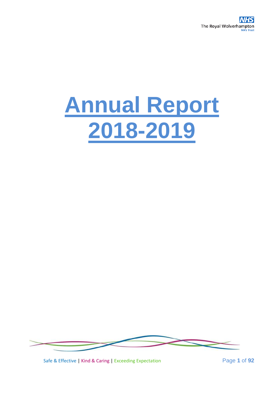

# **Annual Report 2018-2019**



Safe & Effective | Kind & Caring | Exceeding Expectation Page **1** of **92**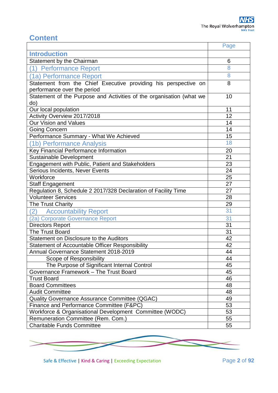# **Content**

|                                                                      | Page |
|----------------------------------------------------------------------|------|
| <b>Introduction</b>                                                  |      |
| Statement by the Chairman                                            | 6    |
| (1) Performance Report                                               | 8    |
| (1a) Performance Report                                              | 8    |
| Statement from the Chief Executive providing his perspective on      | 8    |
| performance over the period                                          |      |
| Statement of the Purpose and Activities of the organisation (what we | 10   |
| do)                                                                  |      |
| Our local population                                                 | 11   |
| Activity Overview 2017/2018                                          | 12   |
| Our Vision and Values                                                | 14   |
| <b>Going Concern</b>                                                 | 14   |
| Performance Summary - What We Achieved                               | 15   |
| (1b) Performance Analysis                                            | 18   |
| Key Financial Performance Information                                | 20   |
| Sustainable Development                                              | 21   |
| Engagement with Public, Patient and Stakeholders                     | 23   |
| Serious Incidents, Never Events                                      | 24   |
| Workforce                                                            | 25   |
| <b>Staff Engagement</b>                                              | 27   |
| Regulation 8, Schedule 2 2017/328 Declaration of Facility Time       | 27   |
| <b>Volunteer Services</b>                                            | 28   |
| The Trust Charity                                                    | 29   |
| (2)<br><b>Accountability Report</b>                                  | 31   |
| (2a) Corporate Governance Report                                     | 31   |
| <b>Directors Report</b>                                              | 31   |
| The Trust Board                                                      | 31   |
| Statement on Disclosure to the Auditors                              | 42   |
| <b>Statement of Accountable Officer Responsibility</b>               | 42   |
| Annual Governance Statement 2018-2019                                | 44   |
| Scope of Responsibility                                              | 44   |
| The Purpose of Significant Internal Control                          | 45   |
| Governance Framework - The Trust Board                               | 45   |
| <b>Trust Board</b>                                                   | 46   |
| <b>Board Committees</b>                                              | 48   |
| <b>Audit Committee</b>                                               | 48   |
| Quality Governance Assurance Committee (QGAC)                        | 49   |
| Finance and Performance Committee (F&PC)                             | 53   |
| Workforce & Organisational Development Committee (WODC)              | 53   |
| Remuneration Committee (Rem. Com.)                                   | 55   |
| <b>Charitable Funds Committee</b>                                    | 55   |



Safe & Effective | Kind & Caring | Exceeding Expectation Page 2 of 92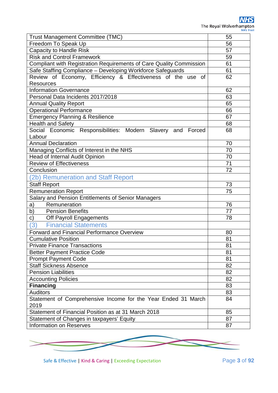| <b>Trust Management Committee (TMC)</b>                                         | 55              |
|---------------------------------------------------------------------------------|-----------------|
| Freedom To Speak Up                                                             | 56              |
| <b>Capacity to Handle Risk</b>                                                  | 57              |
| <b>Risk and Control Framework</b>                                               | 59              |
| Compliant with Registration Requirements of Care Quality Commission             | 61              |
| Safe Staffing Compliance - Developing Workforce Safeguards                      | 61              |
| Review of Economy, Efficiency & Effectiveness of the use of<br><b>Resources</b> | 62              |
| <b>Information Governance</b>                                                   | 62              |
| Personal Data Incidents 2017/2018                                               | 63              |
| <b>Annual Quality Report</b>                                                    | 65              |
| <b>Operational Performance</b>                                                  | 66              |
| <b>Emergency Planning &amp; Resilience</b>                                      | 67              |
| <b>Health and Safety</b>                                                        | 68              |
| Social Economic Responsibilities: Modern Slavery and Forced                     | 68              |
| Labour                                                                          |                 |
| <b>Annual Declaration</b>                                                       | 70              |
| Managing Conflicts of Interest in the NHS                                       | 70              |
| <b>Head of Internal Audit Opinion</b>                                           | $\overline{70}$ |
| <b>Review of Effectiveness</b>                                                  | 71              |
| Conclusion                                                                      | 72              |
| (2b) Remuneration and Staff Report                                              |                 |
| <b>Staff Report</b>                                                             | 73              |
| <b>Remuneration Report</b>                                                      | 75              |
| Salary and Pension Entitlements of Senior Managers                              |                 |
| Remuneration<br>a)                                                              | 76              |
| b)<br><b>Pension Benefits</b>                                                   | 77              |
| c)<br>Off Payroll Engagements                                                   | 78              |
| 3)<br><b>Financial Statements</b>                                               |                 |
| Forward and Financial Performance Overview                                      | 80              |
| <b>Cumulative Position</b>                                                      | 81              |
| <b>Private Finance Transactions</b>                                             | 81              |
| <b>Better Payment Practice Code</b>                                             | 81              |
| <b>Prompt Payment Code</b>                                                      | 81              |
| <b>Staff Sickness Absence</b>                                                   | 82              |
| <b>Pension Liabilities</b>                                                      | 82              |
| <b>Accounting Policies</b>                                                      | 82              |
| <b>Financing</b>                                                                | 83              |
| <b>Auditors</b>                                                                 | 83              |
| Statement of Comprehensive Income for the Year Ended 31 March                   | 84              |
| 2019                                                                            |                 |
| Statement of Financial Position as at 31 March 2018                             | 85              |
| Statement of Changes in taxpayers' Equity                                       | 87              |
| <b>Information on Reserves</b>                                                  | 87              |

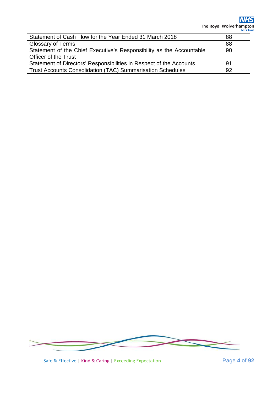**NHS** The Royal Wolverhampton

| Statement of Cash Flow for the Year Ended 31 March 2018              | 88  |
|----------------------------------------------------------------------|-----|
| <b>Glossary of Terms</b>                                             | 88  |
| Statement of the Chief Executive's Responsibility as the Accountable | 90  |
| <b>Officer of the Trust</b>                                          |     |
| Statement of Directors' Responsibilities in Respect of the Accounts  | .91 |
| <b>Trust Accounts Consolidation (TAC) Summarisation Schedules</b>    | 92  |



Safe & Effective | Kind & Caring | Exceeding Expectation Page 4 of 92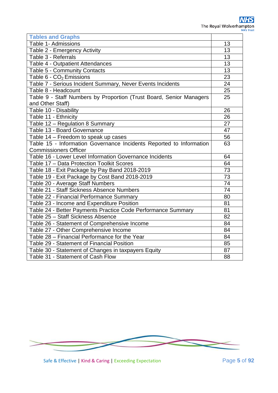| <b>Tables and Graphs</b>                                            |          |  |  |  |  |  |  |
|---------------------------------------------------------------------|----------|--|--|--|--|--|--|
| Table 1- Admissions                                                 | 13       |  |  |  |  |  |  |
| Table 2 - Emergency Activity                                        | 13       |  |  |  |  |  |  |
| Table 3 - Referrals                                                 | 13       |  |  |  |  |  |  |
| Table 4 - Outpatient Attendances                                    |          |  |  |  |  |  |  |
| Table 5 - Community Contacts                                        |          |  |  |  |  |  |  |
| Table 6 - CO <sub>2</sub> Emissions                                 | 23       |  |  |  |  |  |  |
| Table 7 - Serious Incident Summary, Never Events Incidents          | 24       |  |  |  |  |  |  |
| Table 8 - Headcount                                                 | 25       |  |  |  |  |  |  |
| Table 9 - Staff Numbers by Proportion (Trust Board, Senior Managers | 25       |  |  |  |  |  |  |
| and Other Staff)                                                    |          |  |  |  |  |  |  |
| Table 10 - Disability                                               | 26       |  |  |  |  |  |  |
| Table 11 - Ethnicity                                                | 26       |  |  |  |  |  |  |
| Table 12 - Regulation 8 Summary                                     | 27       |  |  |  |  |  |  |
| Table 13 - Board Governance                                         | 47       |  |  |  |  |  |  |
| Table 14 - Freedom to speak up cases                                | 56       |  |  |  |  |  |  |
| Table 15 - Information Governance Incidents Reported to Information | 63       |  |  |  |  |  |  |
| <b>Commissioners Officer</b>                                        |          |  |  |  |  |  |  |
| Table 16 - Lower Level Information Governance Incidents             |          |  |  |  |  |  |  |
| Table 17 - Data Protection Toolkit Scores                           | 64<br>73 |  |  |  |  |  |  |
| Table 18 - Exit Package by Pay Band 2018-2019                       |          |  |  |  |  |  |  |
| Table 19 - Exit Package by Cost Band 2018-2019                      | 73       |  |  |  |  |  |  |
| Table 20 - Average Staff Numbers                                    | 74       |  |  |  |  |  |  |
| Table 21 - Staff Sickness Absence Numbers                           | 74       |  |  |  |  |  |  |
| Table 22 - Financial Performance Summary                            | 80       |  |  |  |  |  |  |
| Table 23 - Income and Expenditure Position                          | 81       |  |  |  |  |  |  |
| Table 24 - Better Payments Practice Code Performance Summary        | 81       |  |  |  |  |  |  |
| Table 25 - Staff Sickness Absence                                   | 82       |  |  |  |  |  |  |
| Table 26 - Statement of Comprehensive Income                        | 84       |  |  |  |  |  |  |
| Table 27 - Other Comprehensive Income                               | 84       |  |  |  |  |  |  |
| Table 28 - Financial Performance for the Year                       | 84       |  |  |  |  |  |  |
| Table 29 - Statement of Financial Position                          | 85       |  |  |  |  |  |  |
| Table 30 - Statement of Changes in taxpayers Equity                 | 87       |  |  |  |  |  |  |
| Table 31 - Statement of Cash Flow                                   | 88       |  |  |  |  |  |  |



Safe & Effective | Kind & Caring | Exceeding Expectation **Page 5 of 92**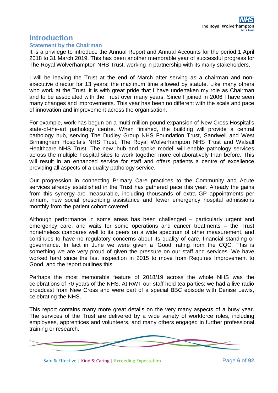# **Introduction**

#### **Statement by the Chairman**

It is a privilege to introduce the Annual Report and Annual Accounts for the period 1 April 2018 to 31 March 2019. This has been another memorable year of successful progress for The Royal Wolverhampton NHS Trust, working in partnership with its many stakeholders.

I will be leaving the Trust at the end of March after serving as a chairman and nonexecutive director for 13 years; the maximum time allowed by statute. Like many others who work at the Trust, it is with great pride that I have undertaken my role as Chairman and to be associated with the Trust over many years. Since I joined in 2006 I have seen many changes and improvements. This year has been no different with the scale and pace of innovation and improvement across the organisation.

For example, work has begun on a multi-million pound expansion of New Cross Hospital's state-of-the-art pathology centre. When finished, the building will provide a central pathology hub, serving The Dudley Group NHS Foundation Trust, Sandwell and West Birmingham Hospitals NHS Trust, The Royal Wolverhampton NHS Trust and Walsall Healthcare NHS Trust. The new 'hub and spoke model' will enable pathology services across the multiple hospital sites to work together more collaboratively than before. This will result in an enhanced service for staff and offers patients a centre of excellence providing all aspects of a quality pathology service.

Our progression in connecting Primary Care practices to the Community and Acute services already established in the Trust has gathered pace this year. Already the gains from this synergy are measurable, including thousands of extra GP appointments per annum, new social prescribing assistance and fewer emergency hospital admissions monthly from the patient cohort covered.

Although performance in some areas has been challenged – particularly urgent and emergency care, and waits for some operations and cancer treatments – the Trust nonetheless compares well to its peers on a wide spectrum of other measurement, and continues to have no regulatory concerns about its quality of care, financial standing or governance. In fact in June we were given a 'Good' rating from the CQC. This is something we are very proud of given the pressure on our staff and services. We have worked hard since the last inspection in 2015 to move from Requires Improvement to Good, and the report outlines this.

Perhaps the most memorable feature of 2018/19 across the whole NHS was the celebrations of 70 years of the NHS. At RWT our staff held tea parties; we had a live radio broadcast from New Cross and were part of a special BBC episode with Denise Lewis, celebrating the NHS.

This report contains many more great details on the very many aspects of a busy year. The services of the Trust are delivered by a wide variety of workforce roles, including employees, apprentices and volunteers, and many others engaged in further professional training or research.



Safe & Effective | Kind & Caring | Exceeding Expectation Page **6** of **92**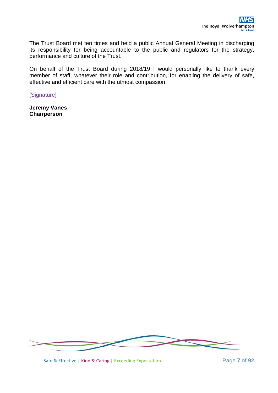The Trust Board met ten times and held a public Annual General Meeting in discharging its responsibility for being accountable to the public and regulators for the strategy, performance and culture of the Trust.

On behalf of the Trust Board during 2018/19 I would personally like to thank every member of staff, whatever their role and contribution, for enabling the delivery of safe, effective and efficient care with the utmost compassion.

[Signature]

**Jeremy Vanes Chairperson**



Safe & Effective | Kind & Caring | Exceeding Expectation Page **7** of **92**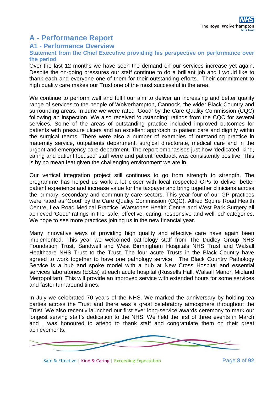# **A - Performance Report**

#### **A1 - Performance Overview**

#### **Statement from the Chief Executive providing his perspective on performance over the period**

Over the last 12 months we have seen the demand on our services increase yet again. Despite the on-going pressures our staff continue to do a brilliant job and I would like to thank each and everyone one of them for their outstanding efforts. Their commitment to high quality care makes our Trust one of the most successful in the area.

We continue to perform well and fulfil our aim to deliver an increasing and better quality range of services to the people of Wolverhampton, Cannock, the wider Black Country and surrounding areas. In June we were rated 'Good' by the Care Quality Commission (CQC) following an inspection. We also received 'outstanding' ratings from the CQC for several services. Some of the areas of outstanding practice included improved outcomes for patients with pressure ulcers and an excellent approach to patient care and dignity within the surgical teams. There were also a number of examples of outstanding practice in maternity service, outpatients department, surgical directorate, medical care and in the urgent and emergency care department. The report emphasises just how 'dedicated, kind, caring and patient focused' staff were and patient feedback was consistently positive. This is by no mean feat given the challenging environment we are in.

Our vertical integration project still continues to go from strength to strength. The programme has helped us work a lot closer with local respected GPs to deliver better patient experience and increase value for the taxpayer and bring together clinicians across the primary, secondary and community care sectors. This year four of our GP practices were rated as 'Good' by the Care Quality Commission (CQC). Alfred Squire Road Health Centre, Lea Road Medical Practice, Warstones Health Centre and West Park Surgery all achieved 'Good' ratings in the 'safe, effective, caring, responsive and well led' categories. We hope to see more practices joining us in the new financial year.

Many innovative ways of providing high quality and effective care have again been implemented. This year we welcomed pathology staff from The Dudley Group NHS Foundation Trust, Sandwell and West Birmingham Hospitals NHS Trust and Walsall Healthcare NHS Trust to the Trust. The four acute Trusts in the Black Country have agreed to work together to have one pathology service. The Black Country Pathology Service is a hub and spoke model with a hub at New Cross Hospital and essential services laboratories (ESLs) at each acute hospital (Russells Hall, Walsall Manor, Midland Metropolitan). This will provide an improved service with extended hours for some services and faster turnaround times.

In July we celebrated 70 years of the NHS. We marked the anniversary by holding tea parties across the Trust and there was a great celebratory atmosphere throughout the Trust. We also recently launched our first ever long-service awards ceremony to mark our longest serving staff's dedication to the NHS. We held the first of three events in March and I was honoured to attend to thank staff and congratulate them on their great achievements.



Safe & Effective | Kind & Caring | Exceeding Expectation Page **8** of **92**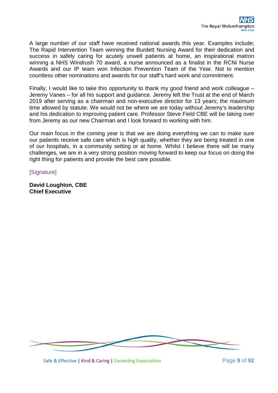A large number of our staff have received national awards this year. Examples include; The Rapid Intervention Team winning the Burdett Nursing Award for their dedication and success in safely caring for acutely unwell patients at home, an inspirational matron winning a NHS Windrush 70 award, a nurse announced as a finalist in the RCNi Nurse Awards and our IP team won Infection Prevention Team of the Year. Not to mention countless other nominations and awards for our staff's hard work and commitment.

Finally, I would like to take this opportunity to thank my good friend and work colleague – Jeremy Vanes – for all his support and guidance. Jeremy left the Trust at the end of March 2019 after serving as a chairman and non-executive director for 13 years; the maximum time allowed by statute. We would not be where we are today without Jeremy's leadership and his dedication to improving patient care. Professor Steve Field CBE will be taking over from Jeremy as our new Chairman and I look forward to working with him.

Our main focus in the coming year is that we are doing everything we can to make sure our patients receive safe care which is high quality, whether they are being treated in one of our hospitals, in a community setting or at home. Whilst I believe there will be many challenges, we are in a very strong position moving forward to keep our focus on doing the right thing for patients and provide the best care possible.

**[Signature]** 

**David Loughton, CBE Chief Executive**

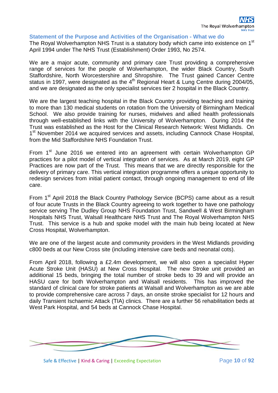#### **Statement of the Purpose and Activities of the Organisation - What we do**

The Royal Wolverhampton NHS Trust is a statutory body which came into existence on 1<sup>st</sup> April 1994 under The NHS Trust (Establishment) Order 1993, No 2574.

We are a major acute, community and primary care Trust providing a comprehensive range of services for the people of Wolverhampton, the wider Black Country, South Staffordshire, North Worcestershire and Shropshire. The Trust gained Cancer Centre status in 1997, were designated as the 4<sup>th</sup> Regional Heart & Lung Centre during 2004/05, and we are designated as the only specialist services tier 2 hospital in the Black Country.

We are the largest teaching hospital in the Black Country providing teaching and training to more than 130 medical students on rotation from the University of Birmingham Medical School. We also provide training for nurses, midwives and allied health professionals through well-established links with the University of Wolverhampton. During 2014 the Trust was established as the Host for the Clinical Research Network: West Midlands. On 1<sup>st</sup> November 2014 we acquired services and assets, including Cannock Chase Hospital, from the Mid Staffordshire NHS Foundation Trust.

From 1<sup>st</sup> June 2016 we entered into an agreement with certain Wolverhampton GP practices for a pilot model of vertical integration of services. As at March 2019, eight GP Practices are now part of the Trust. This means that we are directly responsible for the delivery of primary care. This vertical integration programme offers a unique opportunity to redesign services from initial patient contact, through ongoing management to end of life care.

From  $1<sup>st</sup>$  April 2018 the Black Country Pathology Service (BCPS) came about as a result of four acute Trusts in the Black Country agreeing to work together to have one pathology service serving The Dudley Group NHS Foundation Trust, Sandwell & West Birmingham Hospitals NHS Trust, Walsall Healthcare NHS Trust and The Royal Wolverhampton NHS Trust. This service is a hub and spoke model with the main hub being located at New Cross Hospital, Wolverhampton.

We are one of the largest acute and community providers in the West Midlands providing c800 beds at our New Cross site (including intensive care beds and neonatal cots).

From April 2018, following a £2.4m development, we will also open a specialist Hyper Acute Stroke Unit (HASU) at New Cross Hospital. The new Stroke unit provided an additional 15 beds, bringing the total number of stroke beds to 39 and will provide an HASU care for both Wolverhampton and Walsall residents. This has improved the standard of clinical care for stroke patients at Walsall and Wolverhampton as we are able to provide comprehensive care across 7 days, an onsite stroke specialist for 12 hours and daily Transient Ischaemic Attack (TIA) clinics. There are a further 56 rehabilitation beds at West Park Hospital, and 54 beds at Cannock Chase Hospital.



Safe & Effective | Kind & Caring | Exceeding Expectation Page 10 of 92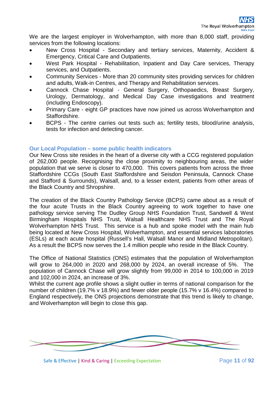We are the largest employer in Wolverhampton, with more than 8,000 staff, providing services from the following locations:

- New Cross Hospital Secondary and tertiary services, Maternity, Accident & Emergency, Critical Care and Outpatients.
- West Park Hospital Rehabilitation, Inpatient and Day Care services, Therapy services, and Outpatients.
- Community Services More than 20 community sites providing services for children and adults, Walk-in Centres, and Therapy and Rehabilitation services.
- Cannock Chase Hospital General Surgery, Orthopaedics, Breast Surgery, Urology, Dermatology, and Medical Day Case investigations and treatment (including Endoscopy).
- Primary Care eight GP practices have now joined us across Wolverhampton and Staffordshire.
- BCPS The centre carries out tests such as; fertility tests, blood/urine analysis, tests for infection and detecting cancer.

#### **Our Local Population – some public health indicators**

Our New Cross site resides in the heart of a diverse city with a CCG registered population of 262,000 people. Recognising the close proximity to neighbouring areas, the wider population that we serve is closer to 470,000. This covers patients from across the three Staffordshire CCGs (South East Staffordshire and Seisdon Peninsula, Cannock Chase and Stafford & Surrounds), Walsall, and, to a lesser extent, patients from other areas of the Black Country and Shropshire.

The creation of the Black Country Pathology Service (BCPS) came about as a result of the four acute Trusts in the Black Country agreeing to work together to have one pathology service serving The Dudley Group NHS Foundation Trust, Sandwell & West Birmingham Hospitals NHS Trust, Walsall Healthcare NHS Trust and The Royal Wolverhampton NHS Trust. This service is a hub and spoke model with the main hub being located at New Cross Hospital, Wolverhampton, and essential services laboratories (ESLs) at each acute hospital (Russell's Hall, Walsall Manor and Midland Metropolitan). As a result the BCPS now serves the 1.4 million people who reside in the Black Country.

The Office of National Statistics (ONS) estimates that the population of Wolverhampton will grow to 264,000 in 2020 and 268,000 by 2024, an overall increase of 5%. The population of Cannock Chase will grow slightly from 99,000 in 2014 to 100,000 in 2019 and 102,000 in 2024, an increase of 3%.

Whilst the current age profile shows a slight outlier in terms of national comparison for the number of children (19.7% v 18.9%) and fewer older people (15.7% v 16.4%) compared to England respectively, the ONS projections demonstrate that this trend is likely to change, and Wolverhampton will begin to close this gap.



Safe & Effective | Kind & Caring | Exceeding Expectation Page 11 of 92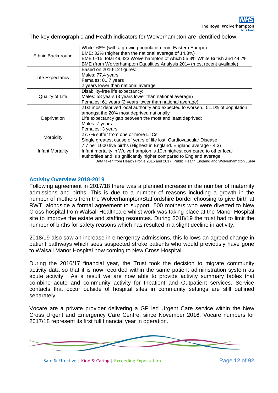The key demographic and Health indicators for Wolverhampton are identified below:

|                   | White: 68% (with a growing population from Eastern Europe)                                 |  |  |  |  |  |  |  |  |
|-------------------|--------------------------------------------------------------------------------------------|--|--|--|--|--|--|--|--|
| Ethnic Background | BME: 32% (higher than the national average of 14.3%)                                       |  |  |  |  |  |  |  |  |
|                   | BME 0-15: total 49,423 Wolverhampton of which 55.3% White British and 44.7%                |  |  |  |  |  |  |  |  |
|                   | BME (from Wolverhampton Equalities Analysis 2014 (most recent available).                  |  |  |  |  |  |  |  |  |
|                   | Based on 2010-12 figures:                                                                  |  |  |  |  |  |  |  |  |
|                   | Males: 77.4 years                                                                          |  |  |  |  |  |  |  |  |
| Life Expectancy   | Females: 81.7 years                                                                        |  |  |  |  |  |  |  |  |
|                   | 2 years lower than national average                                                        |  |  |  |  |  |  |  |  |
| Quality of Life   | Disability-free life expectancy:                                                           |  |  |  |  |  |  |  |  |
|                   | Males: 58 years (3 years lower than national average)                                      |  |  |  |  |  |  |  |  |
|                   | Females: 61 years (2 years lower than national average)                                    |  |  |  |  |  |  |  |  |
|                   | 21st most deprived local authority and expected to worsen. 51.1% of population             |  |  |  |  |  |  |  |  |
|                   | amongst the 20% most deprived nationally                                                   |  |  |  |  |  |  |  |  |
| Deprivation       | Life expectancy gap between the most and least deprived:                                   |  |  |  |  |  |  |  |  |
|                   | Males: 7 years                                                                             |  |  |  |  |  |  |  |  |
|                   | Females: 3 years                                                                           |  |  |  |  |  |  |  |  |
|                   | 27.7% suffer from one or more LTCs                                                         |  |  |  |  |  |  |  |  |
| Morbidity         | Single greatest cause of years of life lost: Cardiovascular Disease                        |  |  |  |  |  |  |  |  |
|                   | 7.7 per 1000 live births (Highest in England. England average - 4.3)                       |  |  |  |  |  |  |  |  |
| Infant Mortality  | Infant mortality in Wolverhampton is 10th highest compared to other local                  |  |  |  |  |  |  |  |  |
|                   | authorities and is significantly higher compared to England average                        |  |  |  |  |  |  |  |  |
|                   | Data taken from Health Profile 2016 and 2017, Public Health England and Wolverhampton JSNA |  |  |  |  |  |  |  |  |

#### **Activity Overview 2018-2019**

Following agreement in 2017/18 there was a planned increase in the number of maternity admissions and births. This is due to a number of reasons including a growth in the number of mothers from the Wolverhampton/Staffordshire border choosing to give birth at RWT, alongside a formal agreement to support 500 mothers who were diverted to New Cross hospital from Walsall Healthcare whilst work was taking place at the Manor Hospital site to improve the estate and staffing resources. During 2018/19 the trust had to limit the number of births for safety reasons which has resulted in a slight decline in activity.

2018/19 also saw an increase in emergency admissions, this follows an agreed change in patient pathways which sees suspected stroke patients who would previously have gone to Walsall Manor Hospital now coming to New Cross Hospital.

During the 2016/17 financial year, the Trust took the decision to migrate community activity data so that it is now recorded within the same patient administration system as acute activity. As a result we are now able to provide activity summary tables that combine acute and community activity for Inpatient and Outpatient services. Service contacts that occur outside of hospital sites in community settings are still outlined separately.

Vocare are a private provider delivering a GP led Urgent Care service within the New Cross Urgent and Emergency Care Centre, since November 2016. Vocare numbers for 2017/18 represent its first full financial year in operation.



Safe & Effective | Kind & Caring | Exceeding Expectation Page **12** of **92**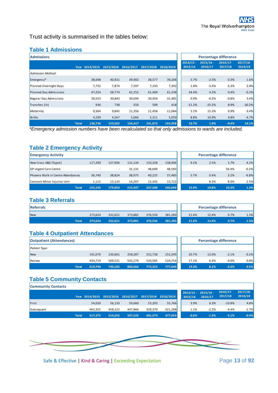Trust activity is summarised in the tables below:

#### **Table 1 Admissions**

| <b>Admissions</b>       |              |                |           |           |           |           |                        | <b>Percentage difference</b> |                        |                       |
|-------------------------|--------------|----------------|-----------|-----------|-----------|-----------|------------------------|------------------------------|------------------------|-----------------------|
|                         |              | Year 2014/2015 | 2015/2016 | 2016/2017 | 2017/2018 | 2018/2019 | $2014/15 -$<br>2015/16 | $2015/16 -$<br>2016/17       | $2016/17 -$<br>2017/18 | $2017/18-$<br>2019/19 |
| Admission Method:       |              |                |           |           |           |           |                        |                              |                        |                       |
| Emergency*              |              | 38,698         | 40,921    | 39,902    | 38,577    | 39,206    | 5.7%                   | $-2.5%$                      | $-3.3%$                | 1.6%                  |
| Planned Overnight Stays |              | 7,732          | 7,874     | 7,597     | 7,193     | 7,392     | 1.8%                   | $-3.5%$                      | $-5.3%$                | 2.8%                  |
| Planned Day Admissions  |              | 47,254         | 58,774    | 61,252    | 61,469    | 61,338    | 24.4%                  | 4.2%                         | 0.4%                   | $-0.2%$               |
| Regular Day Admissions  |              | 30,553         | 30,843    | 30,694    | 30,459    | 31,481    | 0.9%                   | $-0.5%$                      | $-0.8%$                | 3.4%                  |
| Transfers (in)          |              | 936            | 738       | 550       | 599       | 418       | $-21.2%$               | $-25.5%$                     | 8.9%                   | $-30.2%$              |
| Maternity               |              | 9,364          | 9,845     | 11,356    | 11,458    | 11,064    | 5.1%                   | 15.3%                        | 0.9%                   | $-3.4%$               |
| <b>Births</b>           |              | 4,199          | 4,567     | 5,066     | 5,311     | 5,059     | 8.8%                   | 10.9%                        | 4.8%                   | $-4.7%$               |
|                         | <b>Total</b> | 138.736        | 153.562   | 156.417   | 141.672   | 155,958   | 10.7%                  | 1.9%                         | $-9.4%$                | 10.1%                 |

*\*Emergency admission numbers have been recalculated so that only admissions to wards are included.* 

#### **Table 2 Emergency Activity**

| <b>Emergency Activity</b>          |         |                          |         |         |         |       | <b>Percentage difference</b> |       |         |
|------------------------------------|---------|--------------------------|---------|---------|---------|-------|------------------------------|-------|---------|
| New Cross A&E (Type1)              | 117,290 | 127.906                  | 131.134 | 133,328 | 138,906 | 9.1%  | 2.5%                         | 1.7%  | 4.2%    |
| <b>GP Urgent Care Centre</b>       |         | $\overline{\phantom{a}}$ | 31,131  | 48,690  | 48,583  |       |                              | 56.4% | $-0.2%$ |
| Phoenix Walk in Centre Attendances | 36.740  | 38,824                   | 38,975  | 40,225  | 37,485  | 5.7%  | 0.4%                         | 3.2%  | $-6.8%$ |
| Cannock Minor Injuries Unit        | 1.115   | 13.124                   | 14.207  | 15.345  | 15,722  |       | 8.3%                         | 8.0%  | 2.5%    |
| Total                              | 155.145 | 179,854                  | 215,447 | 237,588 | 240,696 | 15.9% | 19.8%                        | 10.3% | 1.3%    |

#### **Table 3 Referrals**

| Referrals  |       |         |         |         |         |         |       | <b>Percentage difference</b> |      |      |
|------------|-------|---------|---------|---------|---------|---------|-------|------------------------------|------|------|
| <b>New</b> |       | 273,624 | 332.621 | 373.881 | 376.556 | 381,283 | 21.6% | 12.4%                        | 0.7% | 1.3% |
|            | Total | 273.624 | 332,621 | 373,881 | 376.556 | 381,283 | 21.6% | 12.4%                        | 0.7% | 1.3% |

#### **Table 4 Outpatient Attendances**

| <b>Outpatient (Attendances)</b> |         |         |         |         |         |       | <b>Percentage difference</b> |         |         |
|---------------------------------|---------|---------|---------|---------|---------|-------|------------------------------|---------|---------|
| Patient Type:                   |         |         |         |         |         |       |                              |         |         |
| New                             | 191,070 | 230,661 | 258,287 | 252,738 | 252,295 | 20.7% | 12.0%                        | $-2.1%$ | $-0.2%$ |
| Review                          | 434.719 | 509.521 | 542.279 | 520.585 | 524,754 | 17.2% | 6.4%                         | $-4.0%$ | 0.8%    |
| Total                           | 619,740 | 740,182 | 800,566 | 773.323 | 777,049 | 19.4% | 8.2%                         | $-3.4%$ | 0.5%    |

| <b>Percentage difference</b> |       |         |         |  |  |  |  |  |  |  |
|------------------------------|-------|---------|---------|--|--|--|--|--|--|--|
|                              |       |         |         |  |  |  |  |  |  |  |
| 20.7%                        | 12.0% | $-2.1%$ | $-0.2%$ |  |  |  |  |  |  |  |
| 17.2%                        | 6.4%  | $-4.0%$ | 0.8%    |  |  |  |  |  |  |  |
| 194%                         | 8.2%  | -3.4%   | በ 5%    |  |  |  |  |  |  |  |

#### **Table 5 Community Contacts Community Contacts**

| $\sim$     |              |         |         |                                                        |         |         |                                  |         |                        |                       |
|------------|--------------|---------|---------|--------------------------------------------------------|---------|---------|----------------------------------|---------|------------------------|-----------------------|
|            |              |         |         | Year 2014/2015 2015/2016 2016/2017 2017/2018 2018/2019 |         |         | $2014/15 - 2015/16 -$<br>2015/16 | 2016/17 | $2016/17 -$<br>2017/18 | $2017/18-$<br>2019/19 |
| First      |              | 54,020  | 56,133  | 59,660                                                 | 53,203  | 55,766  | 3.9%                             | 6.3%    | $-10.8%$               | 4.8%                  |
| Subsequent |              | 463.355 | 458.122 | 447.860                                                | 428.370 | 421,288 | $-1.1%$                          | $-2.2%$ | $-4.4%$                | $-1.7%$               |
|            | <b>Total</b> | 517.375 | 514,255 | 507.520                                                | 481.573 | 477.054 | $-0.6%$                          | $-1.3%$ | $-5.1%$                | $-0.9%$               |

| $2014/15 -$<br>2015/16 | $2015/16 -$<br>2016/17 | 2016/17-<br>2017/18 | $2017/18$ -<br>2019/19 |
|------------------------|------------------------|---------------------|------------------------|
| 3.9%                   | 6.3%                   | $-10.8%$            | 4.8%                   |
| $-1.1%$                | $-2.2%$                | $-4.4%$             | $-1.7%$                |
| $-0.6%$                | $-1.3%$                | $-5.1%$             | $-0.9%$                |



Safe & Effective | Kind & Caring | Exceeding Expectation Page 13 of 92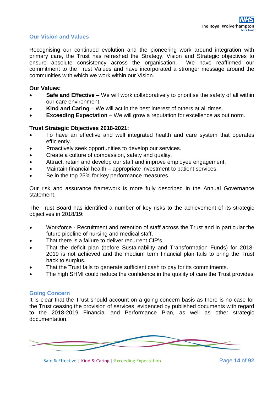#### **Our Vision and Values**

Recognising our continued evolution and the pioneering work around integration with primary care, the Trust has refreshed the Strategy, Vision and Strategic objectives to ensure absolute consistency across the organisation. We have reaffirmed our commitment to the Trust Values and have incorporated a stronger message around the communities with which we work within our Vision.

#### **Our Values:**

- Safe and Effective We will work collaboratively to prioritise the safety of all within our care environment.
- **Kind and Caring** We will act in the best interest of others at all times.
- **Exceeding Expectation** We will grow a reputation for excellence as out norm.

#### **Trust Strategic Objectives 2018-2021:**

- To have an effective and well integrated health and care system that operates efficiently.
- Proactively seek opportunities to develop our services.
- Create a culture of compassion, safety and quality.
- Attract, retain and develop our staff and improve employee engagement.
- Maintain financial health appropriate investment to patient services.
- Be in the top 25% for key performance measures.

Our risk and assurance framework is more fully described in the Annual Governance statement.

The Trust Board has identified a number of key risks to the achievement of its strategic objectives in 2018/19:

- Workforce Recruitment and retention of staff across the Trust and in particular the future pipeline of nursing and medical staff.
- That there is a failure to deliver recurrent CIP's.
- That the deficit plan (before Sustainability and Transformation Funds) for 2018- 2019 is not achieved and the medium term financial plan fails to bring the Trust back to surplus.
- That the Trust fails to generate sufficient cash to pay for its commitments.
- The high SHMI could reduce the confidence in the quality of care the Trust provides

#### **Going Concern**

It is clear that the Trust should account on a going concern basis as there is no case for the Trust ceasing the provision of services, evidenced by published documents with regard to the 2018-2019 Financial and Performance Plan, as well as other strategic documentation.

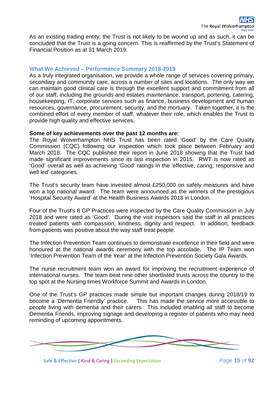As an existing trading entity, the Trust is not likely to be wound up and as such, it can be concluded that the Trust is a going concern. This is reaffirmed by the Trust's Statement of Financial Position as at 31 March 2019.

#### **What We Achieved – Performance Summary 2018-2019**

As a truly integrated organisation, we provide a whole range of services covering primary, secondary and community care, across a number of sites and locations. The only way we can maintain good clinical care is through the excellent support and commitment from all of our staff, including the grounds and estates maintenance, transport, portering, catering, housekeeping, IT, corporate services such as finance, business development and human resources, governance, procurement, security, and the mortuary. Taken together, it is the combined effort of every member of staff, whatever their role, which enables the Trust to provide high quality and effective services.

#### **Some of key achievements over the past 12 months are:**

The Royal Wolverhampton NHS Trust has been rated 'Good' by the Care Quality Commission (CQC) following our inspection which took place between February and March 2018. The CQC published their report in June 2018 showing that the Trust had made significant improvements since its last inspection in 2015. RWT is now rated as 'Good' overall as well as achieving 'Good' ratings in the 'effective, caring, responsive and well led' categories.

The Trust's security team have invested almost £250,000 on safety measures and have won a top national award. The team were announced as the winners of the prestigious 'Hospital Security Award' at the Health Business Awards 2018 in London.

Four of the Trust's 8 GP Practices were inspected by the Care Quality Commission in July 2018 and were rated as 'Good'. During the visit inspectors said the staff in all practices treated patients with compassion, kindness, dignity and respect. In addition, feedback from patients was positive about the way staff treat people.

The Infection Prevention Team continues to demonstrate excellence in their field and were honoured at the national awards ceremony with the top accolade. The IP Team won 'Infection Prevention Team of the Year' at the Infection Prevention Society Gala Awards.

The nurse recruitment team won an award for improving the recruitment experience of international nurses. The team beat nine other shortlisted trusts across the country to the top spot at the Nursing times Workforce Summit and Awards in London.

One of the Trust's GP practices made simple but important changes during 2018/19 to become a 'Dementia Friendly' practice. This has made the service more accessible to people living with dementia and their carers. This included enabling all staff to become Dementia Friends, improving signage and developing a register of patients who may need reminding of upcoming appointments.

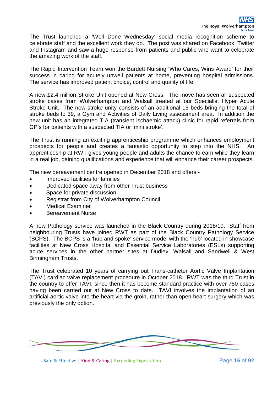The Trust launched a 'Well Done Wednesday' social media recognition scheme to celebrate staff and the excellent work they do. The post was shared on Facebook, Twitter and Instagram and saw a huge response from patients and public who want to celebrate the amazing work of the staff.

The Rapid Intervention Team won the Burdett Nursing 'Who Cares, Wins Award' for their success in caring for acutely unwell patients at home, preventing hospital admissions. The service has improved patient choice, control and quality of life.

A new £2.4 million Stroke Unit opened at New Cross. The move has seen all suspected stroke cases from Wolverhampton and Walsall treated at our Specialist Hyper Acute Stroke Unit. The new stroke unity consists of an additional 15 beds bringing the total of stroke beds to 39, a Gym and Activities of Daily Living assessment area. In addition the new unit has an integrated TIA (transient ischaemic attack) clinic for rapid referrals from GP's for patients with a suspected TIA or 'mini stroke'.

The Trust is running an exciting apprenticeship programme which enhances employment prospects for people and creates a fantastic opportunity to step into the NHS. An apprenticeship at RWT gives young people and adults the chance to earn while they learn in a real job, gaining qualifications and experience that will enhance their career prospects.

The new bereavement centre opened in December 2018 and offers:-

- Improved facilities for families
- Dedicated space away from other Trust business
- Space for private discussion
- Registrar from City of Wolverhampton Council
- Medical Examiner
- Bereavement Nurse

A new Pathology service was launched in the Black Country during 2018/19. Staff from neighbouring Trusts have joined RWT as part of the Black Country Pathology Service (BCPS). The BCPS is a 'hub and spoke' service model with the 'hub' located in showcase facilities at New Cross Hospital and Essential Service Laboratories (ESLs) supporting acute services in the other partner sites at Dudley, Walsall and Sandwell & West Birmingham Trusts.

The Trust celebrated 10 years of carrying out Trans-catheter Aortic Valve Implantation (TAVI) cardiac valve replacement procedure in October 2018. RWT was the third Trust in the country to offer TAVI, since then it has become standard practice with over 750 cases having been carried out at New Cross to date. TAVI involves the implantation of an artificial aortic valve into the heart via the groin, rather than open heart surgery which was previously the only option.



Safe & Effective | Kind & Caring | Exceeding Expectation Page 16 of 92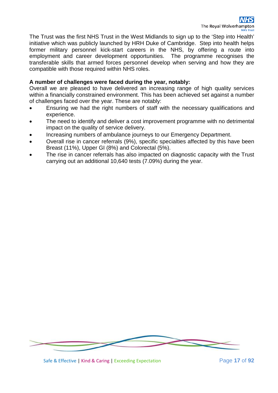The Trust was the first NHS Trust in the West Midlands to sign up to the 'Step into Health' initiative which was publicly launched by HRH Duke of Cambridge. Step into health helps former military personnel kick-start careers in the NHS, by offering a route into employment and career development opportunities. The programme recognises the transferable skills that armed forces personnel develop when serving and how they are compatible with those required within NHS roles.

#### **A number of challenges were faced during the year, notably:**

Overall we are pleased to have delivered an increasing range of high quality services within a financially constrained environment. This has been achieved set against a number of challenges faced over the year. These are notably:

- Ensuring we had the right numbers of staff with the necessary qualifications and experience.
- The need to identify and deliver a cost improvement programme with no detrimental impact on the quality of service delivery.
- Increasing numbers of ambulance journeys to our Emergency Department.
- Overall rise in cancer referrals (9%), specific specialties affected by this have been Breast (11%), Upper GI (8%) and Colorectal (5%).
- The rise in cancer referrals has also impacted on diagnostic capacity with the Trust carrying out an additional 10,640 tests (7.09%) during the year.



Safe & Effective | Kind & Caring | Exceeding Expectation Page **17** of **92**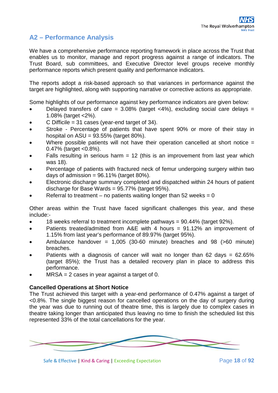### **A2 – Performance Analysis**

We have a comprehensive performance reporting framework in place across the Trust that enables us to monitor, manage and report progress against a range of indicators. The Trust Board, sub committees, and Executive Director level groups receive monthly performance reports which present quality and performance indicators.

The reports adopt a risk-based approach so that variances in performance against the target are highlighted, along with supporting narrative or corrective actions as appropriate.

Some highlights of our performance against key performance indicators are given below:

- Delayed transfers of care =  $3.08\%$  (target <4%), excluding social care delays = 1.08% (target <2%).
- $C$  Difficile = 31 cases (year-end target of 34).
- Stroke Percentage of patients that have spent 90% or more of their stay in hospital on  $ASU = 93.55\%$  (target  $80\%$ ).
- Where possible patients will not have their operation cancelled at short notice  $=$ 0.47% (target <0.8%).
- Falls resulting in serious harm  $= 12$  (this is an improvement from last year which was 18).
- Percentage of patients with fractured neck of femur undergoing surgery within two days of admission =  $96.11\%$  (target 80%).
- Electronic discharge summary completed and dispatched within 24 hours of patient discharge for Base Wards = 95.77% (target 95%).
- Referral to treatment no patients waiting longer than 52 weeks =  $0$

Other areas within the Trust have faced significant challenges this year, and these include:-

- $\bullet$  18 weeks referral to treatment incomplete pathways = 90.44% (target 92%).
- Patients treated/admitted from A&E with 4 hours = 91.12% an improvement of 1.15% from last year's performance of 89.97% (target 95%).
- Ambulance handover =  $1,005$  (30-60 minute) breaches and 98 (>60 minute) breaches.
- Patients with a diagnosis of cancer will wait no longer than  $62$  days =  $62.65\%$ (target 85%); the Trust has a detailed recovery plan in place to address this performance.
- $MRSA = 2$  cases in year against a target of 0.

#### **Cancelled Operations at Short Notice**

The Trust achieved this target with a year-end performance of 0.47% against a target of <0.8%. The single biggest reason for cancelled operations on the day of surgery during the year was due to running out of theatre time, this is largely due to complex cases in theatre taking longer than anticipated thus leaving no time to finish the scheduled list this represented 33% of the total cancellations for the year.

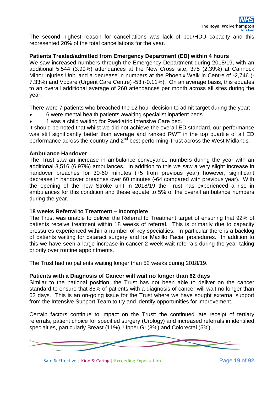The second highest reason for cancellations was lack of bed/HDU capacity and this represented 20% of the total cancellations for the year.

#### **Patients Treated/admitted from Emergency Department (ED) within 4 hours**

We saw increased numbers through the Emergency Department during 2018/19, with an additional 5,544 (3.99%) attendances at the New Cross site, 375 (2.39%) at Cannock Minor Injuries Unit, and a decrease in numbers at the Phoenix Walk in Centre of -2,746 (- 7.33%) and Vocare (Urgent Care Centre) -53 (-0.11%). On an average basis, this equates to an overall additional average of 260 attendances per month across all sites during the year.

There were 7 patients who breached the 12 hour decision to admit target during the year:-

- 6 were mental health patients awaiting specialist inpatient beds.
- 1 was a child waiting for Paediatric Intensive Care bed.

It should be noted that whilst we did not achieve the overall ED standard, our performance was still significantly better than average and ranked RWT in the top quartile of all ED performance across the country and  $2^{nd}$  best performing Trust across the West Midlands.

#### **Ambulance Handover**

The Trust saw an increase in ambulance conveyance numbers during the year with an additional 3,516 (6.97%) ambulances. In addition to this we saw a very slight increase in handover breaches for 30-60 minutes (+5 from previous year) however, significant decrease in handover breaches over 60 minutes (-64 compared with previous year). With the opening of the new Stroke unit in 2018/19 the Trust has experienced a rise in ambulances for this condition and these equate to 5% of the overall ambulance numbers during the year.

#### **18 weeks Referral to Treatment – Incomplete**

The Trust was unable to deliver the Referral to Treatment target of ensuring that 92% of patients receive treatment within 18 weeks of referral. This is primarily due to capacity pressures experienced within a number of key specialties. In particular there is a backlog of patients waiting for cataract surgery and for Maxillo Facial procedures. In addition to this we have seen a large increase in cancer 2 week wait referrals during the year taking priority over routine appointments.

The Trust had no patients waiting longer than 52 weeks during 2018/19.

#### **Patients with a Diagnosis of Cancer will wait no longer than 62 days**

Similar to the national position, the Trust has not been able to deliver on the cancer standard to ensure that 85% of patients with a diagnosis of cancer will wait no longer than 62 days. This is an on-going issue for the Trust where we have sought external support from the Intensive Support Team to try and identify opportunities for improvement.

Certain factors continue to impact on the Trust: the continued late receipt of tertiary referrals, patient choice for specified surgery (Urology) and increased referrals in identified specialties, particularly Breast (11%), Upper GI (8%) and Colorectal (5%).



Safe & Effective | Kind & Caring | Exceeding Expectation Page **19** of **92**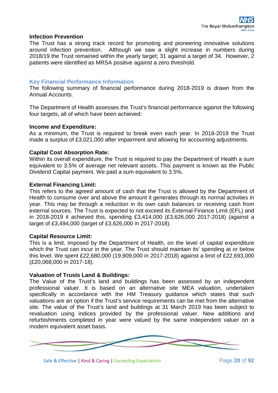#### **Infection Prevention**

The Trust has a strong track record for promoting and pioneering innovative solutions around infection prevention. Although we saw a slight increase in numbers during 2018/19 the Trust remained within the yearly target; 31 against a target of 34. However, 2 patients were identified as MRSA positive against a zero threshold.

#### **Key Financial Performance Information**

The following summary of financial performance during 2018-2019 is drawn from the Annual Accounts.

The Department of Health assesses the Trust's financial performance against the following four targets, all of which have been achieved:

#### **Income and Expenditure:**

As a minimum, the Trust is required to break even each year. In 2018-2019 the Trust made a surplus of £3,021,000 after impairment and allowing for accounting adjustments.

#### **Capital Cost Absorption Rate:**

Within its overall expenditure, the Trust is required to pay the Department of Health a sum equivalent to 3.5% of average net relevant assets. This payment is known as the Public Dividend Capital payment. We paid a sum equivalent to 3.5%.

#### **External Financing Limit:**

This refers to the agreed amount of cash that the Trust is allowed by the Department of Health to consume over and above the amount it generates through its normal activities in year. This may be through a reduction in its own cash balances or receiving cash from external sources. The Trust is expected to not exceed its External Finance Limit (EFL) and in 2018-2019 it achieved this, spending £3,414,000 (£3,626,000 2017-2018) (against a target of £3,494,000 (target of £3,626,000 in 2017-2018).

#### **Capital Resource Limit:**

This is a limit, imposed by the Department of Health, on the level of capital expenditure which the Trust can incur in the year. The Trust should maintain its' spending at or below this level. We spent £22,680,000 (19,909,000 in 2017-2018) against a limit of £22,693,000 (£20,068,000 in 2017-18).

#### **Valuation of Trusts Land & Buildings:**

The Value of the Trust's land and buildings has been assessed by an independent professional valuer. It is based on an alternative site MEA valuation, undertaken specifically in accordance with the HM Treasury guidance which states that such valuations are an option if the Trust's service requirements can be met from the alternative site. The value of the Trust's land and buildings at 31 March 2019 has been subject to revaluation using indices provided by the professional valuer. New additions and refurbishments completed in year were valued by the same independent valuer on a modern equivalent asset basis.



Safe & Effective | Kind & Caring | Exceeding Expectation Page **20** of **92**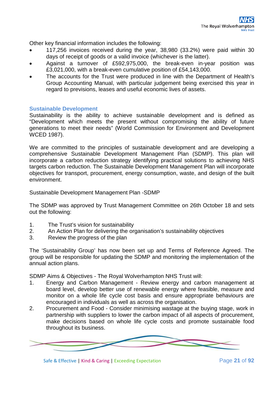Other key financial information includes the following:

- 117,256 invoices received during the year, 38,980 (33.2%) were paid within 30 days of receipt of goods or a valid invoice (whichever is the latter).
- Against a turnover of £592,975,000, the break-even in-year position was £3,021,000, with a break-even cumulative position of £54,143,000.
- The accounts for the Trust were produced in line with the Department of Health's Group Accounting Manual, with particular judgement being exercised this year in regard to previsions, leases and useful economic lives of assets.

#### **Sustainable Development**

Sustainability is the ability to achieve sustainable development and is defined as "Development which meets the present without compromising the ability of future generations to meet their needs" (World Commission for Environment and Development WCED 1987).

We are committed to the principles of sustainable development and are developing a comprehensive Sustainable Development Management Plan (SDMP). This plan will incorporate a carbon reduction strategy identifying practical solutions to achieving NHS targets carbon reduction. The Sustainable Development Management Plan will incorporate objectives for transport, procurement, energy consumption, waste, and design of the built environment.

Sustainable Development Management Plan -SDMP

The SDMP was approved by Trust Management Committee on 26th October 18 and sets out the following:

- 1. The Trust's vision for sustainability
- 2. An Action Plan for delivering the organisation's sustainability objectives
- 3. Review the progress of the plan

The 'Sustainability Group' has now been set up and Terms of Reference Agreed. The group will be responsible for updating the SDMP and monitoring the implementation of the annual action plans.

SDMP Aims & Objectives - The Royal Wolverhampton NHS Trust will:

- 1. Energy and Carbon Management Review energy and carbon management at board level, develop better use of renewable energy where feasible, measure and monitor on a whole life cycle cost basis and ensure appropriate behaviours are encouraged in individuals as well as across the organisation.
- 2. Procurement and Food Consider minimising wastage at the buying stage, work in partnership with suppliers to lower the carbon impact of all aspects of procurement, make decisions based on whole life cycle costs and promote sustainable food throughout its business.



Safe & Effective | Kind & Caring | Exceeding Expectation Page **21** of **92**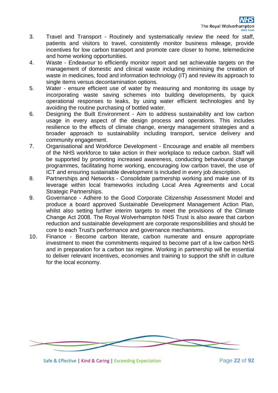- 3. Travel and Transport Routinely and systematically review the need for staff, patients and visitors to travel, consistently monitor business mileage, provide incentives for low carbon transport and promote care closer to home, telemedicine and home working opportunities.
- 4. Waste Endeavour to efficiently monitor report and set achievable targets on the management of domestic and clinical waste including minimising the creation of waste in medicines, food and information technology (IT) and review its approach to single items versus decontamination options.
- 5. Water ensure efficient use of water by measuring and monitoring its usage by incorporating waste saving schemes into building developments, by quick operational responses to leaks, by using water efficient technologies and by avoiding the routine purchasing of bottled water.
- 6. Designing the Built Environment Aim to address sustainability and low carbon usage in every aspect of the design process and operations. This includes resilience to the effects of climate change, energy management strategies and a broader approach to sustainability including transport, service delivery and community engagement.
- 7. Organisational and Workforce Development Encourage and enable all members of the NHS workforce to take action in their workplace to reduce carbon. Staff will be supported by promoting increased awareness, conducting behavioural change programmes, facilitating home working, encouraging low carbon travel, the use of ICT and ensuring sustainable development is included in every job description.
- 8. Partnerships and Networks Consolidate partnership working and make use of its leverage within local frameworks including Local Area Agreements and Local Strategic Partnerships.
- 9. Governance Adhere to the Good Corporate Citizenship Assessment Model and produce a board approved Sustainable Development Management Action Plan, whilst also setting further interim targets to meet the provisions of the Climate Change Act 2008. The Royal Wolverhampton NHS Trust is also aware that carbon reduction and sustainable development are corporate responsibilities and should be core to each Trust's performance and governance mechanisms.
- 10. Finance Become carbon literate, carbon numerate and ensure appropriate investment to meet the commitments required to become part of a low carbon NHS and in preparation for a carbon tax regime. Working in partnership will be essential to deliver relevant incentives, economies and training to support the shift in culture for the local economy.



Safe & Effective | Kind & Caring | Exceeding Expectation Page **22** of **92**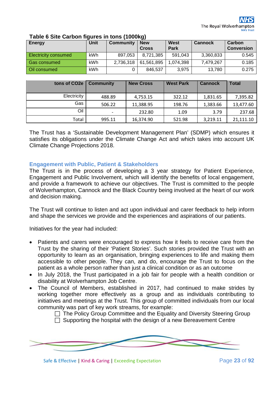| Energy                      | Unit       | <b>Community</b> | <b>New</b><br><b>Cross</b> | <b>West</b><br>Park | <b>Cannock</b> | Carbon<br><b>Conversion</b> |
|-----------------------------|------------|------------------|----------------------------|---------------------|----------------|-----------------------------|
| <b>Electricity consumed</b> | <b>kWh</b> | 897.053          | 8,721,385                  | 591,043             | 3,360,833      | 0.545                       |
| Gas consumed                | kWh        | 2,736,318        | 61,561,895                 | 1.074.398           | 7,479,267      | 0.185                       |
| <b>Oil consumed</b>         | <b>kWh</b> |                  | 846,537                    | 3.975               | 13,780         | 0.275                       |

#### **Table 6 Site Carbon figures in tons (1000kg)**

| tons of CO <sub>2e</sub> | <b>Community</b> | <b>New Cross</b> | <b>West Park</b> | <b>Cannock</b> | <b>Total</b> |
|--------------------------|------------------|------------------|------------------|----------------|--------------|
| Electricity              | 488.89           | 4,753.15         | 322.12           | 1,831.65       | 7,395.82     |
| Gas                      | 506.22           | 11,388.95        | 198.76           | 1,383.66       | 13,477.60    |
| Oil                      |                  | 232.80           | 1.09             | 3.79           | 237.68       |
| Total                    | 995.11           | 16,374.90        | 521.98           | 3,219.11       | 21,111.10    |

The Trust has a 'Sustainable Development Management Plan' (SDMP) which ensures it satisfies its obligations under the Climate Change Act and which takes into account UK Climate Change Projections 2018.

#### **Engagement with Public, Patient & Stakeholders**

The Trust is in the process of developing a 3 year strategy for Patient Experience, Engagement and Public Involvement, which will identify the benefits of local engagement, and provide a framework to achieve our objectives. The Trust is committed to the people of Wolverhampton, Cannock and the Black Country being involved at the heart of our work and decision making.

The Trust will continue to listen and act upon individual and carer feedback to help inform and shape the services we provide and the experiences and aspirations of our patients.

Initiatives for the year had included:

- Patients and carers were encouraged to express how it feels to receive care from the Trust by the sharing of their 'Patient Stories'. Such stories provided the Trust with an opportunity to learn as an organisation, bringing experiences to life and making them accessible to other people. They can, and do, encourage the Trust to focus on the patient as a whole person rather than just a clinical condition or as an outcome
- In July 2018, the Trust participated in a job fair for people with a health condition or disability at Wolverhampton Job Centre.
- The Council of Members, established in 2017, had continued to make strides by working together more effectively as a group and as individuals contributing to initiatives and meetings at the Trust. This group of committed individuals from our local community was part of key work streams, for example:

 $\Box$  The Policy Group Committee and the Equality and Diversity Steering Group  $\Box$  Supporting the hospital with the design of a new Bereavement Centre



Safe & Effective | Kind & Caring | Exceeding Expectation Page **23** of **92**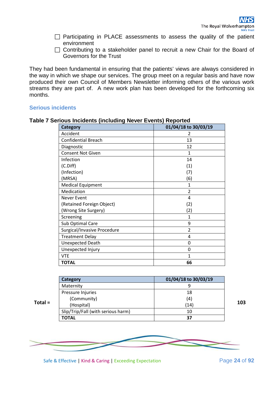- $\Box$  Participating in PLACE assessments to assess the quality of the patient environment
- $\Box$  Contributing to a stakeholder panel to recruit a new Chair for the Board of Governors for the Trust

They had been fundamental in ensuring that the patients' views are always considered in the way in which we shape our services. The group meet on a regular basis and have now produced their own Council of Members Newsletter informing others of the various work streams they are part of. A new work plan has been developed for the forthcoming six months.

#### **Serious incidents**

| <b>Category</b>             | 01/04/18 to 30/03/19 |
|-----------------------------|----------------------|
| Accident                    | 2                    |
| <b>Confidential Breach</b>  | 13                   |
| Diagnostic                  | 12                   |
| <b>Consent Not Given</b>    | 1                    |
| Infection                   | 14                   |
| (C.Diff)                    | (1)                  |
| (Infection)                 | (7)                  |
| (MRSA)                      | (6)                  |
| <b>Medical Equipment</b>    | 1                    |
| Medication                  | $\overline{2}$       |
| <b>Never Event</b>          | 4                    |
| (Retained Foreign Object)   | (2)                  |
| (Wrong Site Surgery)        | (2)                  |
| Screening                   | 1                    |
| Sub Optimal Care            | 9                    |
| Surgical/Invasive Procedure | $\overline{2}$       |
| <b>Treatment Delay</b>      | 4                    |
| <b>Unexpected Death</b>     | 0                    |
| Unexpected Injury           | 0                    |
| <b>VTE</b>                  | 1                    |
| <b>TOTAL</b>                | 66                   |

#### **Table 7 Serious Incidents (including Never Events) Reported**

|         | Category                           | 01/04/18 to 30/03/19 |  |
|---------|------------------------------------|----------------------|--|
|         | Maternity                          |                      |  |
|         | Pressure Injuries                  | 18                   |  |
|         | (Community)                        | (4)                  |  |
| Total = | (Hospital)                         | (14)                 |  |
|         | Slip/Trip/Fall (with serious harm) | 10                   |  |
|         | <b>TOTAL</b>                       | 37                   |  |

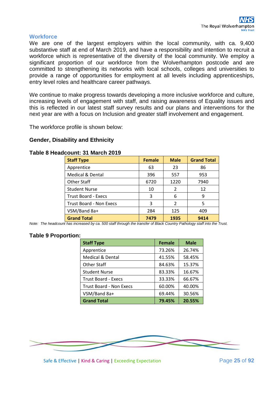#### **Workforce**

We are one of the largest employers within the local community, with ca. 9,400 substantive staff at end of March 2019, and have a responsibility and intention to recruit a workforce which is representative of the diversity of the local community. We employ a significant proportion of our workforce from the Wolverhampton postcode and are committed to strengthening its networks with local schools, colleges and universities to provide a range of opportunities for employment at all levels including apprenticeships, entry level roles and healthcare career pathways.

We continue to make progress towards developing a more inclusive workforce and culture. increasing levels of engagement with staff, and raising awareness of Equality issues and this is reflected in our latest staff survey results and our plans and interventions for the next year are with a focus on Inclusion and greater staff involvement and engagement.

The workforce profile is shown below:

#### **Gender, Disability and Ethnicity**

#### **Table 8 Headcount: 31 March 2019**

| <b>Staff Type</b>              | <b>Female</b> | <b>Male</b>   | <b>Grand Total</b> |
|--------------------------------|---------------|---------------|--------------------|
| Apprentice                     | 63            | 23            | 86                 |
| <b>Medical &amp; Dental</b>    | 396           | 557           | 953                |
| <b>Other Staff</b>             | 6720          | 1220          | 7940               |
| <b>Student Nurse</b>           | 10            | 2             | 12                 |
| <b>Trust Board - Execs</b>     | 3             | 6             | 9                  |
| <b>Trust Board - Non Execs</b> | 3             | $\mathcal{P}$ | 5                  |
| VSM/Band 8a+                   | 284           | 125           | 409                |
| <b>Grand Total</b>             | 7479          | 1935          | 9414               |

*Note: The headcount has increased by ca. 500 staff through the transfer of Black Country Pathology staff into the Trust.*

#### **Table 9 Proportion:**

| <b>Staff Type</b>              | <b>Female</b> | <b>Male</b> |
|--------------------------------|---------------|-------------|
| Apprentice                     | 73.26%        | 26.74%      |
| <b>Medical &amp; Dental</b>    | 41.55%        | 58.45%      |
| <b>Other Staff</b>             | 84.63%        | 15.37%      |
| <b>Student Nurse</b>           | 83.33%        | 16.67%      |
| <b>Trust Board - Execs</b>     | 33.33%        | 66.67%      |
| <b>Trust Board - Non Execs</b> | 60.00%        | 40.00%      |
| VSM/Band 8a+                   | 69.44%        | 30.56%      |
| <b>Grand Total</b>             | 79.45%        | 20.55%      |

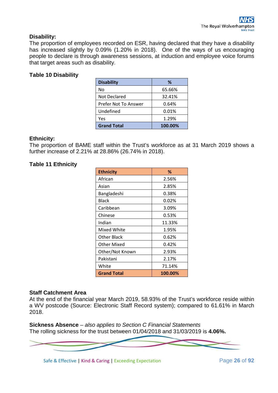#### **Disability:**

The proportion of employees recorded on ESR, having declared that they have a disability has increased slightly by 0.09% (1.20% in 2018). One of the ways of us encouraging people to declare is through awareness sessions, at induction and employee voice forums that target areas such as disability.

#### **Table 10 Disability**

| <b>Disability</b>    | ℅       |
|----------------------|---------|
| No                   | 65.66%  |
| <b>Not Declared</b>  | 32.41%  |
| Prefer Not To Answer | 0.64%   |
| Undefined            | 0.01%   |
| Yes                  | 1.29%   |
| <b>Grand Total</b>   | 100.00% |

#### **Ethnicity:**

The proportion of BAME staff within the Trust's workforce as at 31 March 2019 shows a further increase of 2.21% at 28.86% (26.74% in 2018).

#### **Table 11 Ethnicity**

| <b>Ethnicity</b>   | ℅       |
|--------------------|---------|
| African            | 2.56%   |
| Asian              | 2.85%   |
| Bangladeshi        | 0.38%   |
| <b>Black</b>       | 0.02%   |
| Caribbean          | 3.09%   |
| Chinese            | 0.53%   |
| Indian             | 11.33%  |
| Mixed White        | 1.95%   |
| Other Black        | 0.62%   |
| Other Mixed        | 0.42%   |
| Other/Not Known    | 2.93%   |
| Pakistani          | 2.17%   |
| White              | 71.14%  |
| <b>Grand Total</b> | 100.00% |

#### **Staff Catchment Area**

At the end of the financial year March 2019, 58.93% of the Trust's workforce reside within a WV postcode (Source: Electronic Staff Record system); compared to 61.61% in March 2018.

**Sickness Absence** *– also applies to Section C Financial Statements* The rolling sickness for the trust between 01/04/2018 and 31/03/2019 is **4.06%.**



Safe & Effective | Kind & Caring | Exceeding Expectation Page **26** of **92**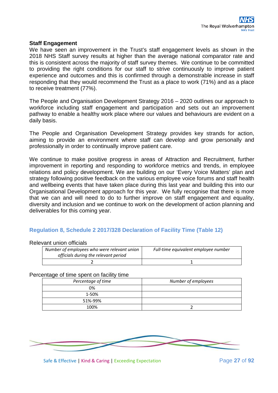#### **Staff Engagement**

We have seen an improvement in the Trust's staff engagement levels as shown in the 2018 NHS Staff survey results at higher than the average national comparator rate and this is consistent across the majority of staff survey themes. We continue to be committed to providing the right conditions for our staff to strive continuously to improve patient experience and outcomes and this is confirmed through a demonstrable increase in staff responding that they would recommend the Trust as a place to work (71%) and as a place to receive treatment (77%).

The People and Organisation Development Strategy 2016 – 2020 outlines our approach to workforce including staff engagement and participation and sets out an improvement pathway to enable a healthy work place where our values and behaviours are evident on a daily basis.

The People and Organisation Development Strategy provides key strands for action, aiming to provide an environment where staff can develop and grow personally and professionally in order to continually improve patient care.

We continue to make positive progress in areas of Attraction and Recruitment, further improvement in reporting and responding to workforce metrics and trends, in employee relations and policy development. We are building on our 'Every Voice Matters' plan and strategy following positive feedback on the various employee voice forums and staff health and wellbeing events that have taken place during this last year and building this into our Organisational Development approach for this year. We fully recognise that there is more that we can and will need to do to further improve on staff engagement and equality, diversity and inclusion and we continue to work on the development of action planning and deliverables for this coming year.

#### **Regulation 8, Schedule 2 2017/328 Declaration of Facility Time (Table 12)**

#### Relevant union officials

| Number of employees who were relevant union<br>officials during the relevant period | Full-time equivalent employee number |  |
|-------------------------------------------------------------------------------------|--------------------------------------|--|
|                                                                                     |                                      |  |

#### Percentage of time spent on facility time

| Percentage of time | Number of employees |
|--------------------|---------------------|
| 0%                 |                     |
| 1-50%              |                     |
| 51%-99%            |                     |
| 100%               |                     |

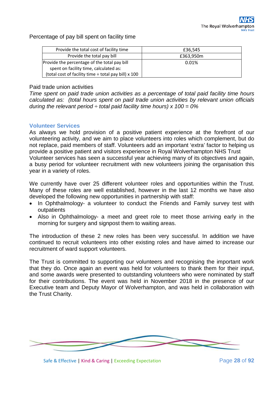Percentage of pay bill spent on facility time

| Provide the total cost of facility time                   | £36,545   |
|-----------------------------------------------------------|-----------|
| Provide the total pay bill                                | £363,950m |
| Provide the percentage of the total pay bill              | 0.01%     |
| spent on facility time, calculated as:                    |           |
| (total cost of facility time $\div$ total pay bill) x 100 |           |

#### Paid trade union activities

*Time spent on paid trade union activities as a percentage of total paid facility time hours calculated as: (total hours spent on paid trade union activities by relevant union officials during the relevant period*  $\div$  *total paid facility time hours) x 100 = 0%* 

#### **Volunteer Services**

As always we hold provision of a positive patient experience at the forefront of our volunteering activity, and we aim to place volunteers into roles which complement, but do not replace, paid members of staff. Volunteers add an important 'extra' factor to helping us provide a positive patient and visitors experience in Royal Wolverhampton NHS Trust Volunteer services has seen a successful year achieving many of its objectives and again, a busy period for volunteer recruitment with new volunteers joining the organisation this year in a variety of roles.

We currently have over 25 different volunteer roles and opportunities within the Trust. Many of these roles are well established, however in the last 12 months we have also developed the following new opportunities in partnership with staff:

- In Ophthalmology- a volunteer to conduct the Friends and Family survey test with outpatients
- Also in Ophthalmology- a meet and greet role to meet those arriving early in the morning for surgery and signpost them to waiting areas.

The introduction of these 2 new roles has been very successful. In addition we have continued to recruit volunteers into other existing roles and have aimed to increase our recruitment of ward support volunteers.

The Trust is committed to supporting our volunteers and recognising the important work that they do. Once again an event was held for volunteers to thank them for their input, and some awards were presented to outstanding volunteers who were nominated by staff for their contributions. The event was held in November 2018 in the presence of our Executive team and Deputy Mayor of Wolverhampton, and was held in collaboration with the Trust Charity.

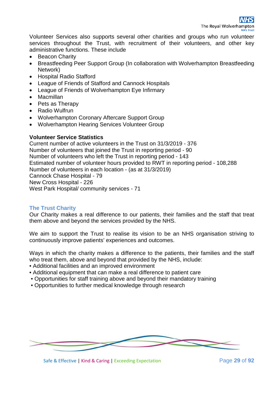Volunteer Services also supports several other charities and groups who run volunteer services throughout the Trust, with recruitment of their volunteers, and other key administrative functions. These include

- Beacon Charity
- Breastfeeding Peer Support Group (In collaboration with Wolverhampton Breastfeeding Network)
- Hospital Radio Stafford
- League of Friends of Stafford and Cannock Hospitals
- League of Friends of Wolverhampton Eye Infirmary
- Macmillan
- Pets as Therapy
- Radio Wulfrun
- Wolverhampton Coronary Aftercare Support Group
- Wolverhampton Hearing Services Volunteer Group

#### **Volunteer Service Statistics**

Current number of active volunteers in the Trust on 31/3/2019 - 376 Number of volunteers that joined the Trust in reporting period - 90 Number of volunteers who left the Trust in reporting period - 143 Estimated number of volunteer hours provided to RWT in reporting period - 108,288 Number of volunteers in each location - (as at 31/3/2019) Cannock Chase Hospital - 79 New Cross Hospital - 226 West Park Hospital/ community services - 71

#### **The Trust Charity**

Our Charity makes a real difference to our patients, their families and the staff that treat them above and beyond the services provided by the NHS.

We aim to support the Trust to realise its vision to be an NHS organisation striving to continuously improve patients' experiences and outcomes.

Ways in which the charity makes a difference to the patients, their families and the staff who treat them, above and beyond that provided by the NHS, include:

- Additional facilities and an improved environment
- Additional equipment that can make a real difference to patient care
- Opportunities for staff training above and beyond their mandatory training
- Opportunities to further medical knowledge through research



Safe & Effective | Kind & Caring | Exceeding Expectation Page **29** of **92**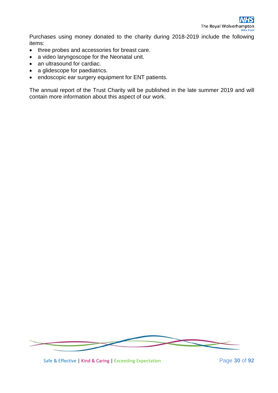Purchases using money donated to the charity during 2018-2019 include the following items:

- three probes and accessories for breast care.
- a video laryngoscope for the Neonatal unit.
- an ultrasound for cardiac.
- a glidescope for paediatrics.
- endoscopic ear surgery equipment for ENT patients.

The annual report of the Trust Charity will be published in the late summer 2019 and will contain more information about this aspect of our work.



Safe & Effective | Kind & Caring | Exceeding Expectation Page **30** of **92**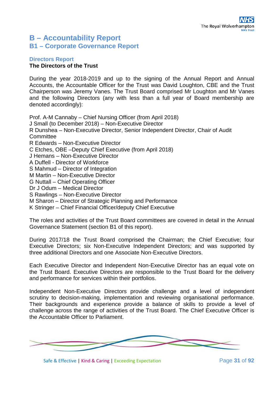## **B – Accountability Report B1 – Corporate Governance Report**

#### **Directors Report The Directors of the Trust**

During the year 2018-2019 and up to the signing of the Annual Report and Annual Accounts, the Accountable Officer for the Trust was David Loughton, CBE and the Trust Chairperson was Jeremy Vanes. The Trust Board comprised Mr Loughton and Mr Vanes and the following Directors (any with less than a full year of Board membership are denoted accordingly):

Prof. A-M Cannaby – Chief Nursing Officer (from April 2018) J Small (to December 2018) – Non-Executive Director R Dunshea – Non-Executive Director, Senior Independent Director, Chair of Audit **Committee** R Edwards – Non-Executive Director C Etches, OBE –Deputy Chief Executive (from April 2018) J Hemans – Non-Executive Director A Duffell - Director of Workforce S Mahmud – Director of Integration M Martin – Non-Executive Director G Nuttall – Chief Operating Officer Dr J Odum – Medical Director S Rawlings – Non-Executive Director M Sharon – Director of Strategic Planning and Performance K Stringer – Chief Financial Officer/deputy Chief Executive The roles and activities of the Trust Board committees are covered in detail in the Annual

Governance Statement (section B1 of this report).

During 2017/18 the Trust Board comprised the Chairman; the Chief Executive; four Executive Directors; six Non-Executive Independent Directors; and was supported by three additional Directors and one Associate Non-Executive Directors.

Each Executive Director and Independent Non-Executive Director has an equal vote on the Trust Board. Executive Directors are responsible to the Trust Board for the delivery and performance for services within their portfolios.

Independent Non-Executive Directors provide challenge and a level of independent scrutiny to decision-making, implementation and reviewing organisational performance. Their backgrounds and experience provide a balance of skills to provide a level of challenge across the range of activities of the Trust Board. The Chief Executive Officer is the Accountable Officer to Parliament.



Safe & Effective | Kind & Caring | Exceeding Expectation Page **31** of **92**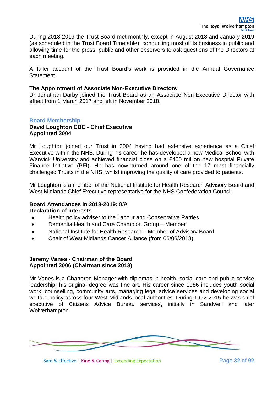During 2018-2019 the Trust Board met monthly, except in August 2018 and January 2019 (as scheduled in the Trust Board Timetable), conducting most of its business in public and allowing time for the press, public and other observers to ask questions of the Directors at each meeting.

A fuller account of the Trust Board's work is provided in the Annual Governance Statement.

#### **The Appointment of Associate Non-Executive Directors**

Dr Jonathan Darby joined the Trust Board as an Associate Non-Executive Director with effect from 1 March 2017 and left in November 2018.

#### **Board Membership**

#### **David Loughton CBE - Chief Executive Appointed 2004**

Mr Loughton joined our Trust in 2004 having had extensive experience as a Chief Executive within the NHS. During his career he has developed a new Medical School with Warwick University and achieved financial close on a £400 million new hospital Private Finance Initiative (PFI). He has now turned around one of the 17 most financially challenged Trusts in the NHS, whilst improving the quality of care provided to patients.

Mr Loughton is a member of the National Institute for Health Research Advisory Board and West Midlands Chief Executive representative for the NHS Confederation Council.

#### **Board Attendances in 2018-2019:** 8/9 **Declaration of interests**

- Health policy adviser to the Labour and Conservative Parties
- Dementia Health and Care Champion Group Member
- National Institute for Health Research Member of Advisory Board
- Chair of West Midlands Cancer Alliance (from 06/06/2018)

#### **Jeremy Vanes - Chairman of the Board Appointed 2006 (Chairman since 2013)**

Mr Vanes is a Chartered Manager with diplomas in health, social care and public service leadership; his original degree was fine art. His career since 1986 includes youth social work, counselling, community arts, managing legal advice services and developing social welfare policy across four West Midlands local authorities. During 1992-2015 he was chief executive of Citizens Advice Bureau services, initially in Sandwell and later Wolverhampton.

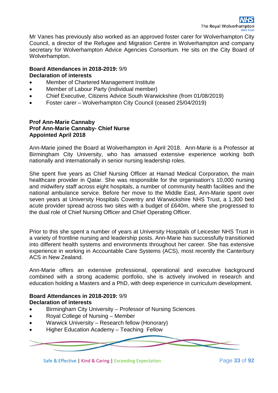Mr Vanes has previously also worked as an approved foster carer for Wolverhampton City Council, a director of the Refugee and Migration Centre in Wolverhampton and company secretary for Wolverhampton Advice Agencies Consortium. He sits on the City Board of Wolverhampton.

#### **Board Attendances in 2018-2019:** 9/9 **Declaration of interests**

- Member of Chartered Management Institute
- Member of Labour Party (individual member)
- Chief Executive, Citizens Advice South Warwickshire (from 01/08/2019)
- Foster carer Wolverhampton City Council (ceased 25/04/2019)

#### **Prof Ann-Marie Cannaby Prof Ann-Marie Cannaby- Chief Nurse Appointed April 2018**

Ann-Marie joined the Board at Wolverhampton in April 2018. Ann-Marie is a Professor at Birmingham City University, who has amassed extensive experience working both nationally and internationally in senior nursing leadership roles.

She spent five years as Chief Nursing Officer at Hamad Medical Corporation, the main healthcare provider in Qatar. She was responsible for the organisation's 10,000 nursing and midwifery staff across eight hospitals, a number of community health facilities and the national ambulance service. Before her move to the Middle East, Ann-Marie spent over seven years at University Hospitals Coventry and Warwickshire NHS Trust, a 1,300 bed acute provider spread across two sites with a budget of £640m, where she progressed to the dual role of Chief Nursing Officer and Chief Operating Officer.

Prior to this she spent a number of years at University Hospitals of Leicester NHS Trust in a variety of frontline nursing and leadership posts. Ann-Marie has successfully transitioned into different health systems and environments throughout her career. She has extensive experience in working in Accountable Care Systems (ACS), most recently the Canterbury ACS in New Zealand.

Ann-Marie offers an extensive professional, operational and executive background combined with a strong academic portfolio, she is actively involved in research and education holding a Masters and a PhD, with deep experience in curriculum development.

#### **Board Attendances in 2018-2019:** 9/9 **Declaration of interests**

- Birmingham City University Professor of Nursing Sciences
- Royal College of Nursing Member
- Warwick University Research fellow (Honorary)
- Higher Education Academy Teaching Fellow



Safe & Effective | Kind & Caring | Exceeding Expectation Page **33** of **92**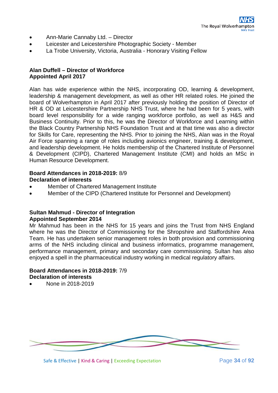- Ann-Marie Cannaby Ltd. Director
- Leicester and Leicestershire Photographic Society Member
- La Trobe University, Victoria, Australia Honorary Visiting Fellow

#### **Alan Duffell – Director of Workforce Appointed April 2017**

Alan has wide experience within the NHS, incorporating OD, learning & development, leadership & management development, as well as other HR related roles. He joined the board of Wolverhampton in April 2017 after previously holding the position of Director of HR & OD at Leicestershire Partnership NHS Trust, where he had been for 5 years, with board level responsibility for a wide ranging workforce portfolio, as well as H&S and Business Continuity. Prior to this, he was the Director of Workforce and Learning within the Black Country Partnership NHS Foundation Trust and at that time was also a director for Skills for Care, representing the NHS. Prior to joining the NHS, Alan was in the Royal Air Force spanning a range of roles including avionics engineer, training & development, and leadership development. He holds membership of the Chartered Institute of Personnel & Development (CIPD), Chartered Management Institute (CMI) and holds an MSc in Human Resource Development.

#### **Board Attendances in 2018-2019:** 8/9 **Declaration of interests**

- Member of Chartered Management Institute
- Member of the CIPD (Chartered Institute for Personnel and Development)

#### **Sultan Mahmud - Director of Integration Appointed September 2014**

Mr Mahmud has been in the NHS for 15 years and joins the Trust from NHS England where he was the Director of Commissioning for the Shropshire and Staffordshire Area Team. He has undertaken senior management roles in both provision and commissioning arms of the NHS including clinical and business informatics, programme management, performance management, primary and secondary care commissioning. Sultan has also enjoyed a spell in the pharmaceutical industry working in medical regulatory affairs.

#### **Board Attendances in 2018-2019:** 7/9 **Declaration of interests**

• None in 2018-2019

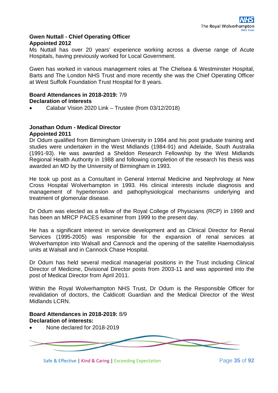#### **Gwen Nuttall - Chief Operating Officer Appointed 2012**

Ms Nuttall has over 20 years' experience working across a diverse range of Acute Hospitals, having previously worked for Local Government.

Gwen has worked in various management roles at The Chelsea & Westminster Hospital, Barts and The London NHS Trust and more recently she was the Chief Operating Officer at West Suffolk Foundation Trust Hospital for 8 years.

## **Board Attendances in 2018-2019:** 7/9 **Declaration of interests**

• Calabar Vision 2020 Link – Trustee (from 03/12/2018)

#### **Jonathan Odum - Medical Director Appointed 2011**

Dr Odum qualified from Birmingham University in 1984 and his post graduate training and studies were undertaken in the West Midlands (1984-91) and Adelaide, South Australia (1991-93). He was awarded a Sheldon Research Fellowship by the West Midlands Regional Health Authority in 1988 and following completion of the research his thesis was awarded an MD by the University of Birmingham in 1993.

He took up post as a Consultant in General Internal Medicine and Nephrology at New Cross Hospital Wolverhampton in 1993. His clinical interests include diagnosis and management of hypertension and pathophysiological mechanisms underlying and treatment of glomerular disease.

Dr Odum was elected as a fellow of the Royal College of Physicians (RCP) in 1999 and has been an MRCP PACES examiner from 1999 to the present day.

He has a significant interest in service development and as Clinical Director for Renal Services (1995-2005) was responsible for the expansion of renal services at Wolverhampton into Walsall and Cannock and the opening of the satellite Haemodialysis units at Walsall and in Cannock Chase Hospital.

Dr Odum has held several medical managerial positions in the Trust including Clinical Director of Medicine, Divisional Director posts from 2003-11 and was appointed into the post of Medical Director from April 2011.

Within the Royal Wolverhampton NHS Trust, Dr Odum is the Responsible Officer for revalidation of doctors, the Caldicott Guardian and the Medical Director of the West Midlands LCRN.

## **Board Attendances in 2018-2019:** 8/9 **Declaration of interests:**

• None declared for 2018-2019



Safe & Effective | Kind & Caring | Exceeding Expectation Page **35** of **92**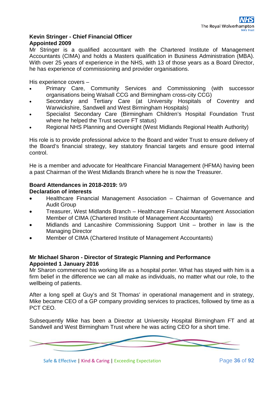## **Kevin Stringer - Chief Financial Officer Appointed 2009**

Mr Stringer is a qualified accountant with the Chartered Institute of Management Accountants (CIMA) and holds a Masters qualification in Business Administration (MBA). With over 25 years of experience in the NHS, with 13 of those years as a Board Director, he has experience of commissioning and provider organisations.

His experience covers –

- Primary Care, Community Services and Commissioning (with successor organisations being Walsall CCG and Birmingham cross-city CCG)
- Secondary and Tertiary Care (at University Hospitals of Coventry and Warwickshire, Sandwell and West Birmingham Hospitals)
- Specialist Secondary Care (Birmingham Children's Hospital Foundation Trust where he helped the Trust secure FT status)
- Regional NHS Planning and Oversight (West Midlands Regional Health Authority)

His role is to provide professional advice to the Board and wider Trust to ensure delivery of the Board's financial strategy, key statutory financial targets and ensure good internal control.

He is a member and advocate for Healthcare Financial Management (HFMA) having been a past Chairman of the West Midlands Branch where he is now the Treasurer.

## **Board Attendances in 2018-2019:** 9/9

#### **Declaration of interests**

- Healthcare Financial Management Association Chairman of Governance and Audit Group
- Treasurer, West Midlands Branch Healthcare Financial Management Association Member of CIMA (Chartered Institute of Management Accountants)
- Midlands and Lancashire Commissioning Support Unit brother in law is the Managing Director
- Member of CIMA (Chartered Institute of Management Accountants)

## **Mr Michael Sharon - Director of Strategic Planning and Performance Appointed 1 January 2016**

Mr Sharon commenced his working life as a hospital porter. What has stayed with him is a firm belief in the difference we can all make as individuals, no matter what our role, to the wellbeing of patients.

After a long spell at Guy's and St Thomas' in operational management and in strategy, Mike became CEO of a GP company providing services to practices, followed by time as a PCT CEO.

Subsequently Mike has been a Director at University Hospital Birmingham FT and at Sandwell and West Birmingham Trust where he was acting CEO for a short time.

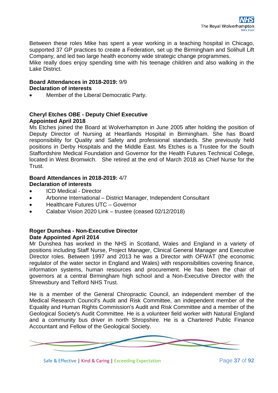Between these roles Mike has spent a year working in a teaching hospital in Chicago, supported 37 GP practices to create a Federation, set up the Birmingham and Solihull Lift Company, and led two large health economy wide strategic change programmes.

Mike really does enjoy spending time with his teenage children and also walking in the Lake District.

## **Board Attendances in 2018-2019:** 9/9 **Declaration of interests**

• Member of the Liberal Democratic Party.

## **Cheryl Etches OBE - Deputy Chief Executive Appointed April 2018**

Ms Etches joined the Board at Wolverhampton in June 2005 after holding the position of Deputy Director of Nursing at Heartlands Hospital in Birmingham. She has Board responsibility for Quality and Safety and professional standards. She previously held positions in Derby Hospitals and the Middle East. Ms Etches is a Trustee for the South Staffordshire Medical Foundation and Governor for the Health Futures Technical College, located in West Bromwich. She retired at the end of March 2018 as Chief Nurse for the Trust.

## **Board Attendances in 2018-2019:** 4/7 **Declaration of interests**

- ICD Medical Director
- Arbonne International District Manager, Independent Consultant
- Healthcare Futures UTC Governor
- Calabar Vision 2020 Link trustee (ceased 02/12/2018)

## **Roger Dunshea - Non-Executive Director Date Appointed April 2014**

Mr Dunshea has worked in the NHS in Scotland, Wales and England in a variety of positions including Staff Nurse, Project Manager, Clinical General Manager and Executive Director roles. Between 1997 and 2013 he was a Director with OFWAT (the economic regulator of the water sector in England and Wales) with responsibilities covering finance, information systems, human resources and procurement. He has been the chair of governors at a central Birmingham high school and a Non-Executive Director with the Shrewsbury and Telford NHS Trust.

He is a member of the General Chiropractic Council, an independent member of the Medical Research Council's Audit and Risk Committee, an independent member of the Equality and Human Rights Commission's Audit and Risk Committee and a member of the Geological Society's Audit Committee. He is a volunteer field worker with Natural England and a community bus driver in north Shropshire. He is a Chartered Public Finance Accountant and Fellow of the Geological Society.



Safe & Effective | Kind & Caring | Exceeding Expectation Page **37** of **92**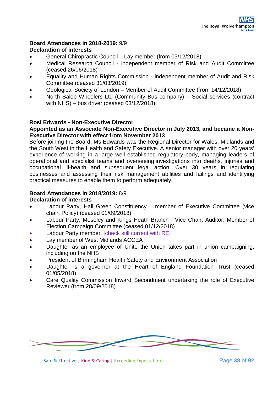## **Board Attendances in 2018-2019:** 9/9 **Declaration of interests**

- General Chiropractic Council Lay member (from 03/12/2018)
- Medical Research Council independent member of Risk and Audit Committee (ceased 26/06/2018)
- Equality and Human Rights Commission independent member of Audit and Risk Committee (ceased 31/03/2019)
- Geological Society of London Member of Audit Committee (from 14/12/2018)
- North Salop Wheelers Ltd (Community Bus company) Social services (contract with NHS) – bus driver (ceased 03/12/2018)

## **Rosi Edwards - Non-Executive Director**

#### **Appointed as an Associate Non-Executive Director in July 2013, and became a Non-Executive Director with effect from November 2013**

Before joining the Board, Ms Edwards was the Regional Director for Wales, Midlands and the South West in the Health and Safety Executive. A senior manager with over 20 years' experience of working in a large well established regulatory body, managing leaders of operational and specialist teams and overseeing investigations into deaths, injuries and occupational ill-health and subsequent legal action. Over 30 years in regulating businesses and assessing their risk management abilities and failings and identifying practical measures to enable them to perform adequately.

## **Board Attendances in 2018/2019:** 8/9

## **Declaration of interests**

- Labour Party, Hall Green Constituency member of Executive Committee (vice chair: Policy) (ceased 01/09/2018)
- Labour Party, Moseley and Kings Heath Branch Vice Chair, Auditor, Member of Election Campaign Committee (ceased 01/12/2018)
- Labour Party member. [check still current with RE]
- Lay member of West Midlands ACCEA
- Daughter as an employee of Unite the Union takes part in union campaigning, including on the NHS
- President of Birmingham Health Safety and Environment Association
- Daughter is a governor at the Heart of England Foundation Trust (ceased 01/05/2018)
- Care Quality Commission Inward Secondment undertaking the role of Executive Reviewer (from 28/09/2018)



Safe & Effective | Kind & Caring | Exceeding Expectation Page **38** of **92**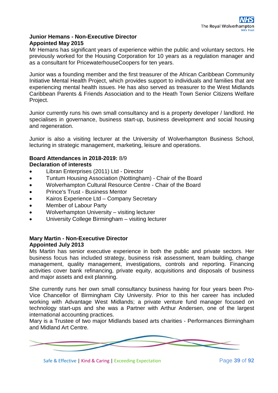## **Junior Hemans - Non-Executive Director Appointed May 2015**

Mr Hemans has significant years of experience within the public and voluntary sectors. He previously worked for the Housing Corporation for 10 years as a regulation manager and as a consultant for PricewaterhouseCoopers for ten years.

Junior was a founding member and the first treasurer of the African Caribbean Community Initiative Mental Health Project, which provides support to individuals and families that are experiencing mental health issues. He has also served as treasurer to the West Midlands Caribbean Parents & Friends Association and to the Heath Town Senior Citizens Welfare Project.

Junior currently runs his own small consultancy and is a property developer / landlord. He specialises in governance, business start-up, business development and social housing and regeneration.

Junior is also a visiting lecturer at the University of Wolverhampton Business School, lecturing in strategic management, marketing, leisure and operations.

## **Board Attendances in 2018-2019:** 8/9 **Declaration of interests**

- Libran Enterprises (2011) Ltd Director
- Tuntum Housing Association (Nottingham) Chair of the Board
- Wolverhampton Cultural Resource Centre Chair of the Board
- Prince's Trust Business Mentor
- Kairos Experience Ltd Company Secretary
- Member of Labour Party
- Wolverhampton University visiting lecturer
- University College Birmingham visiting lecturer

## **Mary Martin - Non-Executive Director Appointed July 2013**

Ms Martin has senior executive experience in both the public and private sectors. Her business focus has included strategy, business risk assessment, team building, change management, quality management, investigations, controls and reporting. Financing activities cover bank refinancing, private equity, acquisitions and disposals of business and major assets and exit planning.

She currently runs her own small consultancy business having for four years been Pro-Vice Chancellor of Birmingham City University. Prior to this her career has included working with Advantage West Midlands; a private venture fund manager focused on technology start-ups and she was a Partner with Arthur Andersen, one of the largest international accounting practices.

Mary is a Trustee of two major Midlands based arts charities - Performances Birmingham and Midland Art Centre.



Safe & Effective | Kind & Caring | Exceeding Expectation Page **39** of **92**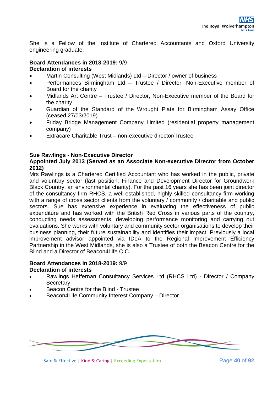She is a Fellow of the Institute of Chartered Accountants and Oxford University engineering graduate.

## **Board Attendances in 2018-2019:** 9/9 **Declaration of interests**

- Martin Consulting (West Midlands) Ltd Director / owner of business
- Performances Birmingham Ltd Trustee / Director, Non-Executive member of Board for the charity
- Midlands Art Centre Trustee / Director, Non-Executive member of the Board for the charity
- Guardian of the Standard of the Wrought Plate for Birmingham Assay Office (ceased 27/03/2019)
- Friday Bridge Management Company Limited (residential property management company)
- Extracare Charitable Trust non-executive director/Trustee

## **Sue Rawlings - Non-Executive Director**

#### **Appointed July 2013 (Served as an Associate Non-executive Director from October 2012)**

Mrs Rawlings is a Chartered Certified Accountant who has worked in the public, private and voluntary sector (last position: Finance and Development Director for Groundwork Black Country, an environmental charity). For the past 16 years she has been joint director of the consultancy firm RHCS, a well-established, highly skilled consultancy firm working with a range of cross sector clients from the voluntary / community / charitable and public sectors. Sue has extensive experience in evaluating the effectiveness of public expenditure and has worked with the British Red Cross in various parts of the country, conducting needs assessments, developing performance monitoring and carrying out evaluations. She works with voluntary and community sector organisations to develop their business planning, their future sustainability and identifies their impact. Previously a local improvement advisor appointed via IDeA to the Regional Improvement Efficiency Partnership in the West Midlands, she is also a Trustee of both the Beacon Centre for the Blind and a Director of Beacon4Life CIC.

#### **Board Attendances in 2018-2019:** 9/9 **Declaration of interests**

- Rawlings Heffernan Consultancy Services Ltd (RHCS Ltd) Director / Company **Secretary**
- Beacon Centre for the Blind Trustee
- Beacon4Life Community Interest Company Director



Safe & Effective | Kind & Caring | Exceeding Expectation Page **40** of **92**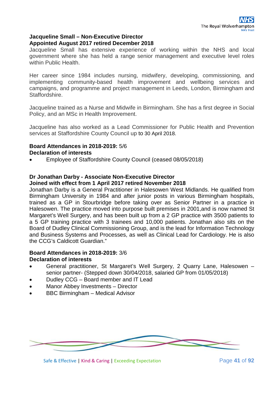#### **Jacqueline Small – Non-Executive Director Appointed August 2017 retired December 2018**

Jacqueline Small has extensive experience of working within the NHS and local government where she has held a range senior management and executive level roles within Public Health.

Her career since 1984 includes nursing, midwifery, developing, commissioning, and implementing community-based health improvement and wellbeing services and campaigns, and programme and project management in Leeds, London, Birmingham and Staffordshire.

Jacqueline trained as a Nurse and Midwife in Birmingham. She has a first degree in Social Policy, and an MSc in Health Improvement.

Jacqueline has also worked as a Lead Commissioner for Public Health and Prevention services at Staffordshire County Council up to 30 April 2018.

#### **Board Attendances in 2018-2019:** 5/6 **Declaration of interests**

• Employee of Staffordshire County Council (ceased 08/05/2018)

## **Dr Jonathan Darby - Associate Non-Executive Director**

#### **Joined with effect from 1 April 2017 retired November 2018**

Jonathan Darby is a General Practitioner in Halesowen West Midlands. He qualified from Birmingham University in 1984 and after junior posts in various Birmingham hospitals, trained as a GP in Stourbridge before taking over as Senior Partner in a practice in Halesowen. The practice moved into purpose built premises in 2001,and is now named St Margaret's Well Surgery, and has been built up from a 2 GP practice with 3500 patients to a 5 GP training practice with 3 trainees and 10,000 patients. Jonathan also sits on the Board of Dudley Clinical Commissioning Group, and is the lead for Information Technology and Business Systems and Processes, as well as Clinical Lead for Cardiology. He is also the CCG's Caldicott Guardian."

#### **Board Attendances in 2018-2019:** 3/6 **Declaration of interests**

- General practitioner, St Margaret's Well Surgery, 2 Quarry Lane, Halesowen senior partner- (Stepped down 30/04/2018, salaried GP from 01/05/2018)
- Dudley CCG Board member and IT Lead
- Manor Abbey Investments Director
- BBC Birmingham Medical Advisor



Safe & Effective | Kind & Caring | Exceeding Expectation Page 41 of 92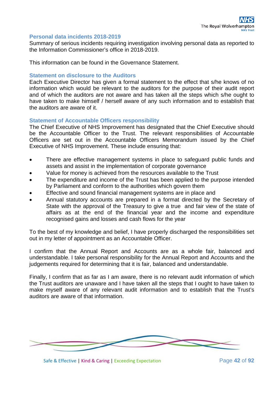#### **Personal data incidents 2018-2019**

Summary of serious incidents requiring investigation involving personal data as reported to the Information Commissioner's office in 2018-2019.

This information can be found in the Governance Statement.

#### **Statement on disclosure to the Auditors**

Each Executive Director has given a formal statement to the effect that s/he knows of no information which would be relevant to the auditors for the purpose of their audit report and of which the auditors are not aware and has taken all the steps which s/he ought to have taken to make himself / herself aware of any such information and to establish that the auditors are aware of it.

#### **Statement of Accountable Officers responsibility**

The Chief Executive of NHS Improvement has designated that the Chief Executive should be the Accountable Officer to the Trust. The relevant responsibilities of Accountable Officers are set out in the Accountable Officers Memorandum issued by the Chief Executive of NHS Improvement. These include ensuring that:

- There are effective management systems in place to safeguard public funds and assets and assist in the implementation of corporate governance
- Value for money is achieved from the resources available to the Trust
- The expenditure and income of the Trust has been applied to the purpose intended by Parliament and conform to the authorities which govern them
- Effective and sound financial management systems are in place and
- Annual statutory accounts are prepared in a format directed by the Secretary of State with the approval of the Treasury to give a true and fair view of the state of affairs as at the end of the financial year and the income and expenditure recognised gains and losses and cash flows for the year

To the best of my knowledge and belief, I have properly discharged the responsibilities set out in my letter of appointment as an Accountable Officer.

I confirm that the Annual Report and Accounts are as a whole fair, balanced and understandable. I take personal responsibility for the Annual Report and Accounts and the judgements required for determining that it is fair, balanced and understandable.

Finally, I confirm that as far as I am aware, there is no relevant audit information of which the Trust auditors are unaware and I have taken all the steps that I ought to have taken to make myself aware of any relevant audit information and to establish that the Trust's auditors are aware of that information.



Safe & Effective | Kind & Caring | Exceeding Expectation Page 42 of 92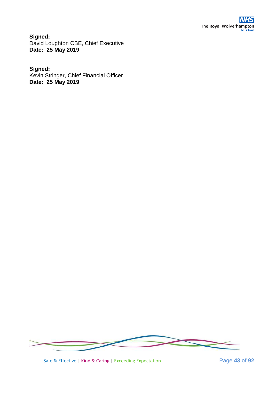**Signed:** David Loughton CBE, Chief Executive **Date: 25 May 2019**

## **Signed:**

Kevin Stringer, Chief Financial Officer **Date: 25 May 2019**



Safe & Effective | Kind & Caring | Exceeding Expectation Page 43 of 92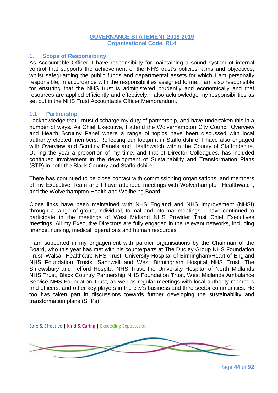#### **GOVERNANCE STATEMENT 2018-2019 Organisational Code: RL4**

#### **1. Scope of Responsibility**

As Accountable Officer, I have responsibility for maintaining a sound system of internal control that supports the achievement of the NHS trust's policies, aims and objectives, whilst safeguarding the public funds and departmental assets for which I am personally responsible, in accordance with the responsibilities assigned to me. I am also responsible for ensuring that the NHS trust is administered prudently and economically and that resources are applied efficiently and effectively. I also acknowledge my responsibilities as set out in the NHS Trust Accountable Officer Memorandum.

#### **1.1 Partnership**

I acknowledge that I must discharge my duty of partnership, and have undertaken this in a number of ways. As Chief Executive, I attend the Wolverhampton City Council Overview and Health Scrutiny Panel where a range of topics have been discussed with local authority elected members. Reflecting our footprint in Staffordshire, I have also engaged with Overview and Scrutiny Panels and Healthwatch within the County of Staffordshire. During the year a proportion of my time, and that of Director Colleagues, has included continued involvement in the development of Sustainability and Transformation Plans (STP) in both the Black Country and Staffordshire.

There has continued to be close contact with commissioning organisations, and members of my Executive Team and I have attended meetings with Wolverhampton Healthwatch, and the Wolverhampton Health and Wellbeing Board.

Close links have been maintained with NHS England and NHS Improvement (NHSI) through a range of group, individual, formal and informal meetings. I have continued to participate in the meetings of West Midland NHS Provider Trust Chief Executives meetings. All my Executive Directors are fully engaged in the relevant networks, including finance, nursing, medical, operations and human resources.

I am supported in my engagement with partner organisations by the Chairman of the Board, who this year has met with his counterparts at The Dudley Group NHS Foundation Trust, Walsall Healthcare NHS Trust, University Hospital of Birmingham/Heart of England NHS Foundation Trusts, Sandwell and West Birmingham Hospital NHS Trust, The Shrewsbury and Telford Hospital NHS Trust, the University Hospital of North Midlands NHS Trust, Black Country Partnership NHS Foundation Trust, West Midlands Ambulance Service NHS Foundation Trust, as well as regular meetings with local authority members and officers, and other key players in the city's business and third sector communities. He too has taken part in discussions towards further developing the sustainability and transformation plans (STPs).



Page **44** of **92**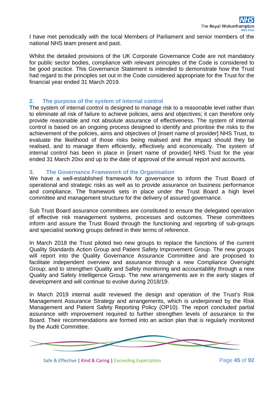I have met periodically with the local Members of Parliament and senior members of the national NHS team present and past.

Whilst the detailed provisions of the UK Corporate Governance Code are not mandatory for public sector bodies, compliance with relevant principles of the Code is considered to be good practice. This Governance Statement is intended to demonstrate how the Trust had regard to the principles set out in the Code considered appropriate for the Trust for the financial year ended 31 March 2019.

## **2. The purpose of the system of internal control**

The system of internal control is designed to manage risk to a reasonable level rather than to eliminate all risk of failure to achieve policies, aims and objectives; it can therefore only provide reasonable and not absolute assurance of effectiveness. The system of internal control is based on an ongoing process designed to identify and prioritise the risks to the achievement of the policies, aims and objectives of [insert name of provider] NHS Trust, to evaluate the likelihood of those risks being realised and the impact should they be realised, and to manage them efficiently, effectively and economically. The system of internal control has been in place in [insert name of provider] NHS Trust for the year ended 31 March 20xx and up to the date of approval of the annual report and accounts.

#### **3. The Governance Framework of the Organisation**

We have a well-established framework for governance to inform the Trust Board of operational and strategic risks as well as to provide assurance on business performance and compliance. The framework sets in place under the Trust Board a high level committee and management structure for the delivery of assured governance.

Sub Trust Board assurance committees are constituted to ensure the delegated operation of effective risk management systems, processes and outcomes. These committees inform and assure the Trust Board through the functioning and reporting of sub-groups and specialist working groups defined in their terms of reference.

In March 2018 the Trust piloted two new groups to replace the functions of the current Quality Standards Action Group and Patient Safety Improvement Group. The new groups will report into the Quality Governance Assurance Committee and are proposed to facilitate independent overview and assurance through a new Compliance Oversight Group; and to strengthen Quality and Safety monitoring and accountability through a new Quality and Safety Intelligence Group. The new arrangements are in the early stages of development and will continue to evolve during 2018/19.

In March 2019 internal audit reviewed the design and operation of the Trust's Risk Management Assurance Strategy and arrangements, which is underpinned by the Risk Management and Patient Safety Reporting Policy (OP10). The report concluded partial assurance with improvement required to further strengthen levels of assurance to the Board. Their recommendations are formed into an action plan that is regularly monitored by the Audit Committee.



Safe & Effective | Kind & Caring | Exceeding Expectation Page **45** of **92**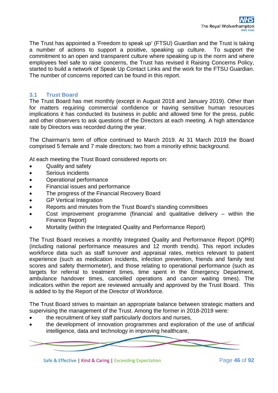The Trust has appointed a 'Freedom to speak up' (FTSU) Guardian and the Trust is taking a number of actions to support a positive, speaking up culture. To support the commitment to an open and transparent culture where speaking up is the norm and where employees feel safe to raise concerns, the Trust has revised it Raising Concerns Policy, started to build a network of Speak Up Contact Links and the work for the FTSU Guardian. The number of concerns reported can be found in this report.

## **3.1 Trust Board**

The Trust Board has met monthly (except in August 2018 and January 2019). Other than for matters requiring commercial confidence or having sensitive human resources implications it has conducted its business in public and allowed time for the press, public and other observers to ask questions of the Directors at each meeting. A high attendance rate by Directors was recorded during the year.

The Chairman's term of office continued to March 2019. At 31 March 2019 the Board comprised 5 female and 7 male directors; two from a minority ethnic background.

At each meeting the Trust Board considered reports on:

- Quality and safety
- Serious incidents
- Operational performance
- Financial issues and performance
- The progress of the Financial Recovery Board
- **GP Vertical Integration**
- Reports and minutes from the Trust Board's standing committees
- Cost improvement programme (financial and qualitative delivery  $-$  within the Finance Report)
- Mortality (within the Integrated Quality and Performance Report)

The Trust Board receives a monthly Integrated Quality and Performance Report (IQPR) (including national performance measures and 12 month trends). This report includes workforce data such as staff turnover and appraisal rates, metrics relevant to patient experience (such as medication incidents, infection prevention, friends and family test scores and safety thermometer), and those relating to operational performance (such as targets for referral to treatment times, time spent in the Emergency Department, ambulance handover times, cancelled operations and cancer waiting times). The indicators within the report are reviewed annually and approved by the Trust Board. This is added to by the Report of the Director of Workforce.

The Trust Board strives to maintain an appropriate balance between strategic matters and supervising the management of the Trust. Among the former in 2018-2019 were:

- the recruitment of key staff particularly doctors and nurses,
- the development of innovation programmes and exploration of the use of artificial intelligence, data and technology in improving healthcare,

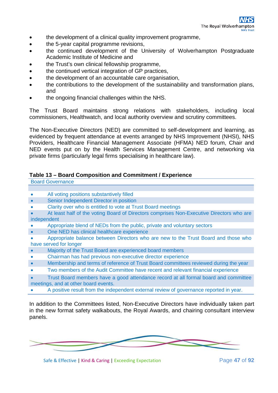- the development of a clinical quality improvement programme,
- the 5-year capital programme revisions,
- the continued development of the University of Wolverhampton Postgraduate Academic Institute of Medicine and
- the Trust's own clinical fellowship programme,
- the continued vertical integration of GP practices,
- the development of an accountable care organisation,
- the contributions to the development of the sustainability and transformation plans, and
- the ongoing financial challenges within the NHS.

The Trust Board maintains strong relations with stakeholders, including local commissioners, Healthwatch, and local authority overview and scrutiny committees.

The Non-Executive Directors (NED) are committed to self-development and learning, as evidenced by frequent attendance at events arranged by NHS Improvement (NHSI), NHS Providers, Healthcare Financial Management Associate (HFMA) NED forum, Chair and NED events put on by the Health Services Management Centre, and networking via private firms (particularly legal firms specialising in healthcare law).

#### **Table 13 – Board Composition and Commitment / Experience**

| <b>Board Governance</b> |                                                                                          |  |
|-------------------------|------------------------------------------------------------------------------------------|--|
|                         |                                                                                          |  |
| $\bullet$               | All voting positions substantively filled                                                |  |
| $\bullet$               | Senior Independent Director in position                                                  |  |
| ۰                       | Clarity over who is entitled to vote at Trust Board meetings                             |  |
| $\bullet$               | At least half of the voting Board of Directors comprises Non-Executive Directors who are |  |
| independent             |                                                                                          |  |
|                         | Appropriate blend of NEDs from the public, private and voluntary sectors                 |  |
| $\bullet$               | One NED has clinical healthcare experience                                               |  |
| ۰                       | Appropriate balance between Directors who are new to the Trust Board and those who       |  |
|                         | have served for longer                                                                   |  |
| $\bullet$               | Majority of the Trust Board are experienced board members                                |  |
|                         | Chairman has had previous non-executive director experience                              |  |

- Membership and terms of reference of Trust Board committees reviewed during the year
- Two members of the Audit Committee have recent and relevant financial experience

• Trust Board members have a good attendance record at all formal board and committee meetings, and at other board events.

• A positive result from the independent external review of governance reported in year.

In addition to the Committees listed, Non-Executive Directors have individually taken part in the new format safety walkabouts, the Royal Awards, and chairing consultant interview panels.

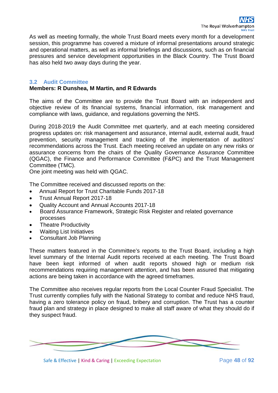As well as meeting formally, the whole Trust Board meets every month for a development session, this programme has covered a mixture of informal presentations around strategic and operational matters, as well as informal briefings and discussions, such as on financial pressures and service development opportunities in the Black Country. The Trust Board has also held two away days during the year.

#### **3.2 Audit Committee**

#### **Members: R Dunshea, M Martin, and R Edwards**

The aims of the Committee are to provide the Trust Board with an independent and objective review of its financial systems, financial information, risk management and compliance with laws, guidance, and regulations governing the NHS.

During 2018-2019 the Audit Committee met quarterly, and at each meeting considered progress updates on: risk management and assurance, internal audit, external audit, fraud prevention, security management and tracking of the implementation of auditors' recommendations across the Trust. Each meeting received an update on any new risks or assurance concerns from the chairs of the Quality Governance Assurance Committee (QGAC), the Finance and Performance Committee (F&PC) and the Trust Management Committee (TMC).

One joint meeting was held with QGAC.

The Committee received and discussed reports on the:

- Annual Report for Trust Charitable Funds 2017-18
- Trust Annual Report 2017-18
- Quality Account and Annual Accounts 2017-18
- Board Assurance Framework, Strategic Risk Register and related governance processes
- Theatre Productivity
- Waiting List Initiatives
- Consultant Job Planning

These matters featured in the Committee's reports to the Trust Board, including a high level summary of the Internal Audit reports received at each meeting. The Trust Board have been kept informed of when audit reports showed high or medium risk recommendations requiring management attention, and has been assured that mitigating actions are being taken in accordance with the agreed timeframes.

The Committee also receives regular reports from the Local Counter Fraud Specialist. The Trust currently complies fully with the National Strategy to combat and reduce NHS fraud, having a zero tolerance policy on fraud, bribery and corruption. The Trust has a counter fraud plan and strategy in place designed to make all staff aware of what they should do if they suspect fraud.



Safe & Effective | Kind & Caring | Exceeding Expectation Page 48 of 92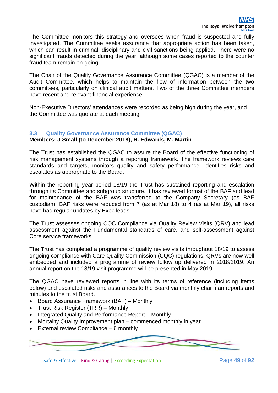The Committee monitors this strategy and oversees when fraud is suspected and fully investigated. The Committee seeks assurance that appropriate action has been taken, which can result in criminal, disciplinary and civil sanctions being applied. There were no significant frauds detected during the year, although some cases reported to the counter fraud team remain on-going.

The Chair of the Quality Governance Assurance Committee (QGAC) is a member of the Audit Committee, which helps to maintain the flow of information between the two committees, particularly on clinical audit matters. Two of the three Committee members have recent and relevant financial experience.

Non-Executive Directors' attendances were recorded as being high during the year, and the Committee was quorate at each meeting.

#### **3.3 Quality Governance Assurance Committee (QGAC)**

#### **Members: J Small (to December 2018), R. Edwards, M. Martin**

The Trust has established the QGAC to assure the Board of the effective functioning of risk management systems through a reporting framework. The framework reviews care standards and targets, monitors quality and safety performance, identifies risks and escalates as appropriate to the Board.

Within the reporting year period 18/19 the Trust has sustained reporting and escalation through its Committee and subgroup structure. It has reviewed format of the BAF and lead for maintenance of the BAF was transferred to the Company Secretary (as BAF custodian). BAF risks were reduced from 7 (as at Mar 18) to 4 (as at Mar 19), all risks have had regular updates by Exec leads.

The Trust assesses ongoing CQC Compliance via Quality Review Visits (QRV) and lead assessment against the Fundamental standards of care, and self-assessment against Core service frameworks.

The Trust has completed a programme of quality review visits throughout 18/19 to assess ongoing compliance with Care Quality Commission (CQC) regulations. QRVs are now well embedded and included a programme of review follow up delivered in 2018/2019. An annual report on the 18/19 visit programme will be presented in May 2019.

The QGAC have reviewed reports in line with its terms of reference (including items below) and escalated risks and assurances to the Board via monthly chairman reports and minutes to the trust Board.

- Board Assurance Framework (BAF) Monthly
- Trust Risk Register (TRR) Monthly
- Integrated Quality and Performance Report Monthly
- Mortality Quality Improvement plan commenced monthly in year
- External review Compliance 6 monthly



Safe & Effective | Kind & Caring | Exceeding Expectation Page 49 of 92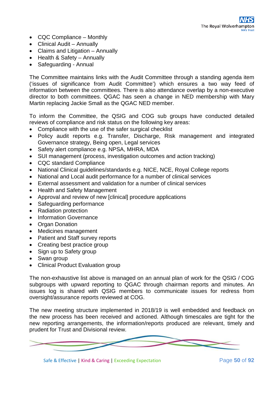- CQC Compliance Monthly
- Clinical Audit Annually
- Claims and Litigation Annually
- Health & Safety Annually
- Safeguarding Annual

The Committee maintains links with the Audit Committee through a standing agenda item ('issues of significance from Audit Committee') which ensures a two way feed of information between the committees. There is also attendance overlap by a non-executive director to both committees. QGAC has seen a change in NED membership with Mary Martin replacing Jackie Small as the QGAC NED member.

To inform the Committee, the QSIG and COG sub groups have conducted detailed reviews of compliance and risk status on the following key areas:

- Compliance with the use of the safer surgical checklist
- Policy audit reports e.g. Transfer, Discharge, Risk management and integrated Governance strategy, Being open, Legal services
- Safety alert compliance e.g. NPSA, MHRA, MDA
- SUI management (process, investigation outcomes and action tracking)
- CQC standard Compliance
- National Clinical guidelines/standards e.g. NICE, NCE, Royal College reports
- National and Local audit performance for a number of clinical services
- External assessment and validation for a number of clinical services
- Health and Safety Management
- Approval and review of new [clinical] procedure applications
- Safeguarding performance
- Radiation protection
- Information Governance
- Organ Donation
- Medicines management
- Patient and Staff survey reports
- Creating best practice group
- Sign up to Safety group
- Swan group
- Clinical Product Evaluation group

The non-exhaustive list above is managed on an annual plan of work for the QSIG / COG subgroups with upward reporting to QGAC through chairman reports and minutes. An issues log is shared with QSIG members to communicate issues for redress from oversight/assurance reports reviewed at COG.

The new meeting structure implemented in 2018/19 is well embedded and feedback on the new process has been received and actioned. Although timescales are tight for the new reporting arrangements, the information/reports produced are relevant, timely and prudent for Trust and Divisional review.

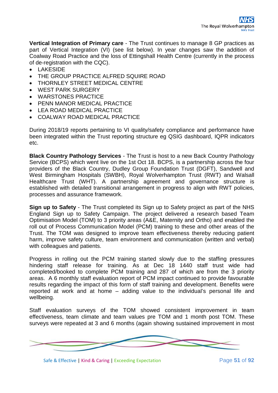**Vertical Integration of Primary care** - The Trust continues to manage 8 GP practices as part of Vertical Integration (VI) (see list below). In year changes saw the addition of Coalway Road Practice and the loss of Ettingshall Health Centre (currently in the process of de-registration with the CQC).

- LAKESIDE
- THE GROUP PRACTICE ALFRED SQUIRE ROAD
- THORNLEY STREET MEDICAL CENTRE
- WEST PARK SURGERY
- WARSTONES PRACTICE
- PENN MANOR MEDICAL PRACTICE
- LEA ROAD MEDICAL PRACTICE
- COALWAY ROAD MEDICAL PRACTICE

During 2018/19 reports pertaining to VI quality/safety compliance and performance have been integrated within the Trust reporting structure eg QSIG dashboard, IQPR indicators etc.

**Black Country Pathology Services** - The Trust is host to a new Back Country Pathology Service (BCPS) which went live on the 1st Oct 18. BCPS, is a partnership across the four providers of the Black Country, Dudley Group Foundation Trust (DGFT), Sandwell and West Birmingham Hospitals (SWBH), Royal Wolverhampton Trust (RWT) and Walsall Healthcare Trust (WHT). A partnership agreement and governance structure is established with detailed transitional arrangement in progress to align with RWT policies, processes and assurance framework.

**Sign up to Safety** - The Trust completed its Sign up to Safety project as part of the NHS England Sign up to Safety Campaign. The project delivered a research based Team Optimisation Model (TOM) to 3 priority areas (A&E, Maternity and Ortho) and enabled the roll out of Process Communication Model (PCM) training to these and other areas of the Trust. The TOM was designed to improve team effectiveness thereby reducing patient harm, improve safety culture, team environment and communication (written and verbal) with colleagues and patients.

Progress in rolling out the PCM training started slowly due to the staffing pressures hindering staff release for training. As at Dec 18 1440 staff trust wide had completed/booked to complete PCM training and 287 of which are from the 3 priority areas. A 6 monthly staff evaluation report of PCM impact continued to provide favourable results regarding the impact of this form of staff training and development. Benefits were reported at work and at home – adding value to the individual's personal life and wellbeing.

Staff evaluation surveys of the TOM showed consistent improvement in team effectiveness, team climate and team values pre TOM and 1 month post TOM. These surveys were repeated at 3 and 6 months (again showing sustained improvement in most



Safe & Effective | Kind & Caring | Exceeding Expectation Page **51** of **92**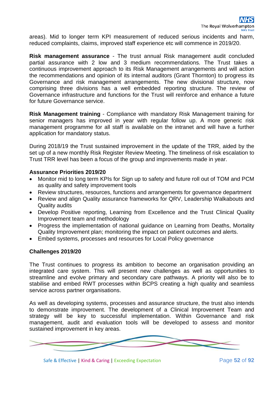areas). Mid to longer term KPI measurement of reduced serious incidents and harm, reduced complaints, claims, improved staff experience etc will commence in 2019/20.

**Risk management assurance** - The trust annual Risk management audit concluded partial assurance with 2 low and 3 medium recommendations. The Trust takes a continuous improvement approach to its Risk Management arrangements and will action the recommendations and opinion of its internal auditors (Grant Thornton) to progress its Governance and risk management arrangements. The new divisional structure, now comprising three divisions has a well embedded reporting structure. The review of Governance infrastructure and functions for the Trust will reinforce and enhance a future for future Governance service.

**Risk Management training** - Compliance with mandatory Risk Management training for senior managers has improved in year with regular follow up. A more generic risk management programme for all staff is available on the intranet and will have a further application for mandatory status.

During 2018/19 the Trust sustained improvement in the update of the TRR, aided by the set up of a new monthly Risk Register Review Meeting. The timeliness of risk escalation to Trust TRR level has been a focus of the group and improvements made in year.

#### **Assurance Priorities 2019/20**

- Monitor mid to long term KPIs for Sign up to safety and future roll out of TOM and PCM as quality and safety improvement tools
- Review structures, resources, functions and arrangements for governance department
- Review and align Quality assurance frameworks for QRV, Leadership Walkabouts and Quality audits
- Develop Positive reporting, Learning from Excellence and the Trust Clinical Quality Improvement team and methodology
- Progress the implementation of national guidance on Learning from Deaths, Mortality Quality Improvement plan; monitoring the impact on patient outcomes and alerts.
- Embed systems, processes and resources for Local Policy governance

## **Challenges 2019/20**

The Trust continues to progress its ambition to become an organisation providing an integrated care system. This will present new challenges as well as opportunities to streamline and evolve primary and secondary care pathways. A priority will also be to stabilise and embed RWT processes within BCPS creating a high quality and seamless service across partner organisations.

As well as developing systems, processes and assurance structure, the trust also intends to demonstrate improvement. The development of a Clinical Improvement Team and strategy will be key to successful implementation. Within Governance and risk management, audit and evaluation tools will be developed to assess and monitor sustained improvement in key areas.



Safe & Effective | Kind & Caring | Exceeding Expectation Page 52 of 92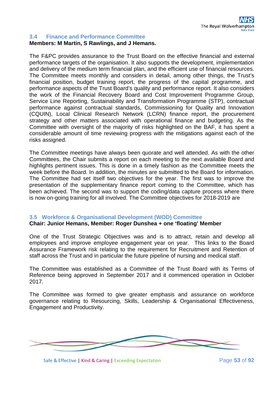#### **3.4 Finance and Performance Committee Members: M Martin, S Rawlings, and J Hemans.**

The F&PC provides assurance to the Trust Board on the effective financial and external performance targets of the organisation. It also supports the development, implementation and delivery of the medium term financial plan, and the efficient use of financial resources. The Committee meets monthly and considers in detail, among other things, the Trust's financial position, budget training report, the progress of the capital programme, and performance aspects of the Trust Board's quality and performance report. It also considers the work of the Financial Recovery Board and Cost Improvement Programme Group, Service Line Reporting, Sustainability and Transformation Programme (STP), contractual performance against contractual standards, Commissioning for Quality and Innovation (CQUIN), Local Clinical Research Network (LCRN) finance report, the procurement strategy and other matters associated with operational finance and budgeting. As the Committee with oversight of the majority of risks highlighted on the BAF, it has spent a considerable amount of time reviewing progress with the mitigations against each of the risks assigned.

The Committee meetings have always been quorate and well attended. As with the other Committees, the Chair submits a report on each meeting to the next available Board and highlights pertinent issues. This is done in a timely fashion as the Committee meets the week before the Board. In addition, the minutes are submitted to the Board for information. The Committee had set itself two objectives for the year. The first was to improve the presentation of the supplementary finance report coming to the Committee, which has been achieved. The second was to support the coding/data capture process where there is now on-going training for all involved. The Committee objectives for 2018-2019 are

## **3.5 Workforce & Organisational Development (WOD) Committee**

## **Chair: Junior Hemans, Member: Roger Dunshea + one 'floating' Member**

One of the Trust Strategic Objectives was and is to attract, retain and develop all employees and improve employee engagement year on year. This links to the Board Assurance Framework risk relating to the requirement for Recruitment and Retention of staff across the Trust and in particular the future pipeline of nursing and medical staff.

The Committee was established as a Committee of the Trust Board with its Terms of Reference being approved in September 2017 and it commenced operation in October 2017.

The Committee was formed to give greater emphasis and assurance on workforce governance relating to Resourcing, Skills, Leadership & Organisational Effectiveness, Engagement and Productivity.

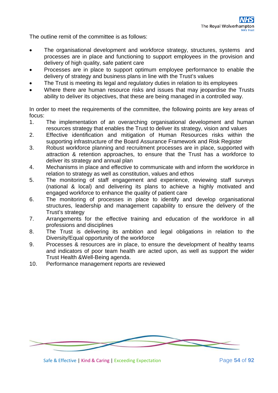The outline remit of the committee is as follows:

- The organisational development and workforce strategy, structures, systems and processes are in place and functioning to support employees in the provision and delivery of high quality, safe patient care
- Processes are in place to support optimum employee performance to enable the delivery of strategy and business plans in line with the Trust's values
- The Trust is meeting its legal and regulatory duties in relation to its employees
- Where there are human resource risks and issues that may jeopardise the Trusts ability to deliver its objectives, that these are being managed in a controlled way.

In order to meet the requirements of the committee, the following points are key areas of focus:

- 1. The implementation of an overarching organisational development and human resources strategy that enables the Trust to deliver its strategy, vision and values
- 2. Effective identification and mitigation of Human Resources risks within the supporting infrastructure of the Board Assurance Framework and Risk Register
- 3. Robust workforce planning and recruitment processes are in place, supported with attraction & retention approaches, to ensure that the Trust has a workforce to deliver its strategy and annual plan
- 4. Mechanisms in place and effective to communicate with and inform the workforce in relation to strategy as well as constitution, values and ethos
- 5. The monitoring of staff engagement and experience, reviewing staff surveys (national & local) and delivering its plans to achieve a highly motivated and engaged workforce to enhance the quality of patient care
- 6. The monitoring of processes in place to identify and develop organisational structures, leadership and management capability to ensure the delivery of the Trust's strategy
- 7. Arrangements for the effective training and education of the workforce in all professions and disciplines
- 8. The Trust is delivering its ambition and legal obligations in relation to the Diversity/Equal opportunity of the workforce
- 9. Processes & resources are in place, to ensure the development of healthy teams and indicators of poor team health are acted upon, as well as support the wider Trust Health &Well-Being agenda.
- 10. Performance management reports are reviewed



Safe & Effective | Kind & Caring | Exceeding Expectation Page **54** of **92**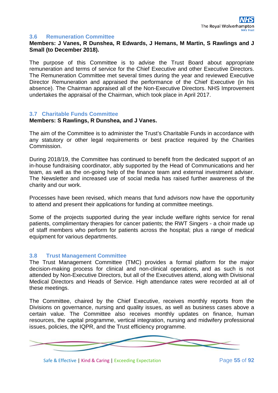#### **3.6 Remuneration Committee**

**Members: J Vanes, R Dunshea, R Edwards, J Hemans, M Martin, S Rawlings and J Small (to December 2018).**

The purpose of this Committee is to advise the Trust Board about appropriate remuneration and terms of service for the Chief Executive and other Executive Directors. The Remuneration Committee met several times during the year and reviewed Executive Director Remuneration and appraised the performance of the Chief Executive (in his absence). The Chairman appraised all of the Non-Executive Directors. NHS Improvement undertakes the appraisal of the Chairman, which took place in April 2017.

#### **3.7 Charitable Funds Committee**

#### **Members: S Rawlings, R Dunshea, and J Vanes.**

The aim of the Committee is to administer the Trust's Charitable Funds in accordance with any statutory or other legal requirements or best practice required by the Charities Commission.

During 2018/19, the Committee has continued to benefit from the dedicated support of an in-house fundraising coordinator, ably supported by the Head of Communications and her team, as well as the on-going help of the finance team and external investment adviser. The Newsletter and increased use of social media has raised further awareness of the charity and our work.

Processes have been revised, which means that fund advisors now have the opportunity to attend and present their applications for funding at committee meetings.

Some of the projects supported during the year include welfare rights service for renal patients, complimentary therapies for cancer patients; the RWT Singers - a choir made up of staff members who perform for patients across the hospital; plus a range of medical equipment for various departments.

#### **3.8 Trust Management Committee**

The Trust Management Committee (TMC) provides a formal platform for the major decision-making process for clinical and non-clinical operations, and as such is not attended by Non-Executive Directors, but all of the Executives attend, along with Divisional Medical Directors and Heads of Service. High attendance rates were recorded at all of these meetings.

The Committee, chaired by the Chief Executive, receives monthly reports from the Divisions on governance, nursing and quality issues, as well as business cases above a certain value. The Committee also receives monthly updates on finance, human resources, the capital programme, vertical integration, nursing and midwifery professional issues, policies, the IQPR, and the Trust efficiency programme.



Safe & Effective | Kind & Caring | Exceeding Expectation Page **55** of **92**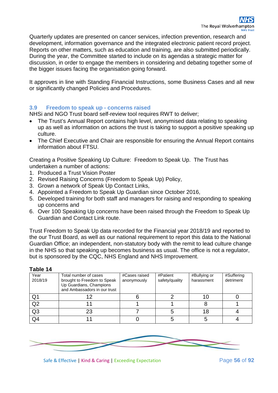Quarterly updates are presented on cancer services, infection prevention, research and development, information governance and the integrated electronic patient record project. Reports on other matters, such as education and training, are also submitted periodically. During the year, the Committee started to include on its agendas a strategic matter for discussion, in order to engage the members in considering and debating together some of the bigger issues facing the organisation going forward.

It approves in line with Standing Financial Instructions, some Business Cases and all new or significantly changed Policies and Procedures.

## **3.9 Freedom to speak up - concerns raised**

NHSi and NGO Trust board self-review tool requires RWT to deliver;

- The Trust's Annual Report contains high level, anonymised data relating to speaking up as well as information on actions the trust is taking to support a positive speaking up culture.
- The Chief Executive and Chair are responsible for ensuring the Annual Report contains information about FTSU.

Creating a Positive Speaking Up Culture: Freedom to Speak Up. The Trust has undertaken a number of actions:

- 1. Produced a Trust Vision Poster
- 2. Revised Raising Concerns (Freedom to Speak Up) Policy,
- 3. Grown a network of Speak Up Contact Links,
- 4. Appointed a Freedom to Speak Up Guardian since October 2016,
- 5. Developed training for both staff and managers for raising and responding to speaking up concerns and
- 6. Over 100 Speaking Up concerns have been raised through the Freedom to Speak Up Guardian and Contact Link route.

Trust Freedom to Speak Up data recorded for the Financial year 2018/19 and reported to the our Trust Board, as well as our national requirement to report this data to the National Guardian Office; an independent, non-statutory body with the remit to lead culture change in the NHS so that speaking up becomes business as usual. The office is not a regulator, but is sponsored by the CQC, NHS England and NHS Improvement.

| .               |                                                                                                                 |                              |                            |                            |                         |
|-----------------|-----------------------------------------------------------------------------------------------------------------|------------------------------|----------------------------|----------------------------|-------------------------|
| Year<br>2018/19 | Total number of cases<br>brought to Freedom to Speak<br>Up Guardians, Champions<br>and Ambassadors in our trust | #Cases raised<br>anonymously | #Patient<br>safety/quality | #Bullying or<br>harassment | #Suffering<br>detriment |
| Q1              | 12                                                                                                              |                              |                            |                            |                         |
| Q2              |                                                                                                                 |                              |                            |                            |                         |
| Q <sub>3</sub>  | 23                                                                                                              |                              |                            |                            |                         |
| Q4              |                                                                                                                 |                              |                            |                            |                         |

#### **Table 14**

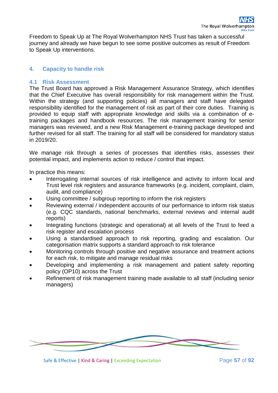Freedom to Speak Up at The Royal Wolverhampton NHS Trust has taken a successful journey and already we have begun to see some positive outcomes as result of Freedom to Speak Up interventions.

## **4. Capacity to handle risk**

## **4.1 Risk Assessment**

The Trust Board has approved a Risk Management Assurance Strategy, which identifies that the Chief Executive has overall responsibility for risk management within the Trust. Within the strategy (and supporting policies) all managers and staff have delegated responsibility identified for the management of risk as part of their core duties. Training is provided to equip staff with appropriate knowledge and skills via a combination of etraining packages and handbook resources. The risk management training for senior managers was reviewed, and a new Risk Management e-training package developed and further revised for all staff. The training for all staff will be considered for mandatory status in 2019/20.

We manage risk through a series of processes that identifies risks, assesses their potential impact, and implements action to reduce / control that impact.

In practice this means:

- Interrogating internal sources of risk intelligence and activity to inform local and Trust level risk registers and assurance frameworks (e.g. incident, complaint, claim, audit, and compliance)
- Using committee / subgroup reporting to inform the risk registers
- Reviewing external / independent accounts of our performance to inform risk status (e.g. CQC standards, national benchmarks, external reviews and internal audit reports)
- Integrating functions (strategic and operational) at all levels of the Trust to feed a risk register and escalation process
- Using a standardised approach to risk reporting, grading and escalation. Our categorisation matrix supports a standard approach to risk tolerance
- Monitoring controls through positive and negative assurance and treatment actions for each risk, to mitigate and manage residual risks
- Developing and implementing a risk management and patient safety reporting policy (OP10) across the Trust
- Refinement of risk management training made available to all staff (including senior managers)



Safe & Effective | Kind & Caring | Exceeding Expectation Page **57** of **92**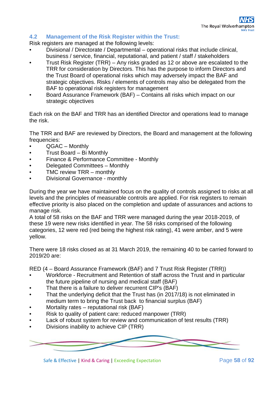## **4.2 Management of the Risk Register within the Trust:**

Risk registers are managed at the following levels:

- Divisional / Directorate / Departmental operational risks that include clinical, business / service, financial, reputational, and patient / staff / stakeholders
- Trust Risk Register (TRR) Any risks graded as 12 or above are escalated to the TRR for consideration by Directors. This has the purpose to inform Directors and the Trust Board of operational risks which may adversely impact the BAF and strategic objectives. Risks / elements of controls may also be delegated from the BAF to operational risk registers for management
- Board Assurance Framework (BAF) Contains all risks which impact on our strategic objectives

Each risk on the BAF and TRR has an identified Director and operations lead to manage the risk.

The TRR and BAF are reviewed by Directors, the Board and management at the following frequencies:

- QGAC Monthly
- Trust Board Bi Monthly
- Finance & Performance Committee Monthly
- Delegated Committees Monthly
- TMC review TRR monthly
- Divisional Governance monthly

During the year we have maintained focus on the quality of controls assigned to risks at all levels and the principles of measurable controls are applied. For risk registers to remain effective priority is also placed on the completion and update of assurances and actions to manage risk.

A total of 58 risks on the BAF and TRR were managed during the year 2018-2019, of these 19 were new risks identified in year. The 58 risks comprised of the following categories, 12 were red (red being the highest risk rating), 41 were amber, and 5 were yellow.

There were 18 risks closed as at 31 March 2019, the remaining 40 to be carried forward to 2019/20 are:

RED (4 – Board Assurance Framework (BAF) and 7 Trust Risk Register (TRR))

- Workforce Recruitment and Retention of staff across the Trust and in particular the future pipeline of nursing and medical staff (BAF)
- That there is a failure to deliver recurrent CIP's (BAF)
- That the underlying deficit that the Trust has (in 2017/18) is not eliminated in medium term to bring the Trust back to financial surplus (BAF)
- Mortality rates reputational risk (BAF)
- Risk to quality of patient care: reduced manpower (TRR)
- Lack of robust system for review and communication of test results (TRR)
- Divisions inability to achieve CIP (TRR)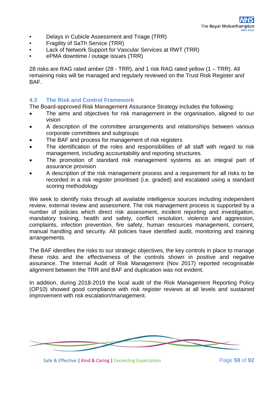- Delays in Cubicle Assessment and Triage (TRR)
- Fragility of SaTh Service (TRR)
- Lack of Network Support for Vascular Services at RWT (TRR)
- ePMA downtime / outage issues (TRR)

28 risks are RAG rated amber (28 - TRR), and 1 risk RAG rated yellow (1 – TRR). All remaining risks will be managed and regularly reviewed on the Trust Risk Register and BAF.

## **4.3 The Risk and Control Framework**

The Board-approved Risk Management Assurance Strategy includes the following:

- The aims and objectives for risk management in the organisation, aligned to our vision
- A description of the committee arrangements and relationships between various corporate committees and subgroups
- The BAF and process for management of risk registers
- The identification of the roles and responsibilities of all staff with regard to risk management, including accountability and reporting structures.
- The promotion of standard risk management systems as an integral part of assurance provision
- A description of the risk management process and a requirement for all risks to be recorded in a risk register prioritised (i.e. graded) and escalated using a standard scoring methodology

We seek to identify risks through all available intelligence sources including independent review, external review and assessment. The risk management process is supported by a number of policies which direct risk assessment, incident reporting and investigation, mandatory training, health and safety, conflict resolution, violence and aggression, complaints, infection prevention, fire safety, human resources management, consent, manual handling and security. All policies have identified audit, monitoring and training arrangements.

The BAF identifies the risks to our strategic objectives, the key controls in place to manage these risks and the effectiveness of the controls shown in positive and negative assurance. The Internal Audit of Risk Management (Nov 2017) reported recognisable alignment between the TRR and BAF and duplication was not evident.

In addition, during 2018-2019 the local audit of the Risk Management Reporting Policy (OP10) showed good compliance with risk register reviews at all levels and sustained improvement with risk escalation/management.

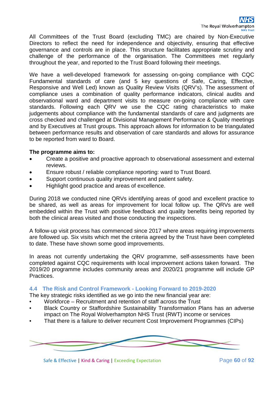All Committees of the Trust Board (excluding TMC) are chaired by Non-Executive Directors to reflect the need for independence and objectivity, ensuring that effective governance and controls are in place. This structure facilitates appropriate scrutiny and challenge of the performance of the organisation. The Committees met regularly throughout the year, and reported to the Trust Board following their meetings.

We have a well-developed framework for assessing on-going compliance with CQC Fundamental standards of care (and 5 key questions of Safe, Caring, Effective, Responsive and Well Led) known as Quality Review Visits (QRV's). The assessment of compliance uses a combination of quality performance indicators, clinical audits and observational ward and department visits to measure on-going compliance with care standards. Following each QRV we use the CQC rating characteristics to make judgements about compliance with the fundamental standards of care and judgments are cross checked and challenged at Divisional Management Performance & Quality meetings and by Executives at Trust groups. This approach allows for information to be triangulated between performance results and observation of care standards and allows for assurance to be reported from ward to Board.

#### **The programme aims to:**

- Create a positive and proactive approach to observational assessment and external reviews.
- Ensure robust / reliable compliance reporting: ward to Trust Board.
- Support continuous quality improvement and patient safety.
- Highlight good practice and areas of excellence.

During 2018 we conducted nine QRVs identifying areas of good and excellent practice to be shared, as well as areas for improvement for local follow up. The QRVs are well embedded within the Trust with positive feedback and quality benefits being reported by both the clinical areas visited and those conducting the inspections.

A follow-up visit process has commenced since 2017 where areas requiring improvements are followed up. Six visits which met the criteria agreed by the Trust have been completed to date. These have shown some good improvements.

In areas not currently undertaking the QRV programme, self-assessments have been completed against CQC requirements with local improvement actions taken forward. The 2019/20 programme includes community areas and 2020/21 programme will include GP Practices.

#### **4.4 The Risk and Control Framework - Looking Forward to 2019-2020**

The key strategic risks identified as we go into the new financial year are:

- Workforce Recruitment and retention of staff across the Trust
- Black Country or Staffordshire Sustainability Transformation Plans has an adverse impact on The Royal Wolverhampton NHS Trust (RWT) income or services
- That there is a failure to deliver recurrent Cost Improvement Programmes (CIPs)

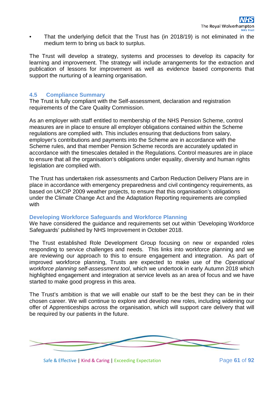That the underlying deficit that the Trust has (in 2018/19) is not eliminated in the medium term to bring us back to surplus.

The Trust will develop a strategy, systems and processes to develop its capacity for learning and improvement. The strategy will include arrangements for the extraction and publication of lessons for improvement as well as evidence based components that support the nurturing of a learning organisation.

## **4.5 Compliance Summary**

The Trust is fully compliant with the Self-assessment, declaration and registration requirements of the Care Quality Commission.

As an employer with staff entitled to membership of the NHS Pension Scheme, control measures are in place to ensure all employer obligations contained within the Scheme regulations are complied with. This includes ensuring that deductions from salary, employer's contributions and payments into the Scheme are in accordance with the Scheme rules, and that member Pension Scheme records are accurately updated in accordance with the timescales detailed in the Regulations. Control measures are in place to ensure that all the organisation's obligations under equality, diversity and human rights legislation are complied with.

The Trust has undertaken risk assessments and Carbon Reduction Delivery Plans are in place in accordance with emergency preparedness and civil contingency requirements, as based on UKCIP 2009 weather projects, to ensure that this organisation's obligations under the Climate Change Act and the Adaptation Reporting requirements are complied with

## **Developing Workforce Safeguards and Workforce Planning**

We have considered the guidance and requirements set out within 'Developing Workforce Safeguards' published by NHS Improvement in October 2018.

The Trust established Role Development Group focusing on new or expanded roles responding to service challenges and needs. This links into workforce planning and we are reviewing our approach to this to ensure engagement and integration. As part of improved workforce planning, Trusts are expected to make use of the *Operational workforce planning self-assessment tool*, which we undertook in early Autumn 2018 which highlighted engagement and integration at service levels as an area of focus and we have started to make good progress in this area.

The Trust's ambition is that we will enable our staff to be the best they can be in their chosen career. We will continue to explore and develop new roles, including widening our offer of Apprenticeships across the organisation, which will support care delivery that will be required by our patients in the future.



Safe & Effective | Kind & Caring | Exceeding Expectation Page 61 of 92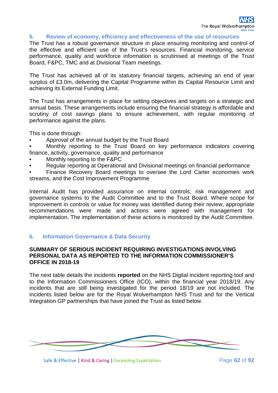#### **5. Review of economy, efficiency and effectiveness of the use of resources**

The Trust has a robust governance structure in place ensuring monitoring and control of the effective and efficient use of the Trust's resources. Financial monitoring, service performance, quality and workforce information is scrutinised at meetings of the Trust Board, F&PC, TMC and at Divisional Team meetings.

The Trust has achieved all of its statutory financial targets, achieving an end of year surplus of £3.0m, delivering the Capital Programme within its Capital Resource Limit and achieving its External Funding Limit.

The Trust has arrangements in place for setting objectives and targets on a strategic and annual basis. These arrangements include ensuring the financial strategy is affordable and scrutiny of cost savings plans to ensure achievement, with regular monitoring of performance against the plans.

This is done through:

- Approval of the annual budget by the Trust Board
- Monthly reporting to the Trust Board on key performance indicators covering finance, activity, governance, quality and performance
- Monthly reporting to the F&PC
- Regular reporting at Operational and Divisional meetings on financial performance
- Finance Recovery Board meetings to oversee the Lord Carter economies work streams, and the Cost Improvement Programme

Internal Audit has provided assurance on internal controls, risk management and governance systems to the Audit Committee and to the Trust Board. Where scope for improvement in controls or value for money was identified during their review, appropriate recommendations were made and actions were agreed with management for implementation. The implementation of these actions is monitored by the Audit Committee.

## **6. Information Governance & Data Security**

#### **SUMMARY OF SERIOUS INCIDENT REQUIRING INVESTIGATIONS INVOLVING PERSONAL DATA AS REPORTED TO THE INFORMATION COMMISSIONER'S OFFICE IN 2018-19**

The next table details the incidents **reported** on the NHS Digital incident reporting tool and to the Information Commissioners Office (ICO), within the financial year 2018/19. Any incidents that are still being investigated for the period 18/19 are not included. The incidents listed below are for the Royal Wolverhampton NHS Trust and for the Vertical Integration GP partnerships that have joined the Trust as listed below.



Safe & Effective | Kind & Caring | Exceeding Expectation Page 62 of 92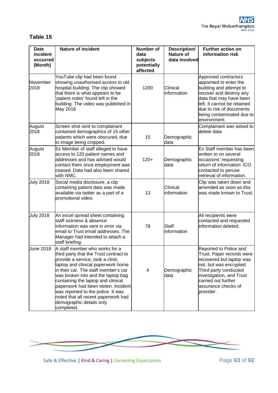# **Table 15**

| <b>Date</b><br>incident<br>occurred<br>(Month) | <b>Nature of incident</b>                                                                                                                                                                                                                                                                                                                                                                                                            | <b>Number of</b><br>data<br>subjects<br>potentially<br>affected | Description/<br><b>Nature of</b><br>data involved | Further action on<br>information risk                                                                                                                                                                                                   |
|------------------------------------------------|--------------------------------------------------------------------------------------------------------------------------------------------------------------------------------------------------------------------------------------------------------------------------------------------------------------------------------------------------------------------------------------------------------------------------------------|-----------------------------------------------------------------|---------------------------------------------------|-----------------------------------------------------------------------------------------------------------------------------------------------------------------------------------------------------------------------------------------|
| November<br>2018                               | YouTube clip had been found<br>showing unauthorised access to old<br>hospital building. The clip showed<br>that there is what appears to be<br>patient notes' found left in the<br>building. The video was published in<br>May 2018                                                                                                                                                                                                  | 1200                                                            | Clinical<br>information                           | Approved contractors<br>appointed to enter the<br>building and attempt to<br>recover and destroy any<br>data that may have been<br>left. It cannot be retained<br>due to risk of documents<br>being contaminated due to<br>environment. |
| August<br>2018                                 | Screen shot sent to complainant<br>contained demographics of 15 other<br>patients which were obscured, due<br>to image being cropped.                                                                                                                                                                                                                                                                                                | 15                                                              | Demographic<br>data                               | Complainant was asked to<br>delete data                                                                                                                                                                                                 |
| August<br>2018                                 | Ex Member of staff alleged to have<br>access to 120 patient names and<br>addresses and has advised would<br>contact them once employment was<br>ceased. Data had also been shared<br>with NMC.                                                                                                                                                                                                                                       | $120+$                                                          | Demographic<br>data                               | Ex Staff member has been<br>written to on several<br>occasions' requesting<br>return of information. ICO<br>contacted to peruse<br>retrieval of information.                                                                            |
| <b>July 2018</b>                               | Social media disclosure, a clip<br>containing patient data was made<br>available via twitter as a part of a<br>promotional video.                                                                                                                                                                                                                                                                                                    | 13                                                              | Clinical<br>information                           | Clip was taken down and<br>amended as soon as this<br>was made known to Trust.                                                                                                                                                          |
| <b>July 2018</b>                               | An excel spread sheet containing<br>staff sickness & absence<br>information was sent in error via<br>email to Trust email addresses. The<br>Manager had intended to attach a<br>staff briefing.                                                                                                                                                                                                                                      | 78                                                              | <b>Staff</b><br>information                       | All recipients were<br>contacted and requested<br>information deleted.                                                                                                                                                                  |
| June 2018                                      | A staff member who works for a<br>third party that the Trust contract to<br>provide a service, took a clinic<br>laptop and clinical paperwork home<br>in their car. The staff member's car<br>was broken into and the laptop bag<br>containing the laptop and clinical<br>paperwork had been stolen. Incident<br>was reported to the police. It was<br>noted that all recent paperwork had<br>demographic details only<br>completed. | $\overline{\mathbf{4}}$                                         | Demographic<br>data                               | Reported to Police and<br>Trust. Paper records were<br>recovered but laptop was<br>not, but was encrypted.<br>Third party conducted<br>investigation, and Trust<br>carried out further<br>assurance checks of<br>provider.              |



Safe & Effective | Kind & Caring | Exceeding Expectation Page 63 of 92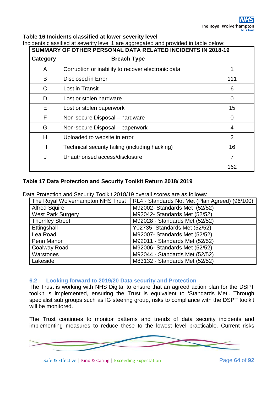## **Table 16 Incidents classified at lower severity level**

| adino diadomoa al dovorni provor i are aggregatoa aria proviaca in labio bon<br>SUMMARY OF OTHER PERSONAL DATA RELATED INCIDENTS IN 2018-19 |                                                    |                |  |  |
|---------------------------------------------------------------------------------------------------------------------------------------------|----------------------------------------------------|----------------|--|--|
| Category                                                                                                                                    | <b>Breach Type</b>                                 |                |  |  |
| A                                                                                                                                           | Corruption or inability to recover electronic data |                |  |  |
| B                                                                                                                                           | <b>Disclosed in Error</b>                          | 111            |  |  |
| C                                                                                                                                           | Lost in Transit                                    | 6              |  |  |
| D                                                                                                                                           | Lost or stolen hardware                            | 0              |  |  |
| E                                                                                                                                           | Lost or stolen paperwork                           | 15             |  |  |
| F                                                                                                                                           | Non-secure Disposal - hardware                     | 0              |  |  |
| G                                                                                                                                           | Non-secure Disposal – paperwork                    | 4              |  |  |
| H                                                                                                                                           | Uploaded to website in error                       | $\overline{2}$ |  |  |
|                                                                                                                                             | Technical security failing (including hacking)     | 16             |  |  |
| J                                                                                                                                           | Unauthorised access/disclosure                     | 7              |  |  |
|                                                                                                                                             |                                                    | 162            |  |  |

Incidents classified at severity level 1 are aggregated and provided in table below:

## **Table 17 Data Protection and Security Toolkit Return 2018/ 2019**

Data Protection and Security Toolkit 2018/19 overall scores are as follows:

| The Royal Wolverhampton NHS Trust | RL4 - Standards Not Met (Plan Agreed) (96/100) |  |  |
|-----------------------------------|------------------------------------------------|--|--|
| <b>Alfred Squire</b>              | M92002- Standards Met (52/52)                  |  |  |
| <b>West Park Surgery</b>          | M92042- Standards Met (52/52)                  |  |  |
| <b>Thornley Street</b>            | M92028 - Standards Met (52/52)                 |  |  |
| Ettingshall                       | Y02735- Standards Met (52/52)                  |  |  |
| Lea Road                          | M92007- Standards Met (52/52)                  |  |  |
| Penn Manor                        | M92011 - Standards Met (52/52)                 |  |  |
| Coalway Road                      | M92006- Standards Met (52/52)                  |  |  |
| Warstones                         | M92044 - Standards Met (52/52)                 |  |  |
| Lakeside                          | M83132 - Standards Met (52/52)                 |  |  |

## **6.2 Looking forward to 2019/20 Data security and Protection**

The Trust is working with NHS Digital to ensure that an agreed action plan for the DSPT toolkit is implemented, ensuring the Trust is equivalent to 'Standards Met'. Through specialist sub groups such as IG steering group, risks to compliance with the DSPT toolkit will be monitored.

The Trust continues to monitor patterns and trends of data security incidents and implementing measures to reduce these to the lowest level practicable. Current risks

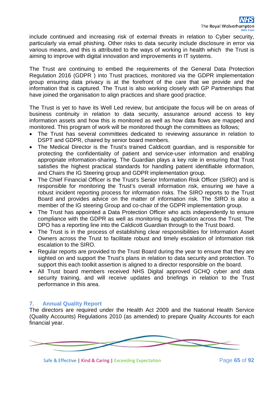include continued and increasing risk of external threats in relation to Cyber security, particularly via email phishing. Other risks to data security include disclosure in error via various means, and this is attributed to the ways of working in health which the Trust is aiming to improve with digital innovation and improvements in IT systems.

The Trust are continuing to embed the requirements of the General Data Protection Regulation 2016 (GDPR ) into Trust practices, monitored via the GDPR implementation group ensuring data privacy is at the forefront of the care that we provide and the information that is captured. The Trust is also working closely with GP Partnerships that have joined the organisation to align practices and share good practice.

The Trust is yet to have its Well Led review, but anticipate the focus will be on areas of business continuity in relation to data security, assurance around access to key information assets and how this is monitored as well as how data flows are mapped and monitored. This program of work will be monitored though the committees as follows;

- The Trust has several committees dedicated to reviewing assurance in relation to DSPT and GDPR, chaired by senior board members.
- The Medical Director is the Trust's trained Caldicott guardian, and is responsible for protecting the confidentiality of patient and service-user information and enabling appropriate information-sharing. The Guardian plays a key role in ensuring that Trust satisfies the highest practical standards for handling patient identifiable information, and Chairs the IG Steering group and GDPR implementation group.
- The Chief Financial Officer is the Trust's Senior Information Risk Officer (SIRO) and is responsible for monitoring the Trust's overall information risk, ensuring we have a robust incident reporting process for information risks. The SIRO reports to the Trust Board and provides advice on the matter of information risk. The SIRO is also a member of the IG steering Group and co-chair of the GDPR implementation group.
- The Trust has appointed a Data Protection Officer who acts independently to ensure compliance with the GDPR as well as monitoring its application across the Trust. The DPO has a reporting line into the Caldicott Guardian through to the Trust board.
- The Trust is in the process of establishing clear responsibilities for Information Asset Owners across the Trust to facilitate robust and timely escalation of information risk escalation to the SIRO.
- Regular reports are provided to the Trust Board during the year to ensure that they are sighted on and support the Trust's plans in relation to data security and protection. To support this each toolkit assertion is aligned to a director responsible on the board.
- All Trust board members received NHS Digital approved GCHQ cyber and data security training, and will receive updates and briefings in relation to the Trust performance in this area.

## **7. Annual Quality Report**

The directors are required under the Health Act 2009 and the National Health Service (Quality Accounts) Regulations 2010 (as amended) to prepare Quality Accounts for each financial year.

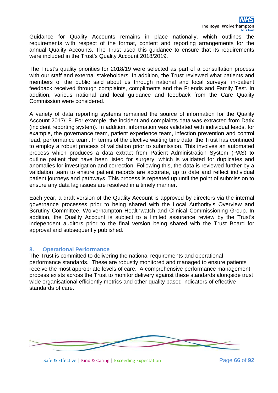Guidance for Quality Accounts remains in place nationally, which outlines the requirements with respect of the format, content and reporting arrangements for the annual Quality Accounts. The Trust used this guidance to ensure that its requirements were included in the Trust's Quality Account 2018/2019.

The Trust's quality priorities for 2018/19 were selected as part of a consultation process with our staff and external stakeholders. In addition, the Trust reviewed what patients and members of the public said about us through national and local surveys, in-patient feedback received through complaints, compliments and the Friends and Family Test. In addition, various national and local guidance and feedback from the Care Quality Commission were considered.

A variety of data reporting systems remained the source of information for the Quality Account 2017/18. For example, the incident and complaints data was extracted from Datix (incident reporting system). In addition, information was validated with individual leads, for example, the governance team, patient experience team, infection prevention and control lead, performance team. In terms of the elective waiting time data, the Trust has continued to employ a robust process of validation prior to submission. This involves an automated process which produces a data extract from Patient Administration System (PAS) to outline patient that have been listed for surgery, which is validated for duplicates and anomalies for investigation and correction. Following this, the data is reviewed further by a validation team to ensure patient records are accurate, up to date and reflect individual patient journeys and pathways. This process is repeated up until the point of submission to ensure any data lag issues are resolved in a timely manner.

Each year, a draft version of the Quality Account is approved by directors via the internal governance processes prior to being shared with the Local Authority's Overview and Scrutiny Committee, Wolverhampton Healthwatch and Clinical Commissioning Group. In addition, the Quality Account is subject to a limited assurance review by the Trust's independent auditors prior to the final version being shared with the Trust Board for approval and subsequently published.

## **8. Operational Performance**

The Trust is committed to delivering the national requirements and operational performance standards. These are robustly monitored and managed to ensure patients receive the most appropriate levels of care. A comprehensive performance management process exists across the Trust to monitor delivery against these standards alongside trust wide organisational efficiently metrics and other quality based indicators of effective standards of care.

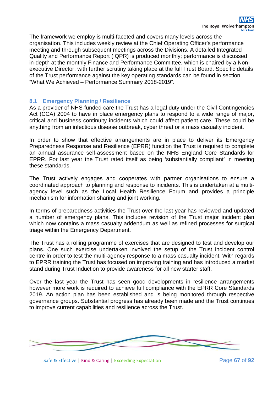The framework we employ is multi-faceted and covers many levels across the organisation. This includes weekly review at the Chief Operating Officer's performance meeting and through subsequent meetings across the Divisions. A detailed Integrated Quality and Performance Report (IQPR) is produced monthly; performance is discussed in-depth at the monthly Finance and Performance Committee, which is chaired by a Nonexecutive Director, with further scrutiny taking place at the full Trust Board. Specific details of the Trust performance against the key operating standards can be found in section "What We Achieved – Performance Summary 2018-2019".

## **8.1 Emergency Planning / Resilience**

As a provider of NHS-funded care the Trust has a legal duty under the Civil Contingencies Act (CCA) 2004 to have in place emergency plans to respond to a wide range of major, critical and business continuity incidents which could affect patient care. These could be anything from an infectious disease outbreak, cyber threat or a mass casualty incident.

In order to show that effective arrangements are in place to deliver its Emergency Preparedness Response and Resilience (EPRR) function the Trust is required to complete an annual assurance self-assessment based on the NHS England Core Standards for EPRR. For last year the Trust rated itself as being 'substantially compliant' in meeting these standards.

The Trust actively engages and cooperates with partner organisations to ensure a coordinated approach to planning and response to incidents. This is undertaken at a multiagency level such as the Local Health Resilience Forum and provides a principle mechanism for information sharing and joint working.

In terms of preparedness activities the Trust over the last year has reviewed and updated a number of emergency plans. This includes revision of the Trust major incident plan which now contains a mass casualty addendum as well as refined processes for surgical triage within the Emergency Department.

The Trust has a rolling programme of exercises that are designed to test and develop our plans. One such exercise undertaken involved the setup of the Trust incident control centre in order to test the multi-agency response to a mass casualty incident. With regards to EPRR training the Trust has focused on improving training and has introduced a market stand during Trust Induction to provide awareness for all new starter staff.

Over the last year the Trust has seen good developments in resilience arrangements however more work is required to achieve full compliance with the EPRR Core Standards 2019. An action plan has been established and is being monitored through respective governance groups. Substantial progress has already been made and the Trust continues to improve current capabilities and resilience across the Trust.



Safe & Effective | Kind & Caring | Exceeding Expectation Page 67 of 92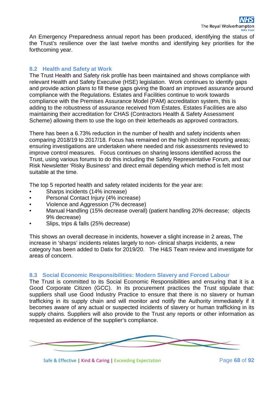An Emergency Preparedness annual report has been produced, identifying the status of the Trust's resilience over the last twelve months and identifying key priorities for the forthcoming year.

## **8.2 Health and Safety at Work**

The Trust Health and Safety risk profile has been maintained and shows compliance with relevant Health and Safety Executive (HSE) legislation. Work continues to identify gaps and provide action plans to fill these gaps giving the Board an improved assurance around compliance with the Regulations. Estates and Facilities continue to work towards compliance with the Premises Assurance Model (PAM) accreditation system, this is adding to the robustness of assurance received from Estates. Estates Facilities are also maintaining their accreditation for CHAS (Contractors Health & Safety Assessment Scheme) allowing them to use the logo on their letterheads as approved contractors.

There has been a 6.73% reduction in the number of health and safety incidents when comparing 2018/19 to 2017/18. Focus has remained on the high incident reporting areas; ensuring investigations are undertaken where needed and risk assessments reviewed to improve control measures. Focus continues on sharing lessons identified across the Trust, using various forums to do this including the Safety Representative Forum, and our Risk Newsletter 'Risky Business' and direct email depending which method is felt most suitable at the time.

The top 5 reported health and safety related incidents for the year are:

- Sharps incidents (14% increase)
- Personal Contact Injury (4% increase)
- Violence and Aggression (7% decrease)
- Manual Handling (15% decrease overall) (patient handling 20% decrease; objects 9% decrease)
- Slips, trips & falls (25% decrease)

This shows an overall decrease in incidents, however a slight increase in 2 areas, The increase in 'sharps' incidents relates largely to non- clinical sharps incidents, a new category has been added to Datix for 2019/20. The H&S Team review and investigate for areas of concern.

## **8.3 Social Economic Responsibilities: Modern Slavery and Forced Labour**

The Trust is committed to its Social Economic Responsibilities and ensuring that it is a Good Corporate Citizen (GCC). In its procurement practices the Trust stipulate that: suppliers shall use Good Industry Practice to ensure that there is no slavery or human trafficking in its supply chain and will monitor and notify the Authority immediately if it becomes aware of any actual or suspected incidents of slavery or human trafficking in its supply chains. Suppliers will also provide to the Trust any reports or other information as requested as evidence of the supplier's compliance.

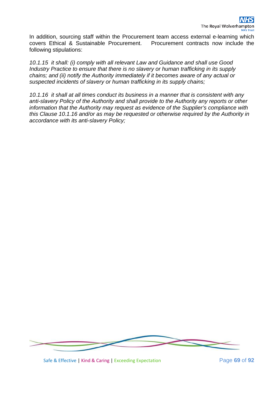In addition, sourcing staff within the Procurement team access external e-learning which covers Ethical & Sustainable Procurement. Procurement contracts now include the following stipulations:

*10.1.15 it shall: (i) comply with all relevant Law and Guidance and shall use Good Industry Practice to ensure that there is no slavery or human trafficking in its supply chains; and (ii) notify the Authority immediately if it becomes aware of any actual or suspected incidents of slavery or human trafficking in its supply chains;*

*10.1.16 it shall at all times conduct its business in a manner that is consistent with any anti-slavery Policy of the Authority and shall provide to the Authority any reports or other information that the Authority may request as evidence of the Supplier's compliance with this Clause 10.1.16 and/or as may be requested or otherwise required by the Authority in accordance with its anti-slavery Policy;*



Safe & Effective | Kind & Caring | Exceeding Expectation Page **69** of **92**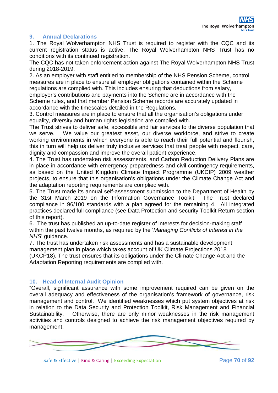## **9. Annual Declarations**

1. The Royal Wolverhampton NHS Trust is required to register with the CQC and its current registration status is active. The Royal Wolverhampton NHS Trust has no conditions with its continued registration.

The CQC has not taken enforcement action against The Royal Wolverhampton NHS Trust during 2018-2019.

2. As an employer with staff entitled to membership of the NHS Pension Scheme, control measures are in place to ensure all employer obligations contained within the Scheme regulations are complied with. This includes ensuring that deductions from salary, employer's contributions and payments into the Scheme are in accordance with the

Scheme rules, and that member Pension Scheme records are accurately updated in accordance with the timescales detailed in the Regulations.

3. Control measures are in place to ensure that all the organisation's obligations under equality, diversity and human rights legislation are complied with.

The Trust strives to deliver safe, accessible and fair services to the diverse population that we serve. We value our greatest asset, our diverse workforce, and strive to create working environments in which everyone is able to reach their full potential and flourish, this in turn will help us deliver truly inclusive services that treat people with respect, care, dignity and compassion and improve the overall patient experience.

4. The Trust has undertaken risk assessments, and Carbon Reduction Delivery Plans are in place in accordance with emergency preparedness and civil contingency requirements, as based on the United Kingdom Climate Impact Programme (UKCIP) 2009 weather projects, to ensure that this organisation's obligations under the Climate Change Act and the adaptation reporting requirements are complied with.

5. The Trust made its annual self-assessment submission to the Department of Health by the 31st March 2019 on the Information Governance Toolkit. The Trust declared compliance in 96/100 standards with a plan agreed for the remaining 4. All integrated practices declared full compliance (see Data Protection and security Toolkit Return section of this report).

6. The trust has published an up-to-date register of interests for decision-making staff within the past twelve months, as required by the '*Managing Conflicts of Interest in the NHS*' guidance.

7. The trust has undertaken risk assessments and has a sustainable development management plan in place which takes account of UK Climate Projections 2018 (UKCP18). The trust ensures that its obligations under the Climate Change Act and the Adaptation Reporting requirements are complied with.

## **10. Head of Internal Audit Opinion**

"Overall, significant assurance with some improvement required can be given on the overall adequacy and effectiveness of the organisation's framework of governance, risk management and control. We identified weaknesses which put system objectives at risk in relation to the Data Security and Protection Toolkit, Risk Management and Financial Sustainability. Otherwise, there are only minor weaknesses in the risk management activities and controls designed to achieve the risk management objectives required by management.

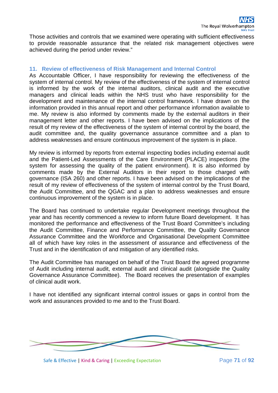Those activities and controls that we examined were operating with sufficient effectiveness to provide reasonable assurance that the related risk management objectives were achieved during the period under review."

#### **11. Review of effectiveness of Risk Management and Internal Control**

As Accountable Officer, I have responsibility for reviewing the effectiveness of the system of internal control. My review of the effectiveness of the system of internal control is informed by the work of the internal auditors, clinical audit and the executive managers and clinical leads within the NHS trust who have responsibility for the development and maintenance of the internal control framework. I have drawn on the information provided in this annual report and other performance information available to me. My review is also informed by comments made by the external auditors in their management letter and other reports. I have been advised on the implications of the result of my review of the effectiveness of the system of internal control by the board, the audit committee and, the quality governance assurance committee and a plan to address weaknesses and ensure continuous improvement of the system is in place.

My review is informed by reports from external inspecting bodies including external audit and the Patient-Led Assessments of the Care Environment (PLACE) inspections (the system for assessing the quality of the patient environment). It is also informed by comments made by the External Auditors in their report to those charged with governance (ISA 260) and other reports. I have been advised on the implications of the result of my review of effectiveness of the system of internal control by the Trust Board, the Audit Committee, and the QGAC and a plan to address weaknesses and ensure continuous improvement of the system is in place.

The Board has continued to undertake regular Development meetings throughout the year and has recently commenced a review to inform future Board development. It has monitored the performance and effectiveness of the Trust Board Committee's including the Audit Committee, Finance and Performance Committee, the Quality Governance Assurance Committee and the Workforce and Organisational Development Committee all of which have key roles in the assessment of assurance and effectiveness of the Trust and in the identification of and mitigation of any identified risks.

The Audit Committee has managed on behalf of the Trust Board the agreed programme of Audit including internal audit, external audit and clinical audit (alongside the Quality Governance Assurance Committee). The Board receives the presentation of examples of clinical audit work.

I have not identified any significant internal control issues or gaps in control from the work and assurances provided to me and to the Trust Board.



Safe & Effective | Kind & Caring | Exceeding Expectation Page **71** of 92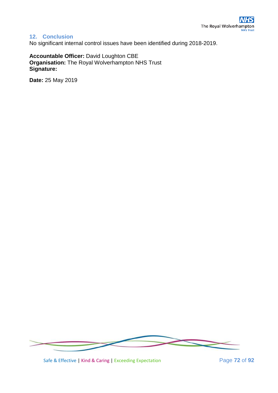# **12. Conclusion**

No significant internal control issues have been identified during 2018-2019.

**Accountable Officer:** David Loughton CBE **Organisation:** The Royal Wolverhampton NHS Trust **Signature:**

**Date:** 25 May 2019



Safe & Effective | Kind & Caring | Exceeding Expectation Page **72** of 92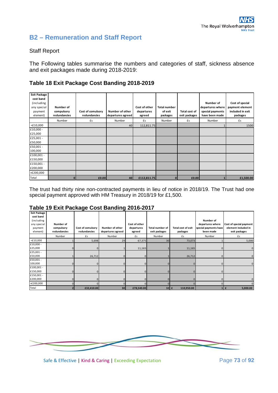# **B2 – Remuneration and Staff Report**

#### Staff Report

The Following tables summarise the numbers and categories of staff, sickness absence and exit packages made during 2018-2019:

## **Table 18 Exit Package Cost Banding 2018-2019**

| <b>Exit Package</b><br>cost band<br>(including<br>any special<br>payment<br>element) | Number of<br>compulsory<br>redundancies | Cost of comulsory<br>redundancies | Number of other<br>departures agreed | Cost of other<br>departures<br>agreed | <b>Total number</b><br>of exit<br>packages | Total cost of<br>exit packages | Number of<br>departures where<br>special payments<br>have been made | Cost of special<br>payment element<br>included in exit<br>packages |
|--------------------------------------------------------------------------------------|-----------------------------------------|-----------------------------------|--------------------------------------|---------------------------------------|--------------------------------------------|--------------------------------|---------------------------------------------------------------------|--------------------------------------------------------------------|
|                                                                                      | Number                                  | £s                                | Number                               | £s                                    | Number                                     | £s                             | Number                                                              | £s                                                                 |
| $<$ £10,000                                                                          |                                         |                                   | 40                                   | 112,811.75                            |                                            |                                |                                                                     | 1500                                                               |
| £10,000 -<br>£25,000                                                                 |                                         |                                   |                                      |                                       |                                            |                                |                                                                     |                                                                    |
| £25,001 -<br>£50,000                                                                 |                                         |                                   |                                      |                                       |                                            |                                |                                                                     |                                                                    |
| £50,001 -<br>100,000                                                                 |                                         |                                   |                                      |                                       |                                            |                                |                                                                     |                                                                    |
| £100,001 -<br>£150,000                                                               |                                         |                                   |                                      |                                       |                                            |                                |                                                                     |                                                                    |
| £150,001 -<br>£200,000                                                               |                                         |                                   |                                      |                                       |                                            |                                |                                                                     |                                                                    |
| >£200,000                                                                            |                                         |                                   |                                      |                                       |                                            |                                |                                                                     |                                                                    |
| Total                                                                                | ŋ                                       | £0.00                             | 40                                   | £112,811.75                           | n                                          | £0.00                          |                                                                     | £1,500.00                                                          |

The trust had thirty nine non-contracted payments in lieu of notice in 2018/19. The Trust had one special payment approved with HM Treasury in 2018/19 for £1,500.

#### **Table 19 Exit Package Cost Banding 2016-2017**

| <b>Exit Package</b><br>cost band<br>(including<br>any special<br>payment<br>element) | Number of<br>compulsory<br>redundancies | Cost of comulsory<br>redundancies | Number of other<br>departures agreed | Cost of other<br>departures<br>agreed | Total number of<br>exit packages | <b>Total cost of exit</b><br>packages | Number of<br>departures where<br>special payments have<br>been made | Cost of special payment<br>element included in<br>exit packages |
|--------------------------------------------------------------------------------------|-----------------------------------------|-----------------------------------|--------------------------------------|---------------------------------------|----------------------------------|---------------------------------------|---------------------------------------------------------------------|-----------------------------------------------------------------|
|                                                                                      | Number                                  | £s                                | Number                               | £s                                    | Number                           | £s                                    | Number                                                              | £s                                                              |
| $<$ £10,000                                                                          |                                         | 5,698                             | 29                                   | 67,375                                | 30 <sup>1</sup>                  | 73,073                                |                                                                     | 5,000                                                           |
| £10,000 -<br>£25,000                                                                 | $\mathbf{0}$                            |                                   |                                      | 11,165                                |                                  | 11,165                                |                                                                     | $\mathbf 0$                                                     |
| £25,001 -<br>£50,000                                                                 |                                         | 26,712                            |                                      | $\Omega$                              |                                  | 26,712                                |                                                                     |                                                                 |
| £50,001 -<br>100,000                                                                 | $\mathbf{0}$                            |                                   |                                      | $\Omega$                              |                                  |                                       | 0                                                                   | $\Omega$                                                        |
| £100,001 -<br>£150,000                                                               | $\mathbf 0$                             |                                   |                                      | $\Omega$                              |                                  |                                       |                                                                     |                                                                 |
| £150,001 -<br>£200,000                                                               | $\mathbf{0}$                            |                                   |                                      | $\Omega$                              |                                  |                                       |                                                                     |                                                                 |
| >£200,000                                                                            | $\Omega$                                |                                   |                                      | $\Omega$                              |                                  |                                       | $\Omega$                                                            |                                                                 |
| Total                                                                                |                                         | £32,410.00                        | 30 <sup>1</sup>                      | £78,540.00                            | 32                               | 110,950.00<br>£                       |                                                                     | 5,000.00                                                        |

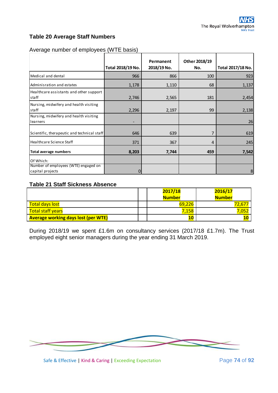# **Table 20 Average Staff Numbers**

|                                                          |                   | Permanent   | Other 2018/19 |                   |
|----------------------------------------------------------|-------------------|-------------|---------------|-------------------|
|                                                          | Total 2018/19 No. | 2018/19 No. | No.           | Total 2017/18 No. |
| Medical and dental                                       | 966               | 866         | 100           | 923               |
| Adminisration and estates                                | 1,178             | 1,110       | 68            | 1,137             |
| Healthcare assistants and other support<br>staff         | 2,746             | 2,565       | 181           | 2,454             |
| Nursing, midwifery and health visiting<br>staff          | 2,296             | 2,197       | 99            | 2,138             |
| Nursing, midwifery and health visiting<br>learners       |                   |             |               | 26                |
| Scientific, therapeutic and technical staff              | 646               | 639         | 7             | 619               |
| Healthcare Science Staff                                 | 371               | 367         | 4             | 245               |
| <b>Total average numbers</b>                             | 8,203             | 7,744       | 459           | 7,542             |
| Of Which:                                                |                   |             |               |                   |
| Number of employees (WTE) engaged on<br>capital projects | 0                 |             |               | 8                 |

#### Average number of employees (WTE basis)

# **Table 21 Staff Sickness Absence**

|                                            |  | 2017/18       | 2016/17       |
|--------------------------------------------|--|---------------|---------------|
|                                            |  | <b>Number</b> | <b>Number</b> |
| Total days lost                            |  | 69,226        | 72,67         |
| <b>Total staff years</b>                   |  | 7,158         | .052          |
| <b>Average working days lost (per WTE)</b> |  |               |               |

During 2018/19 we spent £1.6m on consultancy services (2017/18 £1.7m). The Trust employed eight senior managers during the year ending 31 March 2019.



Safe & Effective | Kind & Caring | Exceeding Expectation Page **74** of 92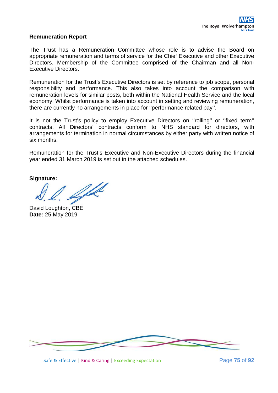#### **Remuneration Report**

The Trust has a Remuneration Committee whose role is to advise the Board on appropriate remuneration and terms of service for the Chief Executive and other Executive Directors. Membership of the Committee comprised of the Chairman and all Non-Executive Directors.

Remuneration for the Trust's Executive Directors is set by reference to job scope, personal responsibility and performance. This also takes into account the comparison with remuneration levels for similar posts, both within the National Health Service and the local economy. Whilst performance is taken into account in setting and reviewing remuneration, there are currently no arrangements in place for ''performance related pay''.

It is not the Trust's policy to employ Executive Directors on ''rolling'' or ''fixed term'' contracts. All Directors' contracts conform to NHS standard for directors, with arrangements for termination in normal circumstances by either party with written notice of six months.

Remuneration for the Trust's Executive and Non-Executive Directors during the financial year ended 31 March 2019 is set out in the attached schedules.

**Signature:**

W

David Loughton, CBE **Date:** 25 May 2019



Safe & Effective | Kind & Caring | Exceeding Expectation Page **75** of **92**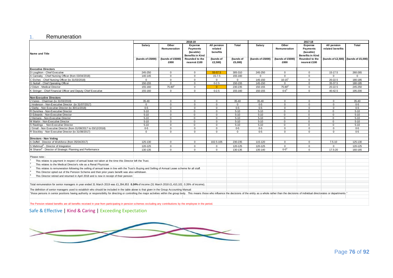#### 1. Remuneration

|                                                                                                                                                                                                                                | 2018-19                                                                                                                                        |                          |                                                           |                                    | 2017-18              |                  |                          |                                                           |                                 |                                     |
|--------------------------------------------------------------------------------------------------------------------------------------------------------------------------------------------------------------------------------|------------------------------------------------------------------------------------------------------------------------------------------------|--------------------------|-----------------------------------------------------------|------------------------------------|----------------------|------------------|--------------------------|-----------------------------------------------------------|---------------------------------|-------------------------------------|
|                                                                                                                                                                                                                                | Salary                                                                                                                                         | Other<br>Remuneration    | Expense<br><b>Payments</b><br>(taxable)                   | All pension<br>related<br>benefits | Total                | Salary           | Other<br>Remuneration    | Expense<br><b>Payments</b><br>(taxable)                   | All pension<br>related benefits | Total                               |
| Name and Title                                                                                                                                                                                                                 | (bands of £5000)                                                                                                                               | (bands of £5000)<br>£000 | <b>Benefits in Kind</b><br>Rounded to the<br>nearest £100 | (bands of<br>£2,500)               | (bands of<br>£5,000) | (bands of £5000) | (bands of £5000)<br>£000 | <b>Benefits in Kind</b><br>Rounded to the<br>nearest £100 |                                 | (bands of £2,500) (bands of £5,000) |
| <b>Executive Directors</b>                                                                                                                                                                                                     |                                                                                                                                                |                          |                                                           |                                    |                      |                  |                          |                                                           |                                 |                                     |
| D Loughton - Chief Executive                                                                                                                                                                                                   | 245-250                                                                                                                                        | $\Omega$                 | $\Omega$                                                  | 55-57.5                            | 305-310              | 245-250          | $\mathbf{0}$             | $\Omega$                                                  | 15-17.5                         | 260-265                             |
| A Cannaby - Chief Nursing Officer (from 03/04/2018)                                                                                                                                                                            | 140-145                                                                                                                                        | $\Omega$                 | $\Omega$                                                  | $15 - 7.5$                         | 155-160              | $\Omega$         | $\Omega$                 | $\Omega$                                                  | $\Omega$                        | $\Omega$                            |
| C Etches - Chief Nursing Officer (to 31/03/2018)                                                                                                                                                                               | $\Omega$                                                                                                                                       | $\Omega$                 | $\Omega$                                                  | $\mathbf{0}$                       | $\Omega$             | 145-150          | $10 - 15^{1}$            | $\Omega$                                                  | 20-22.5                         | 180-185                             |
| G Nuttall - Chief Operating Officer                                                                                                                                                                                            | 150-155                                                                                                                                        | $\mathbf 0$              | $\mathbf{0}$                                              | $0 - 2.5$                          | 150-155              | 145-150          | $\mathbf{0}$             | $\mathbf 0$                                               | 35-37.5                         | 180-185                             |
| J Odum - Medical Director                                                                                                                                                                                                      | 155-160                                                                                                                                        | $75 - 80^2$              | $\Omega$                                                  | $\Omega$                           | 230-235              | 150-155          | $75 - 80^2$              | $\Omega$                                                  | 20-22.5                         | 245-250                             |
| K Stringer - Chief Financial Officer and Deputy Chief Executive                                                                                                                                                                | 155-160                                                                                                                                        | $\Omega$                 | $\mathbf{0}$                                              | $0 - 2.5$                          | 155-160              | 150-155          | $0 - 5^3$                | $\Omega$                                                  | 40-42.5                         | 195-200                             |
| <b>Non-Executive Directors</b>                                                                                                                                                                                                 |                                                                                                                                                |                          |                                                           |                                    |                      |                  |                          |                                                           |                                 |                                     |
| J Vanes - Chairman (to 31/03/2019)                                                                                                                                                                                             | $35 - 40$                                                                                                                                      | $\Omega$                 | $\Omega$                                                  | $\mathbf{0}$                       | 35-40                | 35-40            | $\mathbf{0}$             | $\Omega$                                                  | $\Omega$                        | 35-40                               |
| J Anderson - Non-Executive Director (to 31/07/2017)                                                                                                                                                                            | $\Omega$                                                                                                                                       | $\Omega$                 | $\Omega$                                                  | $\Omega$                           | $\Omega$             | $0 - 5$          | $\Omega$                 | $\Omega$                                                  | $\Omega$                        | $0 - 5$                             |
| J Darby - Non Executive Director (to 30/11/2018)                                                                                                                                                                               | $0 - 5$                                                                                                                                        | $\Omega$                 | $\Omega$                                                  | $\mathbf{0}$                       | $0-5$                | $0 - 5$          | $\mathbf 0$              | $\Omega$                                                  | $\Omega$                        | $0 - 5$                             |
| R Dunshea - Non-Executive Director                                                                                                                                                                                             | $5 - 10$                                                                                                                                       | $\mathbf 0$              | $\mathbf{0}$                                              | $\mathbf{0}$                       | $5 - 10$             | $5 - 10$         | $\mathbf 0$              | $\Omega$                                                  | $\mathbf{0}$                    | $5 - 10$                            |
| D Edwards - Non-Executive Director                                                                                                                                                                                             | $5 - 10$                                                                                                                                       | $\Omega$                 | $\mathbf{0}$                                              | $\mathbf{0}$                       | $5 - 10$             | $5 - 10$         | $\Omega$                 | $\Omega$                                                  | $\Omega$                        | $5 - 10$                            |
| J Hemans - Non-Executive Director                                                                                                                                                                                              | $5 - 10$                                                                                                                                       | $\Omega$                 | $\Omega$                                                  | $\mathbf{0}$                       | $5 - 10$             | $5 - 10$         | $\Omega$                 | $\Omega$                                                  | $\Omega$                        | $5 - 10$                            |
| M Martin - Non-Executive Director                                                                                                                                                                                              | $5 - 10$                                                                                                                                       | $\Omega$                 | $\mathbf{0}$                                              | $\mathbf{0}$                       | $5 - 10$             | $5 - 10$         | $\mathbf 0$              | $\Omega$                                                  | $\Omega$                        | $5 - 10$                            |
| S Rawlings - Non-Executive Director                                                                                                                                                                                            | $5 - 10$                                                                                                                                       | $\Omega$                 | $\Omega$                                                  | $\Omega$                           | $5 - 10$             | $5 - 10$         | $\Omega$                 | $\Omega$                                                  | $\Omega$                        | $5 - 10$                            |
| J Small - Non Executive Director (from 01/08/2017 to 03/12/2018)                                                                                                                                                               | $0 - 5$                                                                                                                                        | $\mathbf 0$              | $\mathbf 0$                                               | $\mathbf{0}$                       | $0 - 5$              | $0 - 5$          | $\mathbf 0$              | $\Omega$                                                  | $\Omega$                        | $0 - 5$                             |
| R Stockley - Non Executive Director (to 31/08/2017)                                                                                                                                                                            | $\Omega$                                                                                                                                       | $\Omega$                 | $\mathbf{0}$                                              | $\mathbf{0}$                       | $\Omega$             | $0-5$            | $\mathbf{0}$             | $\Omega$                                                  | $\Omega$                        | $0 - 5$                             |
| Directors - Non Voting                                                                                                                                                                                                         |                                                                                                                                                |                          |                                                           |                                    |                      |                  |                          |                                                           |                                 |                                     |
| A Duffell - Director of Workforce (from 05/04/2017)                                                                                                                                                                            | 125-130                                                                                                                                        | $\Omega$                 | $\mathbf 0$                                               | 102.5-105                          | 230-235              | 115-120          | $\mathbf{0}$             | $\Omega$                                                  | $7.5 - 10$                      | 125-130                             |
| S Mahmud <sup>4</sup> - Director of Integration                                                                                                                                                                                | 120-125                                                                                                                                        | $\Omega$                 | $\Omega$                                                  | $\mathbf{0}$                       | 120-125              | 120-125          | $\Omega$                 | $\Omega$                                                  | $\Omega$                        | 120-125                             |
| M Sharon <sup>5</sup> - Director of Strategic Planning and Performance                                                                                                                                                         | 130-135                                                                                                                                        | $\Omega$                 | $\Omega$                                                  | $\mathbf{0}$                       | 130-135              | 135-140          | $0 - 5^3$                | $\Omega$                                                  | 17.5-20                         | 160-165                             |
| Please note:-                                                                                                                                                                                                                  |                                                                                                                                                |                          |                                                           |                                    |                      |                  |                          |                                                           |                                 |                                     |
| This relates to payment in respect of annual leave not taken at the time this Director left the Trust.                                                                                                                         |                                                                                                                                                |                          |                                                           |                                    |                      |                  |                          |                                                           |                                 |                                     |
| $\overline{2}$<br>This relates to the Medical Director's role as a Renal Physician                                                                                                                                             |                                                                                                                                                |                          |                                                           |                                    |                      |                  |                          |                                                           |                                 |                                     |
| This relates to remuneration following the selling of annual leave in line with the Trust's Buying and Selling of Annual Leave scheme for all staff.                                                                           |                                                                                                                                                |                          |                                                           |                                    |                      |                  |                          |                                                           |                                 |                                     |
| This Director opted out of the Pension Scheme and their prior years benefit was also withdrawn.                                                                                                                                |                                                                                                                                                |                          |                                                           |                                    |                      |                  |                          |                                                           |                                 |                                     |
| This Director retired and returned in April 2018 and is now in receipt of their pension                                                                                                                                        |                                                                                                                                                |                          |                                                           |                                    |                      |                  |                          |                                                           |                                 |                                     |
|                                                                                                                                                                                                                                | Total remuneration for senior managers in year ended 31 March 2019 was £1,394,853 0.24% of income (31 March 2018 £1,410,102, 0.26% of income). |                          |                                                           |                                    |                      |                  |                          |                                                           |                                 |                                     |
| The definition of senior managers used to establish who should be included in the table above is that given in the Group Accounting Manual:                                                                                    |                                                                                                                                                |                          |                                                           |                                    |                      |                  |                          |                                                           |                                 |                                     |
| "those persons in senior positions having authority or responsibility for directing or controlling the major activities within the group body. This means those who influence the decisions of the entity as a whole rather th |                                                                                                                                                |                          |                                                           |                                    |                      |                  |                          |                                                           |                                 |                                     |
|                                                                                                                                                                                                                                |                                                                                                                                                |                          |                                                           |                                    |                      |                  |                          |                                                           |                                 |                                     |

The Pension related benefits are all benefits received in year from participating in pension schemes excluding any contributions by the employee in the period.

Safe & Effective | Kind & Caring | Exceeding Expectation

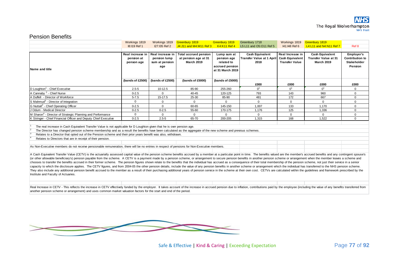#### Pension Benefits

|                                                                                                                                                                                                                                                                                                                                                                                                                                                                                                                                                                                                                                                                                                                                                                                                                                                                                                                                                                                                                                                                                                                                                                                                             | Workings 1819                                | Workings 1819                                             | Greenbury 1819                                                            | Greenbury 1819                                                                  | Greenbury 1718                                                     | Workings 1819                                                       | Greenbury 1819                                                             |                                                                |  |
|-------------------------------------------------------------------------------------------------------------------------------------------------------------------------------------------------------------------------------------------------------------------------------------------------------------------------------------------------------------------------------------------------------------------------------------------------------------------------------------------------------------------------------------------------------------------------------------------------------------------------------------------------------------------------------------------------------------------------------------------------------------------------------------------------------------------------------------------------------------------------------------------------------------------------------------------------------------------------------------------------------------------------------------------------------------------------------------------------------------------------------------------------------------------------------------------------------------|----------------------------------------------|-----------------------------------------------------------|---------------------------------------------------------------------------|---------------------------------------------------------------------------------|--------------------------------------------------------------------|---------------------------------------------------------------------|----------------------------------------------------------------------------|----------------------------------------------------------------|--|
|                                                                                                                                                                                                                                                                                                                                                                                                                                                                                                                                                                                                                                                                                                                                                                                                                                                                                                                                                                                                                                                                                                                                                                                                             | 18:119 Ref 1                                 | I27:I35 Ref 2                                             | J4: J11 and M4: M11 Ref 3                                                 | <b>K4:K11 Ref 4</b>                                                             | L5:L11 and O5:O11 Ref 5                                            | 141:148 Ref 6                                                       | L4:L11 and N4:N11 Ref 7                                                    | Ref 8                                                          |  |
|                                                                                                                                                                                                                                                                                                                                                                                                                                                                                                                                                                                                                                                                                                                                                                                                                                                                                                                                                                                                                                                                                                                                                                                                             |                                              |                                                           |                                                                           |                                                                                 |                                                                    |                                                                     |                                                                            |                                                                |  |
| Name and title                                                                                                                                                                                                                                                                                                                                                                                                                                                                                                                                                                                                                                                                                                                                                                                                                                                                                                                                                                                                                                                                                                                                                                                              | Real increase in<br>pension at<br>penson age | Real increase in<br>pension lump<br>sum at pension<br>age | <b>Total accrued pension</b><br>at pension age at 31<br><b>March 2019</b> | Lump sum at<br>pension age<br>related to<br>accrued pension<br>at 31 March 2019 | <b>Cash Equivalent</b><br><b>Transfer Value at 1 April</b><br>2018 | Real Increase in<br><b>Cash Equivalent</b><br><b>Transfer Value</b> | <b>Cash Equivalent</b><br><b>Transfer Value at 31</b><br><b>March 2019</b> | Employer's<br><b>Contribution to</b><br>Stakeholder<br>Pension |  |
|                                                                                                                                                                                                                                                                                                                                                                                                                                                                                                                                                                                                                                                                                                                                                                                                                                                                                                                                                                                                                                                                                                                                                                                                             | (bands of £2500)                             | (bands of £2500)                                          | (bands of £5000)                                                          | (bands of £5000)                                                                | £000                                                               | £000                                                                | £000                                                                       | £000                                                           |  |
| D Loughton <sup>1</sup> - Chief Executive                                                                                                                                                                                                                                                                                                                                                                                                                                                                                                                                                                                                                                                                                                                                                                                                                                                                                                                                                                                                                                                                                                                                                                   | $2.5 - 5$                                    | $10-12.5$                                                 | 85-90                                                                     | 255-260                                                                         | 0 <sup>1</sup>                                                     | $\Omega$ <sup>1</sup>                                               | 0 <sup>1</sup>                                                             | $\Omega$                                                       |  |
| A Cannaby <sup>2</sup> - Chief Nurse                                                                                                                                                                                                                                                                                                                                                                                                                                                                                                                                                                                                                                                                                                                                                                                                                                                                                                                                                                                                                                                                                                                                                                        | $0 - 2.5$                                    | $\Omega$                                                  | 40-45                                                                     | 120-125                                                                         | 793                                                                | 143                                                                 | 960                                                                        | $\mathbf 0$                                                    |  |
| A Duffell - Director of Workforce                                                                                                                                                                                                                                                                                                                                                                                                                                                                                                                                                                                                                                                                                                                                                                                                                                                                                                                                                                                                                                                                                                                                                                           | $5 - 7.5$                                    | 15-17.5                                                   | 25-30                                                                     | 85-90                                                                           | 481                                                                | 172                                                                 | 667                                                                        | $\mathbf 0$                                                    |  |
| S Mahmud <sup>3</sup> - Director of Integration                                                                                                                                                                                                                                                                                                                                                                                                                                                                                                                                                                                                                                                                                                                                                                                                                                                                                                                                                                                                                                                                                                                                                             | $\Omega$                                     | $\Omega$                                                  | $\mathbf{0}$                                                              | $\Omega$                                                                        | $\mathbf 0$                                                        | $\Omega$                                                            | $\Omega$                                                                   | $\mathbf 0$                                                    |  |
| G Nuttall <sup>2</sup> - Chief Operating Officer                                                                                                                                                                                                                                                                                                                                                                                                                                                                                                                                                                                                                                                                                                                                                                                                                                                                                                                                                                                                                                                                                                                                                            | $0 - 2.5$                                    | $\Omega$                                                  | 60-65                                                                     | 145-150                                                                         | 1,007                                                              | 133                                                                 | 1,170                                                                      | $\Omega$                                                       |  |
| J Odum - Medical Director                                                                                                                                                                                                                                                                                                                                                                                                                                                                                                                                                                                                                                                                                                                                                                                                                                                                                                                                                                                                                                                                                                                                                                                   | $0 - 2.5$                                    | $0 - 2.5$                                                 | 55-60                                                                     | 170-175                                                                         | 1.176                                                              | 125                                                                 | 1.336                                                                      | $\Omega$                                                       |  |
| M Sharon <sup>4</sup> - Director of Strategic Planning and Performance                                                                                                                                                                                                                                                                                                                                                                                                                                                                                                                                                                                                                                                                                                                                                                                                                                                                                                                                                                                                                                                                                                                                      | $\mathbf{0}$                                 | $\mathbf 0$                                               | $\mathbf 0$                                                               | $\mathbf 0$                                                                     | $\mathbf 0$                                                        | $\Omega$                                                            | $\mathbf 0$                                                                | $\mathbf 0$                                                    |  |
| K Stringer - Chief Financial Officer and Deputy Chief Executive                                                                                                                                                                                                                                                                                                                                                                                                                                                                                                                                                                                                                                                                                                                                                                                                                                                                                                                                                                                                                                                                                                                                             | $0 - 2.5$                                    | $2.5 - 5$                                                 | 65-70                                                                     | 200-205                                                                         | 1,315                                                              | 168                                                                 | 1,522                                                                      | $\mathbf 0$                                                    |  |
| The real increase in Cash Equivalent Transfer Value is not applicable for D Loughton given that he is over pension age.<br>The Director has changed pension scheme membership and as a result the benefits have been calculated as the aggregate of the new scheme and previous schemes.<br>Relates to a Director that opted out of the Pension scheme and their prior years benefit was also, withdrawn.<br>Relates to Directors that are in receipt of their pension.                                                                                                                                                                                                                                                                                                                                                                                                                                                                                                                                                                                                                                                                                                                                     |                                              |                                                           |                                                                           |                                                                                 |                                                                    |                                                                     |                                                                            |                                                                |  |
|                                                                                                                                                                                                                                                                                                                                                                                                                                                                                                                                                                                                                                                                                                                                                                                                                                                                                                                                                                                                                                                                                                                                                                                                             |                                              |                                                           |                                                                           |                                                                                 |                                                                    |                                                                     |                                                                            |                                                                |  |
| As Non-Executive members do not receive pensionable remuneration, there will be no entries in respect of pensions for Non-Executive members.                                                                                                                                                                                                                                                                                                                                                                                                                                                                                                                                                                                                                                                                                                                                                                                                                                                                                                                                                                                                                                                                |                                              |                                                           |                                                                           |                                                                                 |                                                                    |                                                                     |                                                                            |                                                                |  |
| A Cash Equivalent Transfer Value (CETV) is the actuarially assessed capital value of the pension scheme benefits accrued by a member at a particular point in time. The benefits valued are the member's accrued benefits and<br>(or other allowable beneficiary's) pension payable from the scheme. A CETV is a payment made by a pension scheme, or arrangement to secure pension benefits in another pension scheme or arrangement when the member leaves a<br>chooses to transfer the benefits accrued in their former scheme. The pension figures shown relate to the benefits that the individual has accrued as a consequence of their total membership of the pension scheme, not just t<br>capacity to which the disclosure applies. The CETV figures, and from 2004-05 the other pension details, include the value of any pension benefits in another scheme or arrangement which the individual has transferred to the<br>They also include any additional pension benefit accrued to the member as a result of their purchasing additional years of pension service in the scheme at their own cost. CETVs are calculated within the quidelines and fra<br>Institute and Faculty of Actuaries. |                                              |                                                           |                                                                           |                                                                                 |                                                                    |                                                                     |                                                                            |                                                                |  |
|                                                                                                                                                                                                                                                                                                                                                                                                                                                                                                                                                                                                                                                                                                                                                                                                                                                                                                                                                                                                                                                                                                                                                                                                             |                                              |                                                           |                                                                           |                                                                                 |                                                                    |                                                                     |                                                                            |                                                                |  |

Real Increase in CETV - This reflects the increase in CETV effectively funded by the employer. It takes account of the increase in accrued pension due to inflation, contributions paid by the employee (including the value o another pension scheme or arrangement) and uses common market valuation factors for the start and end of the period.



Safe & Effective | Kind & Caring | Exceeding Expectation Page 77 of 92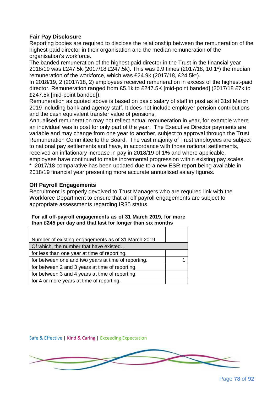### **Fair Pay Disclosure**

Reporting bodies are required to disclose the relationship between the remuneration of the highest-paid director in their organisation and the median remuneration of the organisation's workforce.

The banded remuneration of the highest paid director in the Trust in the financial year 2018/19 was £247.5k (2017/18 £247.5k). This was 9.9 times (2017/18, 10.1\*) the median remuneration of the workforce, which was £24.9k (2017/18, £24.5k\*).

In 2018/19, 2 (2017/18, 2) employees received remuneration in excess of the highest-paid director. Remuneration ranged from £5.1k to £247.5K [mid-point banded] (2017/18 £7k to £247.5k [mid-point banded]).

Remuneration as quoted above is based on basic salary of staff in post as at 31st March 2019 including bank and agency staff. It does not include employer pension contributions and the cash equivalent transfer value of pensions.

Annualised remuneration may not reflect actual remuneration in year, for example where an individual was in post for only part of the year. The Executive Director payments are variable and may change from one year to another, subject to approval through the Trust Remuneration Committee to the Board. The vast majority of Trust employees are subject to national pay settlements and have, in accordance with those national settlements, received an inflationary increase in pay in 2018/19 of 1% and where applicable, employees have continued to make incremental progression within existing pay scales. \* 2017/18 comparative has been updated due to a new ESR report being available in 2018/19 financial year presenting more accurate annualised salary figures.

#### **Off Payroll Engagements**

Recruitment is properly devolved to Trust Managers who are required link with the Workforce Department to ensure that all off payroll engagements are subject to appropriate assessments regarding IR35 status.

#### **For all off-payroll engagements as of 31 March 2019, for more than £245 per day and that last for longer than six months**

| Number of existing engagements as of 31 March 2019  |  |
|-----------------------------------------------------|--|
| Of which, the number that have existed              |  |
| for less than one year at time of reporting.        |  |
| for between one and two years at time of reporting. |  |
| for between 2 and 3 years at time of reporting.     |  |
| for between 3 and 4 years at time of reporting.     |  |
| for 4 or more years at time of reporting.           |  |

Safe & Effective | Kind & Caring | Exceeding Expectation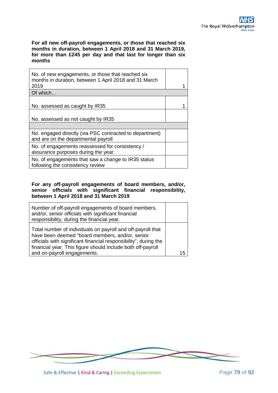**For all new off-payroll engagements, or those that reached six months in duration, between 1 April 2018 and 31 March 2019, for more than £245 per day and that last for longer than six months**

| No. of new engagements, or those that reached six<br>months in duration, between 1 April 2018 and 31 March<br>2019 |  |
|--------------------------------------------------------------------------------------------------------------------|--|
| Of which                                                                                                           |  |
| No. assessed as caught by IR35                                                                                     |  |
| No. assessed as not caught by IR35                                                                                 |  |
|                                                                                                                    |  |
| No. engaged directly (via PSC contracted to department)<br>and are on the departmental payroll                     |  |
| No. of engagements reassessed for consistency /<br>assurance purposes during the year.                             |  |
| No. of engagements that saw a change to IR35 status<br>following the consistency review                            |  |
|                                                                                                                    |  |

#### **For any off-payroll engagements of board members, and/or, senior officials with significant financial responsibility, between 1 April 2018 and 31 March 2019**

| Number of off-payroll engagements of board members,<br>and/or, senior officials with significant financial<br>responsibility, during the financial year.                                                                                          |    |
|---------------------------------------------------------------------------------------------------------------------------------------------------------------------------------------------------------------------------------------------------|----|
| Total number of individuals on payroll and off-payroll that<br>have been deemed "board members, and/or, senior<br>officials with significant financial responsibility", during the<br>financial year. This figure should include both off-payroll |    |
| and on-payroll engagements.                                                                                                                                                                                                                       | 15 |

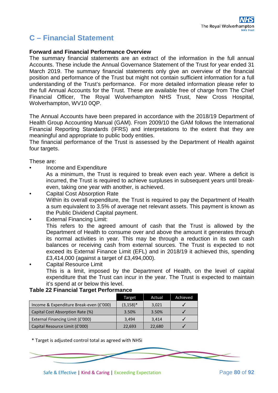# **C – Financial Statement**

#### **Forward and Financial Performance Overview**

The summary financial statements are an extract of the information in the full annual Accounts. These include the Annual Governance Statement of the Trust for year ended 31 March 2019. The summary financial statements only give an overview of the financial position and performance of the Trust but might not contain sufficient information for a full understanding of the Trust's performance. For more detailed information please refer to the full Annual Accounts for the Trust. These are available free of charge from The Chief Financial Officer, The Royal Wolverhampton NHS Trust, New Cross Hospital, Wolverhampton, WV10 0QP.

The Annual Accounts have been prepared in accordance with the 2018/19 Department of Health Group Accounting Manual (GAM). From 2009/10 the GAM follows the International Financial Reporting Standards (IFRS) and interpretations to the extent that they are meaningful and appropriate to public body entities.

The financial performance of the Trust is assessed by the Department of Health against four targets.

These are:

• Income and Expenditure

As a minimum, the Trust is required to break even each year. Where a deficit is incurred, the Trust is required to achieve surpluses in subsequent years until breakeven, taking one year with another, is achieved.

- Capital Cost Absorption Rate Within its overall expenditure, the Trust is required to pay the Department of Health a sum equivalent to 3.5% of average net relevant assets. This payment is known as the Public Dividend Capital payment.
- **External Financing Limit:**

This refers to the agreed amount of cash that the Trust is allowed by the Department of Health to consume over and above the amount it generates through its normal activities in year. This may be through a reduction in its own cash balances or receiving cash from external sources. The Trust is expected to not exceed its External Finance Limit (EFL) and in 2018/19 it achieved this, spending £3,414,000 (against a target of £3,494,000).

• Capital Resource Limit This is a limit, imposed by the Department of Health, on the level of capital expenditure that the Trust can incur in the year. The Trust is expected to maintain it's spend at or below this level.

#### **Table 22 Financial Target Performance**

|                                         | Target       | Actual | Achieved |
|-----------------------------------------|--------------|--------|----------|
| Income & Expenditure Break-even (£'000) | $(3, 158)^*$ | 3,021  |          |
| Capital Cost Absorption Rate (%)        | 3.50%        | 3.50%  |          |
| External Financing Limit (£'000)        | 3.494        | 3.414  |          |
| Capital Resource Limit (£'000)          | 22,693       | 22,680 |          |

\* Target is adjusted control total as agreed with NHSi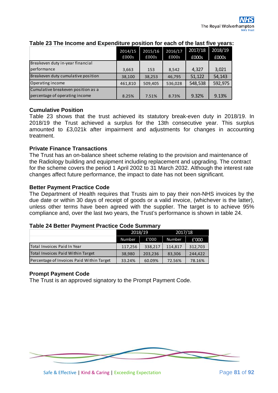|                                    | 2014/15<br>£000s | 2015/16<br>£000s | 2016/17<br>£000s | 2017/18<br>£000s | 2018/19<br>£000s |
|------------------------------------|------------------|------------------|------------------|------------------|------------------|
| Breakeven duty in-year financial   |                  |                  |                  |                  |                  |
| performance                        | 3,663            | 153              | 8,542            | 4,327            | 3,021            |
| Breakeven duty cumulative position | 38,100           | 38,253           | 46,795           | 51,122           | 54,143           |
| Operating income                   | 461,810          | 509,405          | 536,028          | 548,538          | 592,975          |
| Cumulative breakeven position as a |                  |                  |                  |                  |                  |
| percentage of operating income     | 8.25%            | 7.51%            | 8.73%            | 9.32%            | 9.13%            |

### **Table 23 The Income and Expenditure position for each of the last five years:**

#### **Cumulative Position**

Table 23 shows that the trust achieved its statutory break-even duty in 2018/19. In 2018/19 the Trust achieved a surplus for the 13th consecutive year. This surplus amounted to £3,021k after impairment and adjustments for changes in accounting treatment.

#### **Private Finance Transactions**

The Trust has an on-balance sheet scheme relating to the provision and maintenance of the Radiology building and equipment including replacement and upgrading. The contract for the scheme covers the period 1 April 2002 to 31 March 2032. Although the interest rate changes affect future performance, the impact to date has not been significant.

#### **Better Payment Practice Code**

The Department of Health requires that Trusts aim to pay their non-NHS invoices by the due date or within 30 days of receipt of goods or a valid invoice, (whichever is the latter), unless other terms have been agreed with the supplier. The target is to achieve 95% compliance and, over the last two years, the Trust's performance is shown in table 24.

#### **Table 24 Better Payment Practice Code Summary**

|                                           | 2018/19 |         | 2017/18 |         |  |
|-------------------------------------------|---------|---------|---------|---------|--|
|                                           | Number  | £'000   | Number  | £'000   |  |
| Total Invoices Paid In Year               | 117,256 | 338,217 | 114,817 | 312,703 |  |
| Total Invoices Paid Within Target         | 38,980  | 203,236 | 83,306  | 244.422 |  |
| Percentage of Invoices Paid Within Target | 33.24%  | 60.09%  | 72.56%  | 78.16%  |  |

#### **Prompt Payment Code**

The Trust is an approved signatory to the Prompt Payment Code.

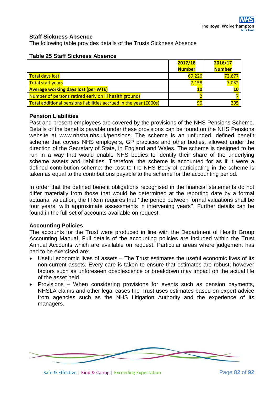#### **Staff Sickness Absence**

The following table provides details of the Trusts Sickness Absence

|                                                                          | 2017/18       | 2016/17       |
|--------------------------------------------------------------------------|---------------|---------------|
|                                                                          | <b>Number</b> | <b>Number</b> |
| <b>Total days lost</b>                                                   | 69,226        | 72,677        |
| <b>Total staff years</b>                                                 | 7,158         | 7,052         |
| <b>Average working days lost (per WTE)</b>                               | 10            |               |
| Number of persons retired early on ill health grounds                    |               |               |
| <b>Total additional pensions liabilities accrued in the year (£000s)</b> | 90            | 295           |

#### **Table 25 Staff Sickness Absence**

#### **Pension Liabilities**

Past and present employees are covered by the provisions of the NHS Pensions Scheme. Details of the benefits payable under these provisions can be found on the NHS Pensions website at www.nhsba.nhs.uk/pensions. The scheme is an unfunded, defined benefit scheme that covers NHS employers, GP practices and other bodies, allowed under the direction of the Secretary of State, in England and Wales. The scheme is designed to be run in a way that would enable NHS bodies to identify their share of the underlying scheme assets and liabilities. Therefore, the scheme is accounted for as if it were a defined contribution scheme: the cost to the NHS Body of participating in the scheme is taken as equal to the contributions payable to the scheme for the accounting period.

In order that the defined benefit obligations recognised in the financial statements do not differ materially from those that would be determined at the reporting date by a formal actuarial valuation, the FRem requires that ''the period between formal valuations shall be four years, with approximate assessments in intervening years''. Further details can be found in the full set of accounts available on request.

#### **Accounting Policies**

The accounts for the Trust were produced in line with the Department of Health Group Accounting Manual. Full details of the accounting policies are included within the Trust Annual Accounts which are available on request. Particular areas where judgement has had to be exercised are:

- Useful economic lives of assets The Trust estimates the useful economic lives of its non-current assets. Every care is taken to ensure that estimates are robust; however factors such as unforeseen obsolescence or breakdown may impact on the actual life of the asset held.
- Provisions When considering provisions for events such as pension payments, NHSLA claims and other legal cases the Trust uses estimates based on expert advice from agencies such as the NHS Litigation Authority and the experience of its managers.

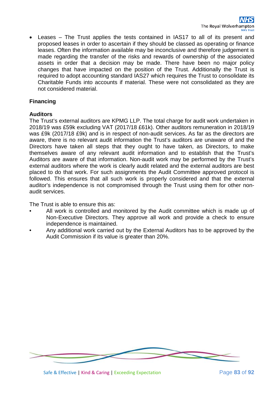• Leases – The Trust applies the tests contained in IAS17 to all of its present and proposed leases in order to ascertain if they should be classed as operating or finance leases. Often the information available may be inconclusive and therefore judgement is made regarding the transfer of the risks and rewards of ownership of the associated assets in order that a decision may be made. There have been no major policy changes that have impacted on the position of the Trust. Additionally the Trust is required to adopt accounting standard IAS27 which requires the Trust to consolidate its Charitable Funds into accounts if material. These were not consolidated as they are not considered material.

# **Financing**

# **Auditors**

The Trust's external auditors are KPMG LLP. The total charge for audit work undertaken in 2018/19 was £59k excluding VAT (2017/18 £61k). Other auditors remuneration in 2018/19 was £9k (2017/18 £9k) and is in respect of non-audit services. As far as the directors are aware, there is no relevant audit information the Trust's auditors are unaware of and the Directors have taken all steps that they ought to have taken, as Directors, to make themselves aware of any relevant audit information and to establish that the Trust's Auditors are aware of that information. Non-audit work may be performed by the Trust's external auditors where the work is clearly audit related and the external auditors are best placed to do that work. For such assignments the Audit Committee approved protocol is followed. This ensures that all such work is properly considered and that the external auditor's independence is not compromised through the Trust using them for other nonaudit services.

The Trust is able to ensure this as:

- All work is controlled and monitored by the Audit committee which is made up of Non-Executive Directors. They approve all work and provide a check to ensure independence is maintained.
- Any additional work carried out by the External Auditors has to be approved by the Audit Commission if its value is greater than 20%.

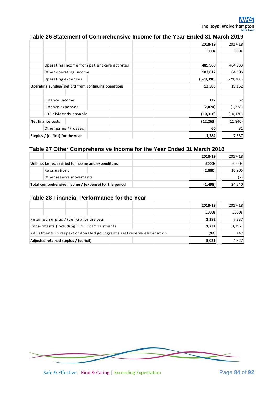# **Table 26 Statement of Comprehensive Income for the Year Ended 31 March 2019**

|                                                        | 2018-19    | 2017-18    |
|--------------------------------------------------------|------------|------------|
|                                                        | £000s      | £000s      |
|                                                        |            |            |
| Operating Income from patient care activites           | 489,963    | 464,033    |
| Other operating income                                 | 103,012    | 84,505     |
| Operating expenses                                     | (579, 390) | (529, 386) |
| Operating surplus/(deficit) from continuing operations | 13,585     | 19,152     |
|                                                        |            |            |
| Finance income                                         | 127        | 52         |
| Finance expenses                                       | (2,074)    | (1,728)    |
| PDC dividends payable                                  | (10, 316)  | (10, 170)  |
| Net finance costs                                      | (12, 263)  | (11, 846)  |
| Other gains / (losses)                                 | 60         | 31         |
| Surplus / (deficit) for the year                       | 1,382      | 7,337      |

#### **Table 27 Other Comprehensive Income for the Year Ended 31 March 2018**

|                                                       |                         |          |        | 2018-19 | 2017-18 |
|-------------------------------------------------------|-------------------------|----------|--------|---------|---------|
| Will not be reclassified to income and expenditure:   |                         |          | £000s  | £000s   |         |
|                                                       | Revaluations            |          |        | (2,880) | 16,905  |
|                                                       | Other reserve movements |          |        |         |         |
| Total comprehensive income / (expense) for the period |                         | (1, 498) | 24,240 |         |         |

#### **Table 28 Financial Performance for the Year**

|                                                                         |  |  |       | 2018-19  | 2017-18 |
|-------------------------------------------------------------------------|--|--|-------|----------|---------|
|                                                                         |  |  |       | £000s    | £000s   |
| Retained surplus / (deficit) for the year                               |  |  |       | 1,382    | 7,337   |
| Impairments (Excluding IFRIC 12 Impairments)                            |  |  | 1,731 | (3, 157) |         |
| Adjustments in respect of donated gov't grant asset reserve elimination |  |  | (92)  | 147      |         |
| Adjusted retained surplus / (deficit)                                   |  |  |       | 3,021    | 4,327   |

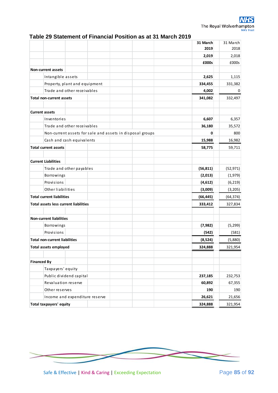|  |  | Table 29 Statement of Financial Position as at 31 March 2019 |
|--|--|--------------------------------------------------------------|
|--|--|--------------------------------------------------------------|

|                                                           | 31 March<br>2019 | 31 March<br>2018 |
|-----------------------------------------------------------|------------------|------------------|
|                                                           | 2,019            | 2,018            |
|                                                           | £000s            | £000s            |
| <b>Non-current assets</b>                                 |                  |                  |
| Intangible assets                                         | 2,625            | 1,115            |
| Property, plant and equipment                             | 334,455          | 331,382          |
| Trade and other receivables                               | 4,002            | 0                |
| <b>Total non-current assets</b>                           | 341,082          | 332,497          |
|                                                           |                  |                  |
| <b>Current assets</b>                                     |                  |                  |
| Inventories                                               | 6,607            | 6,357            |
| Trade and other receivables                               | 36,180           | 35,572           |
| Non-current assets for sale and assets in disposal groups | 0                | 800              |
| Cash and cash equivalents                                 | 15,988           | 16,982           |
| <b>Total current assets</b>                               | 58,775           | 59,711           |
|                                                           |                  |                  |
| <b>Current Liabilities</b>                                |                  |                  |
| Trade and other payables                                  | (56, 811)        | (52, 971)        |
| Borrowings                                                | (2,013)          | (1,979)          |
| Provisions                                                | (4,612)          | (6, 219)         |
| Other liabilities                                         | (3,009)          | (3,205)          |
| <b>Total current liabilities</b>                          | (66, 445)        | (64, 374)        |
| <b>Total assets less current liabilities</b>              | 333,412          | 327,834          |
|                                                           |                  |                  |
| <b>Non-current liabilities</b>                            |                  |                  |
| Borrowings                                                | (7, 982)         | (5, 299)         |
| Provisions                                                | (542)            | (581)            |
| <b>Total non-current liabilities</b>                      | (8,524)          | (5,880)          |
| <b>Total assets employed</b>                              | 324.888          | 321.954          |
| <b>Financed By</b>                                        |                  |                  |
| Taxpayers' equity                                         |                  |                  |
| Public dividend capital                                   | 237,185          | 232,753          |
| Revaluation reserve                                       | 60,892           | 67,355           |
| Other reserves                                            | 190              | 190              |
| Income and expenditure reserve                            | 26,621           | 21,656           |
| <b>Total taxpayers' equity</b>                            | 324,888          | 321,954          |

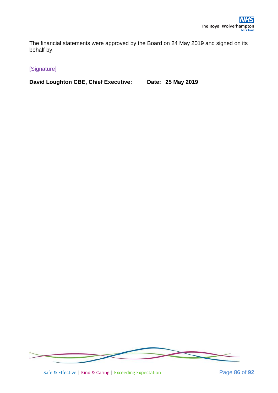The financial statements were approved by the Board on 24 May 2019 and signed on its behalf by:

# [Signature]

**David Loughton CBE, Chief Executive: Date: 25 May 2019**



Safe & Effective | Kind & Caring | Exceeding Expectation Page 86 of 92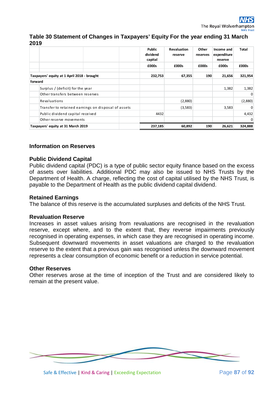#### **Table 30 Statement of Changes in Taxpayers' Equity For the year ending 31 March 2019**

|         |                                                     |  | Public<br>dividend<br>capital | <b>Revaluation</b><br>reserve | Other<br>reserves | Income and<br>expenditure<br>reserve | Total    |
|---------|-----------------------------------------------------|--|-------------------------------|-------------------------------|-------------------|--------------------------------------|----------|
|         |                                                     |  | £000s                         | £000s                         | £000s             | £000s                                | £000s    |
|         | Taxpayers' equity at 1 April 2018 - brought         |  | 232,753                       | 67,355                        | 190               | 21,656                               | 321,954  |
| forward |                                                     |  |                               |                               |                   |                                      |          |
|         | Surplus / (deficit) for the year                    |  |                               |                               |                   | 1,382                                | 1,382    |
|         | Other transfers between reserves                    |  |                               |                               |                   |                                      | $\Omega$ |
|         | Revaluations                                        |  |                               | (2,880)                       |                   |                                      | (2,880)  |
|         | Transfer to retained earnings on disposal of assets |  |                               | (3,583)                       |                   | 3,583                                | $\Omega$ |
|         | Public dividend capital received                    |  | 4432                          |                               |                   |                                      | 4,432    |
|         | Other reserve movements                             |  |                               |                               |                   |                                      | $\Omega$ |
|         | Taxpayers' equity at 31 March 2019                  |  | 237,185                       | 60,892                        | 190               | 26,621                               | 324,888  |

#### **Information on Reserves**

#### **Public Dividend Capital**

Public dividend capital (PDC) is a type of public sector equity finance based on the excess of assets over liabilities. Additional PDC may also be issued to NHS Trusts by the Department of Health. A charge, reflecting the cost of capital utilised by the NHS Trust, is payable to the Department of Health as the public dividend capital dividend.

#### **Retained Earnings**

The balance of this reserve is the accumulated surpluses and deficits of the NHS Trust.

#### **Revaluation Reserve**

Increases in asset values arising from revaluations are recognised in the revaluation reserve, except where, and to the extent that, they reverse impairments previously recognised in operating expenses, in which case they are recognised in operating income. Subsequent downward movements in asset valuations are charged to the revaluation reserve to the extent that a previous gain was recognised unless the downward movement represents a clear consumption of economic benefit or a reduction in service potential.

#### **Other Reserves**

Other reserves arose at the time of inception of the Trust and are considered likely to remain at the present value.

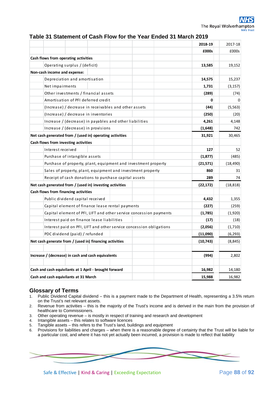#### **Table 31 Statement of Cash Flow for the Year Ended 31 March 2019**

|                                                                     | 2018-19   | 2017-18   |
|---------------------------------------------------------------------|-----------|-----------|
|                                                                     | £000s     | £000s     |
| Cash flows from operating activities                                |           |           |
| Operating surplus / (deficit)                                       | 13,585    | 19,152    |
| Non-cash income and expense:                                        |           |           |
| Depreciation and amortisation                                       | 14,575    | 15,237    |
| Net impairments                                                     | 1,731     | (3, 157)  |
| Other investments / financial assets                                | (289)     | (74)      |
| Amortisation of PFI deferred credit                                 | 0         |           |
| (Increase) / decrease in receivables and other assets               | (44)      | (5, 563)  |
| (Increase) / decrease in inventories                                | (250)     | (20)      |
| Increase / (decrease) in payables and other liabilities             | 4,261     | 4,148     |
| Increase / (decrease) in provisions                                 | (1,648)   | 742       |
| Net cash generated from / (used in) operating activities            | 31,921    | 30,465    |
| Cash flows from investing activities                                |           |           |
| Interest received                                                   | 127       | 52        |
| Purchase of intangible assets                                       | (1, 877)  | (485)     |
| Purchase of property, plant, equipment and investment property      | (21, 571) | (18, 490) |
| Sales of property, plant, equipment and investment property         | 860       | 31        |
| Receipt of cash donations to purchase capital assets                | 289       | 74        |
| Net cash generated from / (used in) investing activities            | (22, 172) | (18, 818) |
| Cash flows from financing activities                                |           |           |
| Public dividend capital received                                    | 4,432     | 1,355     |
| Capital element of finance lease rental payments                    | (227)     | (259)     |
| Capital element of PFI, LIFT and other service concession payments  | (1,785)   | (1,920)   |
| Interest paid on finance lease liabilities                          | (17)      | (18)      |
| Interest paid on PFI, LIFT and other service concession obligations | (2,056)   | (1,710)   |
| PDC dividend (paid) / refunded                                      | (11,090)  | (6, 293)  |
| Net cash generate from / (used in) financing activities             | (10, 743) | (8, 845)  |
| Increase / (decrease) in cash and cash equivalents                  | (994)     | 2,802     |
|                                                                     |           |           |
| Cash and cash equivilants at 1 April - brought forward              | 16,982    | 14,180    |
| Cash and cash equivilants at 31 March                               | 15,988    | 16,982    |

# **Glossary of Terms**<br>1. Public Dividend Capita

- 1. Public Dividend Capital dividend this is a payment made to the Department of Health, representing a 3.5% return on the Trust's net relevant assets.
- 2. Revenue from activities this is the majority of the Trust's income and is derived in the main from the provision of healthcare to Commissioners.
- 3. Other operating revenue is mostly in respect of training and research and development
- 4. Intangible assets this relates to software licences<br>5. Tangible assets this refers to the Trust's land, build
- 5. Tangible assets this refers to the Trust's land, buildings and equipment
- 6. Provisions for liabilities and charges when there is a reasonable degree of certainty that the Trust will be liable for a particular cost, and where it has not yet actually been incurred, a provision is made to reflect that liability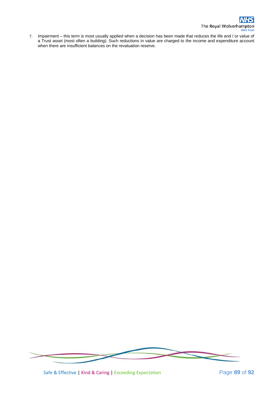7. Impairment – this term is most usually applied when a decision has been made that reduces the life and / or value of a Trust asset (most often a building). Such reductions in value are charged to the income and expenditure account when there are insufficient balances on the revaluation reserve.



Safe & Effective | Kind & Caring | Exceeding Expectation Page **89** of **92**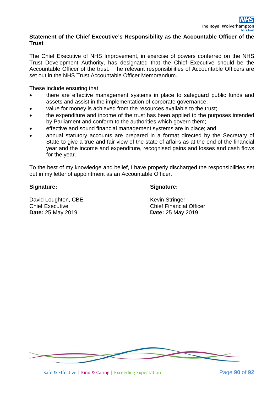#### **Statement of the Chief Executive's Responsibility as the Accountable Officer of the Trust**

The Chief Executive of NHS Improvement, in exercise of powers conferred on the NHS Trust Development Authority, has designated that the Chief Executive should be the Accountable Officer of the trust. The relevant responsibilities of Accountable Officers are set out in the NHS Trust Accountable Officer Memorandum.

These include ensuring that:

- there are effective management systems in place to safeguard public funds and assets and assist in the implementation of corporate governance;
- value for money is achieved from the resources available to the trust;
- the expenditure and income of the trust has been applied to the purposes intended by Parliament and conform to the authorities which govern them;
- effective and sound financial management systems are in place; and
- annual statutory accounts are prepared in a format directed by the Secretary of State to give a true and fair view of the state of affairs as at the end of the financial year and the income and expenditure, recognised gains and losses and cash flows for the year.

To the best of my knowledge and belief, I have properly discharged the responsibilities set out in my letter of appointment as an Accountable Officer.

#### **Signature:**

#### **Signature:**

David Loughton, CBE Chief Executive **Date:** 25 May 2019

Kevin Stringer Chief Financial Officer **Date:** 25 May 2019

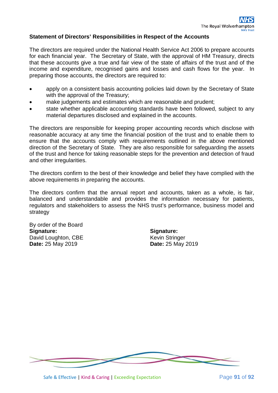#### **Statement of Directors' Responsibilities in Respect of the Accounts**

The directors are required under the National Health Service Act 2006 to prepare accounts for each financial year. The Secretary of State, with the approval of HM Treasury, directs that these accounts give a true and fair view of the state of affairs of the trust and of the income and expenditure, recognised gains and losses and cash flows for the year. In preparing those accounts, the directors are required to:

- apply on a consistent basis accounting policies laid down by the Secretary of State with the approval of the Treasury;
- make judgements and estimates which are reasonable and prudent;
- state whether applicable accounting standards have been followed, subject to any material departures disclosed and explained in the accounts.

The directors are responsible for keeping proper accounting records which disclose with reasonable accuracy at any time the financial position of the trust and to enable them to ensure that the accounts comply with requirements outlined in the above mentioned direction of the Secretary of State. They are also responsible for safeguarding the assets of the trust and hence for taking reasonable steps for the prevention and detection of fraud and other irregularities.

The directors confirm to the best of their knowledge and belief they have complied with the above requirements in preparing the accounts.

The directors confirm that the annual report and accounts, taken as a whole, is fair, balanced and understandable and provides the information necessary for patients, regulators and stakeholders to assess the NHS trust's performance, business model and strategy

By order of the Board **Signature:** David Loughton, CBE **Date:** 25 May 2019

**Signature:** Kevin Stringer **Date:** 25 May 2019